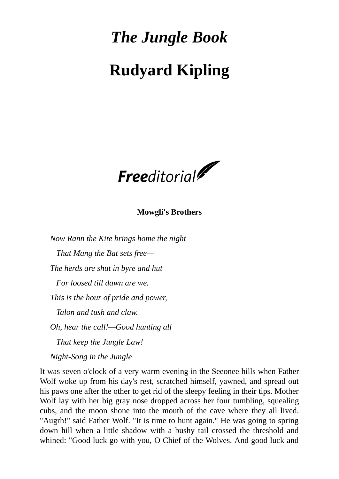## *The Jungle Book* **Rudyard Kipling**

Freeditorial

## **Mowgli's Brothers**

*Now Rann the Kite brings home the night That Mang the Bat sets free— The herds are shut in byre and hut For loosed till dawn are we. This is the hour of pride and power, Talon and tush and claw. Oh, hear the call!—Good hunting all That keep the Jungle Law! Night-Song in the Jungle*

It was seven o'clock of a very warm evening in the Seeonee hills when Father Wolf woke up from his day's rest, scratched himself, yawned, and spread out his paws one after the other to get rid of the sleepy feeling in their tips. Mother Wolf lay with her big gray nose dropped across her four tumbling, squealing cubs, and the moon shone into the mouth of the cave where they all lived. "Augrh!" said Father Wolf. "It is time to hunt again." He was going to spring down hill when a little shadow with a bushy tail crossed the threshold and whined: "Good luck go with you, O Chief of the Wolves. And good luck and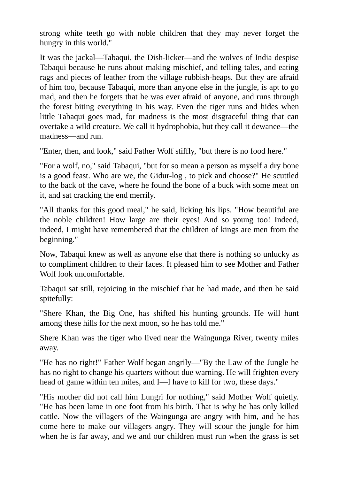strong white teeth go with noble children that they may never forget the hungry in this world."

It was the jackal—Tabaqui, the Dish-licker—and the wolves of India despise Tabaqui because he runs about making mischief, and telling tales, and eating rags and pieces of leather from the village rubbish-heaps. But they are afraid of him too, because Tabaqui, more than anyone else in the jungle, is apt to go mad, and then he forgets that he was ever afraid of anyone, and runs through the forest biting everything in his way. Even the tiger runs and hides when little Tabaqui goes mad, for madness is the most disgraceful thing that can overtake a wild creature. We call it hydrophobia, but they call it dewanee—the madness—and run.

"Enter, then, and look," said Father Wolf stiffly, "but there is no food here."

"For a wolf, no," said Tabaqui, "but for so mean a person as myself a dry bone is a good feast. Who are we, the Gidur-log , to pick and choose?" He scuttled to the back of the cave, where he found the bone of a buck with some meat on it, and sat cracking the end merrily.

"All thanks for this good meal," he said, licking his lips. "How beautiful are the noble children! How large are their eyes! And so young too! Indeed, indeed, I might have remembered that the children of kings are men from the beginning."

Now, Tabaqui knew as well as anyone else that there is nothing so unlucky as to compliment children to their faces. It pleased him to see Mother and Father Wolf look uncomfortable.

Tabaqui sat still, rejoicing in the mischief that he had made, and then he said spitefully:

"Shere Khan, the Big One, has shifted his hunting grounds. He will hunt among these hills for the next moon, so he has told me."

Shere Khan was the tiger who lived near the Waingunga River, twenty miles away.

"He has no right!" Father Wolf began angrily—"By the Law of the Jungle he has no right to change his quarters without due warning. He will frighten every head of game within ten miles, and I—I have to kill for two, these days."

"His mother did not call him Lungri for nothing," said Mother Wolf quietly. "He has been lame in one foot from his birth. That is why he has only killed cattle. Now the villagers of the Waingunga are angry with him, and he has come here to make our villagers angry. They will scour the jungle for him when he is far away, and we and our children must run when the grass is set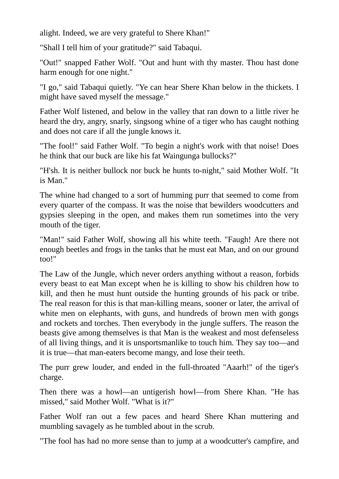alight. Indeed, we are very grateful to Shere Khan!"

"Shall I tell him of your gratitude?" said Tabaqui.

"Out!" snapped Father Wolf. "Out and hunt with thy master. Thou hast done harm enough for one night."

"I go," said Tabaqui quietly. "Ye can hear Shere Khan below in the thickets. I might have saved myself the message."

Father Wolf listened, and below in the valley that ran down to a little river he heard the dry, angry, snarly, singsong whine of a tiger who has caught nothing and does not care if all the jungle knows it.

"The fool!" said Father Wolf. "To begin a night's work with that noise! Does he think that our buck are like his fat Waingunga bullocks?"

"H'sh. It is neither bullock nor buck he hunts to-night," said Mother Wolf. "It is Man."

The whine had changed to a sort of humming purr that seemed to come from every quarter of the compass. It was the noise that bewilders woodcutters and gypsies sleeping in the open, and makes them run sometimes into the very mouth of the tiger.

"Man!" said Father Wolf, showing all his white teeth. "Faugh! Are there not enough beetles and frogs in the tanks that he must eat Man, and on our ground too!"

The Law of the Jungle, which never orders anything without a reason, forbids every beast to eat Man except when he is killing to show his children how to kill, and then he must hunt outside the hunting grounds of his pack or tribe. The real reason for this is that man-killing means, sooner or later, the arrival of white men on elephants, with guns, and hundreds of brown men with gongs and rockets and torches. Then everybody in the jungle suffers. The reason the beasts give among themselves is that Man is the weakest and most defenseless of all living things, and it is unsportsmanlike to touch him. They say too—and it is true—that man-eaters become mangy, and lose their teeth.

The purr grew louder, and ended in the full-throated "Aaarh!" of the tiger's charge.

Then there was a howl—an untigerish howl—from Shere Khan. "He has missed," said Mother Wolf. "What is it?"

Father Wolf ran out a few paces and heard Shere Khan muttering and mumbling savagely as he tumbled about in the scrub.

"The fool has had no more sense than to jump at a woodcutter's campfire, and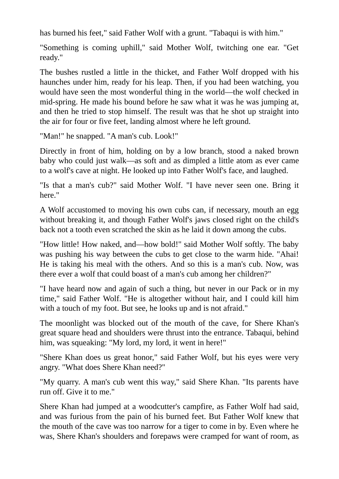has burned his feet," said Father Wolf with a grunt. "Tabaqui is with him."

"Something is coming uphill," said Mother Wolf, twitching one ear. "Get ready."

The bushes rustled a little in the thicket, and Father Wolf dropped with his haunches under him, ready for his leap. Then, if you had been watching, you would have seen the most wonderful thing in the world—the wolf checked in mid-spring. He made his bound before he saw what it was he was jumping at, and then he tried to stop himself. The result was that he shot up straight into the air for four or five feet, landing almost where he left ground.

"Man!" he snapped. "A man's cub. Look!"

Directly in front of him, holding on by a low branch, stood a naked brown baby who could just walk—as soft and as dimpled a little atom as ever came to a wolf's cave at night. He looked up into Father Wolf's face, and laughed.

"Is that a man's cub?" said Mother Wolf. "I have never seen one. Bring it here."

A Wolf accustomed to moving his own cubs can, if necessary, mouth an egg without breaking it, and though Father Wolf's jaws closed right on the child's back not a tooth even scratched the skin as he laid it down among the cubs.

"How little! How naked, and—how bold!" said Mother Wolf softly. The baby was pushing his way between the cubs to get close to the warm hide. "Ahai! He is taking his meal with the others. And so this is a man's cub. Now, was there ever a wolf that could boast of a man's cub among her children?"

"I have heard now and again of such a thing, but never in our Pack or in my time," said Father Wolf. "He is altogether without hair, and I could kill him with a touch of my foot. But see, he looks up and is not afraid."

The moonlight was blocked out of the mouth of the cave, for Shere Khan's great square head and shoulders were thrust into the entrance. Tabaqui, behind him, was squeaking: "My lord, my lord, it went in here!"

"Shere Khan does us great honor," said Father Wolf, but his eyes were very angry. "What does Shere Khan need?"

"My quarry. A man's cub went this way," said Shere Khan. "Its parents have run off. Give it to me."

Shere Khan had jumped at a woodcutter's campfire, as Father Wolf had said, and was furious from the pain of his burned feet. But Father Wolf knew that the mouth of the cave was too narrow for a tiger to come in by. Even where he was, Shere Khan's shoulders and forepaws were cramped for want of room, as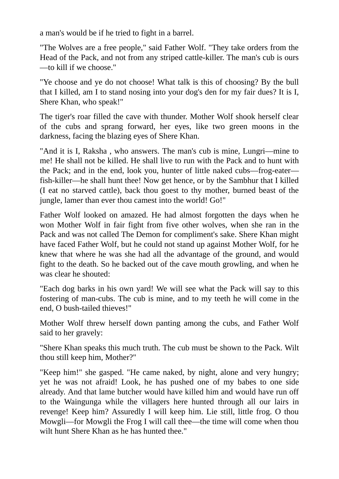a man's would be if he tried to fight in a barrel.

"The Wolves are a free people," said Father Wolf. "They take orders from the Head of the Pack, and not from any striped cattle-killer. The man's cub is ours —to kill if we choose."

"Ye choose and ye do not choose! What talk is this of choosing? By the bull that I killed, am I to stand nosing into your dog's den for my fair dues? It is I, Shere Khan, who speak!"

The tiger's roar filled the cave with thunder. Mother Wolf shook herself clear of the cubs and sprang forward, her eyes, like two green moons in the darkness, facing the blazing eyes of Shere Khan.

"And it is I, Raksha , who answers. The man's cub is mine, Lungri—mine to me! He shall not be killed. He shall live to run with the Pack and to hunt with the Pack; and in the end, look you, hunter of little naked cubs—frog-eater fish-killer—he shall hunt thee! Now get hence, or by the Sambhur that I killed (I eat no starved cattle), back thou goest to thy mother, burned beast of the jungle, lamer than ever thou camest into the world! Go!"

Father Wolf looked on amazed. He had almost forgotten the days when he won Mother Wolf in fair fight from five other wolves, when she ran in the Pack and was not called The Demon for compliment's sake. Shere Khan might have faced Father Wolf, but he could not stand up against Mother Wolf, for he knew that where he was she had all the advantage of the ground, and would fight to the death. So he backed out of the cave mouth growling, and when he was clear he shouted:

"Each dog barks in his own yard! We will see what the Pack will say to this fostering of man-cubs. The cub is mine, and to my teeth he will come in the end, O bush-tailed thieves!"

Mother Wolf threw herself down panting among the cubs, and Father Wolf said to her gravely:

"Shere Khan speaks this much truth. The cub must be shown to the Pack. Wilt thou still keep him, Mother?"

"Keep him!" she gasped. "He came naked, by night, alone and very hungry; yet he was not afraid! Look, he has pushed one of my babes to one side already. And that lame butcher would have killed him and would have run off to the Waingunga while the villagers here hunted through all our lairs in revenge! Keep him? Assuredly I will keep him. Lie still, little frog. O thou Mowgli—for Mowgli the Frog I will call thee—the time will come when thou wilt hunt Shere Khan as he has hunted thee."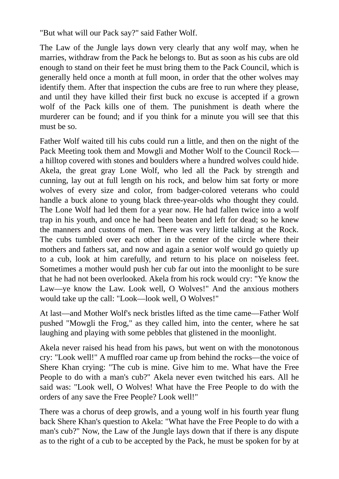"But what will our Pack say?" said Father Wolf.

The Law of the Jungle lays down very clearly that any wolf may, when he marries, withdraw from the Pack he belongs to. But as soon as his cubs are old enough to stand on their feet he must bring them to the Pack Council, which is generally held once a month at full moon, in order that the other wolves may identify them. After that inspection the cubs are free to run where they please, and until they have killed their first buck no excuse is accepted if a grown wolf of the Pack kills one of them. The punishment is death where the murderer can be found; and if you think for a minute you will see that this must be so.

Father Wolf waited till his cubs could run a little, and then on the night of the Pack Meeting took them and Mowgli and Mother Wolf to the Council Rock a hilltop covered with stones and boulders where a hundred wolves could hide. Akela, the great gray Lone Wolf, who led all the Pack by strength and cunning, lay out at full length on his rock, and below him sat forty or more wolves of every size and color, from badger-colored veterans who could handle a buck alone to young black three-year-olds who thought they could. The Lone Wolf had led them for a year now. He had fallen twice into a wolf trap in his youth, and once he had been beaten and left for dead; so he knew the manners and customs of men. There was very little talking at the Rock. The cubs tumbled over each other in the center of the circle where their mothers and fathers sat, and now and again a senior wolf would go quietly up to a cub, look at him carefully, and return to his place on noiseless feet. Sometimes a mother would push her cub far out into the moonlight to be sure that he had not been overlooked. Akela from his rock would cry: "Ye know the Law—ye know the Law. Look well, O Wolves!" And the anxious mothers would take up the call: "Look—look well, O Wolves!"

At last—and Mother Wolf's neck bristles lifted as the time came—Father Wolf pushed "Mowgli the Frog," as they called him, into the center, where he sat laughing and playing with some pebbles that glistened in the moonlight.

Akela never raised his head from his paws, but went on with the monotonous cry: "Look well!" A muffled roar came up from behind the rocks—the voice of Shere Khan crying: "The cub is mine. Give him to me. What have the Free People to do with a man's cub?" Akela never even twitched his ears. All he said was: "Look well, O Wolves! What have the Free People to do with the orders of any save the Free People? Look well!"

There was a chorus of deep growls, and a young wolf in his fourth year flung back Shere Khan's question to Akela: "What have the Free People to do with a man's cub?" Now, the Law of the Jungle lays down that if there is any dispute as to the right of a cub to be accepted by the Pack, he must be spoken for by at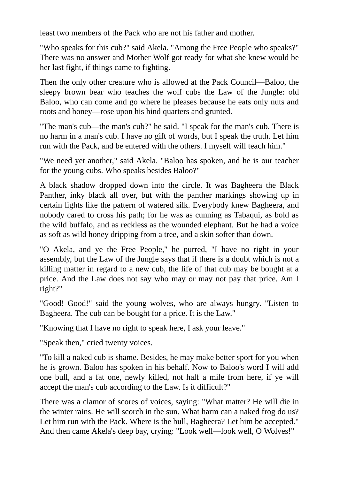least two members of the Pack who are not his father and mother.

"Who speaks for this cub?" said Akela. "Among the Free People who speaks?" There was no answer and Mother Wolf got ready for what she knew would be her last fight, if things came to fighting.

Then the only other creature who is allowed at the Pack Council—Baloo, the sleepy brown bear who teaches the wolf cubs the Law of the Jungle: old Baloo, who can come and go where he pleases because he eats only nuts and roots and honey—rose upon his hind quarters and grunted.

"The man's cub—the man's cub?" he said. "I speak for the man's cub. There is no harm in a man's cub. I have no gift of words, but I speak the truth. Let him run with the Pack, and be entered with the others. I myself will teach him."

"We need yet another," said Akela. "Baloo has spoken, and he is our teacher for the young cubs. Who speaks besides Baloo?"

A black shadow dropped down into the circle. It was Bagheera the Black Panther, inky black all over, but with the panther markings showing up in certain lights like the pattern of watered silk. Everybody knew Bagheera, and nobody cared to cross his path; for he was as cunning as Tabaqui, as bold as the wild buffalo, and as reckless as the wounded elephant. But he had a voice as soft as wild honey dripping from a tree, and a skin softer than down.

"O Akela, and ye the Free People," he purred, "I have no right in your assembly, but the Law of the Jungle says that if there is a doubt which is not a killing matter in regard to a new cub, the life of that cub may be bought at a price. And the Law does not say who may or may not pay that price. Am I right?"

"Good! Good!" said the young wolves, who are always hungry. "Listen to Bagheera. The cub can be bought for a price. It is the Law."

"Knowing that I have no right to speak here, I ask your leave."

"Speak then," cried twenty voices.

"To kill a naked cub is shame. Besides, he may make better sport for you when he is grown. Baloo has spoken in his behalf. Now to Baloo's word I will add one bull, and a fat one, newly killed, not half a mile from here, if ye will accept the man's cub according to the Law. Is it difficult?"

There was a clamor of scores of voices, saying: "What matter? He will die in the winter rains. He will scorch in the sun. What harm can a naked frog do us? Let him run with the Pack. Where is the bull, Bagheera? Let him be accepted." And then came Akela's deep bay, crying: "Look well—look well, O Wolves!"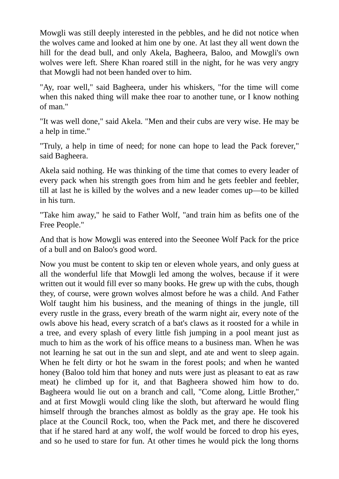Mowgli was still deeply interested in the pebbles, and he did not notice when the wolves came and looked at him one by one. At last they all went down the hill for the dead bull, and only Akela, Bagheera, Baloo, and Mowgli's own wolves were left. Shere Khan roared still in the night, for he was very angry that Mowgli had not been handed over to him.

"Ay, roar well," said Bagheera, under his whiskers, "for the time will come when this naked thing will make thee roar to another tune, or I know nothing of man."

"It was well done," said Akela. "Men and their cubs are very wise. He may be a help in time."

"Truly, a help in time of need; for none can hope to lead the Pack forever," said Bagheera.

Akela said nothing. He was thinking of the time that comes to every leader of every pack when his strength goes from him and he gets feebler and feebler, till at last he is killed by the wolves and a new leader comes up—to be killed in his turn.

"Take him away," he said to Father Wolf, "and train him as befits one of the Free People."

And that is how Mowgli was entered into the Seeonee Wolf Pack for the price of a bull and on Baloo's good word.

Now you must be content to skip ten or eleven whole years, and only guess at all the wonderful life that Mowgli led among the wolves, because if it were written out it would fill ever so many books. He grew up with the cubs, though they, of course, were grown wolves almost before he was a child. And Father Wolf taught him his business, and the meaning of things in the jungle, till every rustle in the grass, every breath of the warm night air, every note of the owls above his head, every scratch of a bat's claws as it roosted for a while in a tree, and every splash of every little fish jumping in a pool meant just as much to him as the work of his office means to a business man. When he was not learning he sat out in the sun and slept, and ate and went to sleep again. When he felt dirty or hot he swam in the forest pools; and when he wanted honey (Baloo told him that honey and nuts were just as pleasant to eat as raw meat) he climbed up for it, and that Bagheera showed him how to do. Bagheera would lie out on a branch and call, "Come along, Little Brother," and at first Mowgli would cling like the sloth, but afterward he would fling himself through the branches almost as boldly as the gray ape. He took his place at the Council Rock, too, when the Pack met, and there he discovered that if he stared hard at any wolf, the wolf would be forced to drop his eyes, and so he used to stare for fun. At other times he would pick the long thorns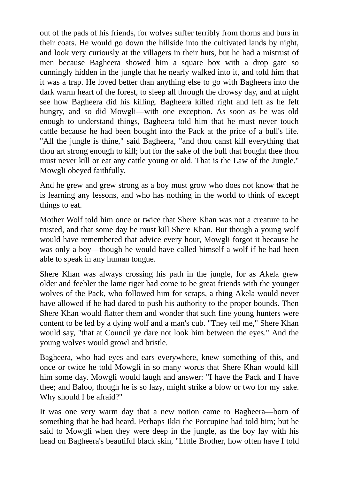out of the pads of his friends, for wolves suffer terribly from thorns and burs in their coats. He would go down the hillside into the cultivated lands by night, and look very curiously at the villagers in their huts, but he had a mistrust of men because Bagheera showed him a square box with a drop gate so cunningly hidden in the jungle that he nearly walked into it, and told him that it was a trap. He loved better than anything else to go with Bagheera into the dark warm heart of the forest, to sleep all through the drowsy day, and at night see how Bagheera did his killing. Bagheera killed right and left as he felt hungry, and so did Mowgli—with one exception. As soon as he was old enough to understand things, Bagheera told him that he must never touch cattle because he had been bought into the Pack at the price of a bull's life. "All the jungle is thine," said Bagheera, "and thou canst kill everything that thou art strong enough to kill; but for the sake of the bull that bought thee thou must never kill or eat any cattle young or old. That is the Law of the Jungle." Mowgli obeyed faithfully.

And he grew and grew strong as a boy must grow who does not know that he is learning any lessons, and who has nothing in the world to think of except things to eat.

Mother Wolf told him once or twice that Shere Khan was not a creature to be trusted, and that some day he must kill Shere Khan. But though a young wolf would have remembered that advice every hour, Mowgli forgot it because he was only a boy—though he would have called himself a wolf if he had been able to speak in any human tongue.

Shere Khan was always crossing his path in the jungle, for as Akela grew older and feebler the lame tiger had come to be great friends with the younger wolves of the Pack, who followed him for scraps, a thing Akela would never have allowed if he had dared to push his authority to the proper bounds. Then Shere Khan would flatter them and wonder that such fine young hunters were content to be led by a dying wolf and a man's cub. "They tell me," Shere Khan would say, "that at Council ye dare not look him between the eyes." And the young wolves would growl and bristle.

Bagheera, who had eyes and ears everywhere, knew something of this, and once or twice he told Mowgli in so many words that Shere Khan would kill him some day. Mowgli would laugh and answer: "I have the Pack and I have thee; and Baloo, though he is so lazy, might strike a blow or two for my sake. Why should I be afraid?"

It was one very warm day that a new notion came to Bagheera—born of something that he had heard. Perhaps Ikki the Porcupine had told him; but he said to Mowgli when they were deep in the jungle, as the boy lay with his head on Bagheera's beautiful black skin, "Little Brother, how often have I told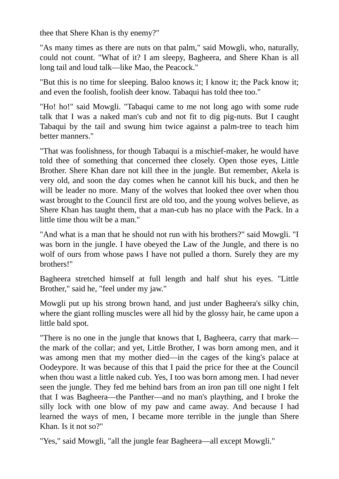thee that Shere Khan is thy enemy?"

"As many times as there are nuts on that palm," said Mowgli, who, naturally, could not count. "What of it? I am sleepy, Bagheera, and Shere Khan is all long tail and loud talk—like Mao, the Peacock."

"But this is no time for sleeping. Baloo knows it; I know it; the Pack know it; and even the foolish, foolish deer know. Tabaqui has told thee too."

"Ho! ho!" said Mowgli. "Tabaqui came to me not long ago with some rude talk that I was a naked man's cub and not fit to dig pig-nuts. But I caught Tabaqui by the tail and swung him twice against a palm-tree to teach him better manners."

"That was foolishness, for though Tabaqui is a mischief-maker, he would have told thee of something that concerned thee closely. Open those eyes, Little Brother. Shere Khan dare not kill thee in the jungle. But remember, Akela is very old, and soon the day comes when he cannot kill his buck, and then he will be leader no more. Many of the wolves that looked thee over when thou wast brought to the Council first are old too, and the young wolves believe, as Shere Khan has taught them, that a man-cub has no place with the Pack. In a little time thou wilt be a man."

"And what is a man that he should not run with his brothers?" said Mowgli. "I was born in the jungle. I have obeyed the Law of the Jungle, and there is no wolf of ours from whose paws I have not pulled a thorn. Surely they are my brothers!"

Bagheera stretched himself at full length and half shut his eyes. "Little Brother," said he, "feel under my jaw."

Mowgli put up his strong brown hand, and just under Bagheera's silky chin, where the giant rolling muscles were all hid by the glossy hair, he came upon a little bald spot.

"There is no one in the jungle that knows that I, Bagheera, carry that mark the mark of the collar; and yet, Little Brother, I was born among men, and it was among men that my mother died—in the cages of the king's palace at Oodeypore. It was because of this that I paid the price for thee at the Council when thou wast a little naked cub. Yes, I too was born among men. I had never seen the jungle. They fed me behind bars from an iron pan till one night I felt that I was Bagheera—the Panther—and no man's plaything, and I broke the silly lock with one blow of my paw and came away. And because I had learned the ways of men, I became more terrible in the jungle than Shere Khan. Is it not so?"

"Yes," said Mowgli, "all the jungle fear Bagheera—all except Mowgli."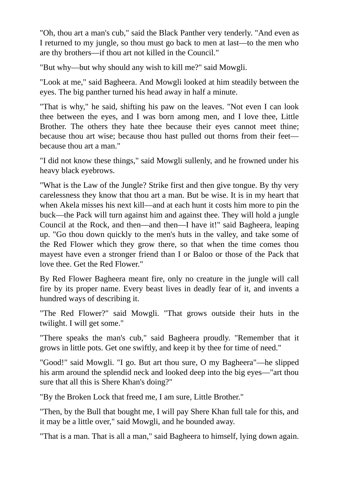"Oh, thou art a man's cub," said the Black Panther very tenderly. "And even as I returned to my jungle, so thou must go back to men at last—to the men who are thy brothers—if thou art not killed in the Council."

"But why—but why should any wish to kill me?" said Mowgli.

"Look at me," said Bagheera. And Mowgli looked at him steadily between the eyes. The big panther turned his head away in half a minute.

"That is why," he said, shifting his paw on the leaves. "Not even I can look thee between the eyes, and I was born among men, and I love thee, Little Brother. The others they hate thee because their eyes cannot meet thine; because thou art wise; because thou hast pulled out thorns from their feet because thou art a man."

"I did not know these things," said Mowgli sullenly, and he frowned under his heavy black eyebrows.

"What is the Law of the Jungle? Strike first and then give tongue. By thy very carelessness they know that thou art a man. But be wise. It is in my heart that when Akela misses his next kill—and at each hunt it costs him more to pin the buck—the Pack will turn against him and against thee. They will hold a jungle Council at the Rock, and then—and then—I have it!" said Bagheera, leaping up. "Go thou down quickly to the men's huts in the valley, and take some of the Red Flower which they grow there, so that when the time comes thou mayest have even a stronger friend than I or Baloo or those of the Pack that love thee. Get the Red Flower."

By Red Flower Bagheera meant fire, only no creature in the jungle will call fire by its proper name. Every beast lives in deadly fear of it, and invents a hundred ways of describing it.

"The Red Flower?" said Mowgli. "That grows outside their huts in the twilight. I will get some."

"There speaks the man's cub," said Bagheera proudly. "Remember that it grows in little pots. Get one swiftly, and keep it by thee for time of need."

"Good!" said Mowgli. "I go. But art thou sure, O my Bagheera"—he slipped his arm around the splendid neck and looked deep into the big eyes—"art thou sure that all this is Shere Khan's doing?"

"By the Broken Lock that freed me, I am sure, Little Brother."

"Then, by the Bull that bought me, I will pay Shere Khan full tale for this, and it may be a little over," said Mowgli, and he bounded away.

"That is a man. That is all a man," said Bagheera to himself, lying down again.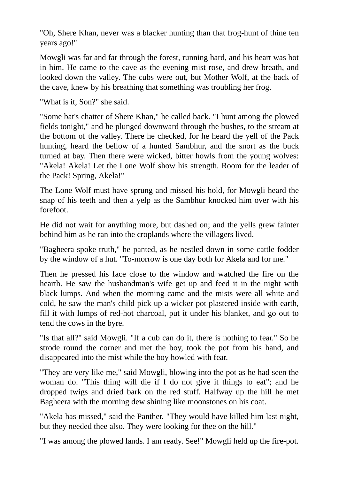"Oh, Shere Khan, never was a blacker hunting than that frog-hunt of thine ten years ago!"

Mowgli was far and far through the forest, running hard, and his heart was hot in him. He came to the cave as the evening mist rose, and drew breath, and looked down the valley. The cubs were out, but Mother Wolf, at the back of the cave, knew by his breathing that something was troubling her frog.

"What is it, Son?" she said.

"Some bat's chatter of Shere Khan," he called back. "I hunt among the plowed fields tonight," and he plunged downward through the bushes, to the stream at the bottom of the valley. There he checked, for he heard the yell of the Pack hunting, heard the bellow of a hunted Sambhur, and the snort as the buck turned at bay. Then there were wicked, bitter howls from the young wolves: "Akela! Akela! Let the Lone Wolf show his strength. Room for the leader of the Pack! Spring, Akela!"

The Lone Wolf must have sprung and missed his hold, for Mowgli heard the snap of his teeth and then a yelp as the Sambhur knocked him over with his forefoot.

He did not wait for anything more, but dashed on; and the yells grew fainter behind him as he ran into the croplands where the villagers lived.

"Bagheera spoke truth," he panted, as he nestled down in some cattle fodder by the window of a hut. "To-morrow is one day both for Akela and for me."

Then he pressed his face close to the window and watched the fire on the hearth. He saw the husbandman's wife get up and feed it in the night with black lumps. And when the morning came and the mists were all white and cold, he saw the man's child pick up a wicker pot plastered inside with earth, fill it with lumps of red-hot charcoal, put it under his blanket, and go out to tend the cows in the byre.

"Is that all?" said Mowgli. "If a cub can do it, there is nothing to fear." So he strode round the corner and met the boy, took the pot from his hand, and disappeared into the mist while the boy howled with fear.

"They are very like me," said Mowgli, blowing into the pot as he had seen the woman do. "This thing will die if I do not give it things to eat"; and he dropped twigs and dried bark on the red stuff. Halfway up the hill he met Bagheera with the morning dew shining like moonstones on his coat.

"Akela has missed," said the Panther. "They would have killed him last night, but they needed thee also. They were looking for thee on the hill."

"I was among the plowed lands. I am ready. See!" Mowgli held up the fire-pot.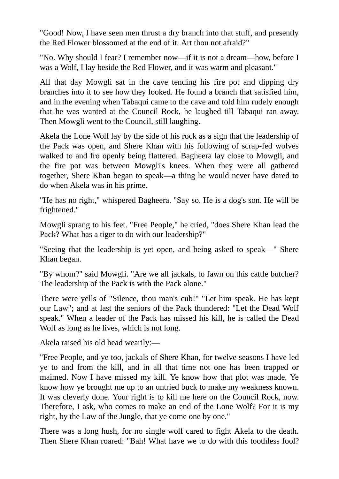"Good! Now, I have seen men thrust a dry branch into that stuff, and presently the Red Flower blossomed at the end of it. Art thou not afraid?"

"No. Why should I fear? I remember now—if it is not a dream—how, before I was a Wolf, I lay beside the Red Flower, and it was warm and pleasant."

All that day Mowgli sat in the cave tending his fire pot and dipping dry branches into it to see how they looked. He found a branch that satisfied him, and in the evening when Tabaqui came to the cave and told him rudely enough that he was wanted at the Council Rock, he laughed till Tabaqui ran away. Then Mowgli went to the Council, still laughing.

Akela the Lone Wolf lay by the side of his rock as a sign that the leadership of the Pack was open, and Shere Khan with his following of scrap-fed wolves walked to and fro openly being flattered. Bagheera lay close to Mowgli, and the fire pot was between Mowgli's knees. When they were all gathered together, Shere Khan began to speak—a thing he would never have dared to do when Akela was in his prime.

"He has no right," whispered Bagheera. "Say so. He is a dog's son. He will be frightened."

Mowgli sprang to his feet. "Free People," he cried, "does Shere Khan lead the Pack? What has a tiger to do with our leadership?"

"Seeing that the leadership is yet open, and being asked to speak—" Shere Khan began.

"By whom?" said Mowgli. "Are we all jackals, to fawn on this cattle butcher? The leadership of the Pack is with the Pack alone."

There were yells of "Silence, thou man's cub!" "Let him speak. He has kept our Law"; and at last the seniors of the Pack thundered: "Let the Dead Wolf speak." When a leader of the Pack has missed his kill, he is called the Dead Wolf as long as he lives, which is not long.

Akela raised his old head wearily:—

"Free People, and ye too, jackals of Shere Khan, for twelve seasons I have led ye to and from the kill, and in all that time not one has been trapped or maimed. Now I have missed my kill. Ye know how that plot was made. Ye know how ye brought me up to an untried buck to make my weakness known. It was cleverly done. Your right is to kill me here on the Council Rock, now. Therefore, I ask, who comes to make an end of the Lone Wolf? For it is my right, by the Law of the Jungle, that ye come one by one."

There was a long hush, for no single wolf cared to fight Akela to the death. Then Shere Khan roared: "Bah! What have we to do with this toothless fool?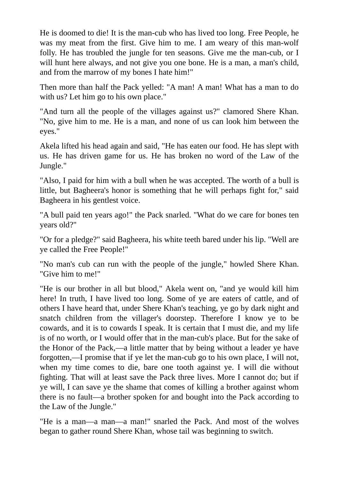He is doomed to die! It is the man-cub who has lived too long. Free People, he was my meat from the first. Give him to me. I am weary of this man-wolf folly. He has troubled the jungle for ten seasons. Give me the man-cub, or I will hunt here always, and not give you one bone. He is a man, a man's child, and from the marrow of my bones I hate him!"

Then more than half the Pack yelled: "A man! A man! What has a man to do with us? Let him go to his own place."

"And turn all the people of the villages against us?" clamored Shere Khan. "No, give him to me. He is a man, and none of us can look him between the eyes."

Akela lifted his head again and said, "He has eaten our food. He has slept with us. He has driven game for us. He has broken no word of the Law of the Jungle."

"Also, I paid for him with a bull when he was accepted. The worth of a bull is little, but Bagheera's honor is something that he will perhaps fight for," said Bagheera in his gentlest voice.

"A bull paid ten years ago!" the Pack snarled. "What do we care for bones ten years old?"

"Or for a pledge?" said Bagheera, his white teeth bared under his lip. "Well are ye called the Free People!"

"No man's cub can run with the people of the jungle," howled Shere Khan. "Give him to me!"

"He is our brother in all but blood," Akela went on, "and ye would kill him here! In truth, I have lived too long. Some of ye are eaters of cattle, and of others I have heard that, under Shere Khan's teaching, ye go by dark night and snatch children from the villager's doorstep. Therefore I know ye to be cowards, and it is to cowards I speak. It is certain that I must die, and my life is of no worth, or I would offer that in the man-cub's place. But for the sake of the Honor of the Pack,—a little matter that by being without a leader ye have forgotten,—I promise that if ye let the man-cub go to his own place, I will not, when my time comes to die, bare one tooth against ye. I will die without fighting. That will at least save the Pack three lives. More I cannot do; but if ye will, I can save ye the shame that comes of killing a brother against whom there is no fault—a brother spoken for and bought into the Pack according to the Law of the Jungle."

"He is a man—a man—a man!" snarled the Pack. And most of the wolves began to gather round Shere Khan, whose tail was beginning to switch.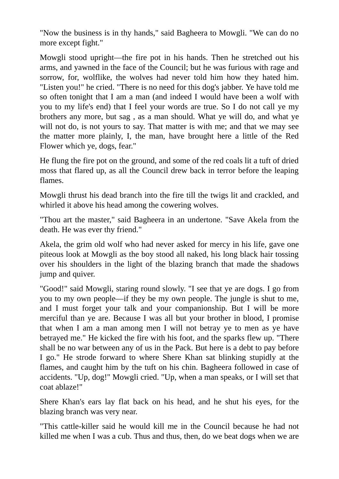"Now the business is in thy hands," said Bagheera to Mowgli. "We can do no more except fight."

Mowgli stood upright—the fire pot in his hands. Then he stretched out his arms, and yawned in the face of the Council; but he was furious with rage and sorrow, for, wolflike, the wolves had never told him how they hated him. "Listen you!" he cried. "There is no need for this dog's jabber. Ye have told me so often tonight that I am a man (and indeed I would have been a wolf with you to my life's end) that I feel your words are true. So I do not call ye my brothers any more, but sag , as a man should. What ye will do, and what ye will not do, is not yours to say. That matter is with me; and that we may see the matter more plainly, I, the man, have brought here a little of the Red Flower which ye, dogs, fear."

He flung the fire pot on the ground, and some of the red coals lit a tuft of dried moss that flared up, as all the Council drew back in terror before the leaping flames.

Mowgli thrust his dead branch into the fire till the twigs lit and crackled, and whirled it above his head among the cowering wolves.

"Thou art the master," said Bagheera in an undertone. "Save Akela from the death. He was ever thy friend."

Akela, the grim old wolf who had never asked for mercy in his life, gave one piteous look at Mowgli as the boy stood all naked, his long black hair tossing over his shoulders in the light of the blazing branch that made the shadows jump and quiver.

"Good!" said Mowgli, staring round slowly. "I see that ye are dogs. I go from you to my own people—if they be my own people. The jungle is shut to me, and I must forget your talk and your companionship. But I will be more merciful than ye are. Because I was all but your brother in blood, I promise that when I am a man among men I will not betray ye to men as ye have betrayed me." He kicked the fire with his foot, and the sparks flew up. "There shall be no war between any of us in the Pack. But here is a debt to pay before I go." He strode forward to where Shere Khan sat blinking stupidly at the flames, and caught him by the tuft on his chin. Bagheera followed in case of accidents. "Up, dog!" Mowgli cried. "Up, when a man speaks, or I will set that coat ablaze!"

Shere Khan's ears lay flat back on his head, and he shut his eyes, for the blazing branch was very near.

"This cattle-killer said he would kill me in the Council because he had not killed me when I was a cub. Thus and thus, then, do we beat dogs when we are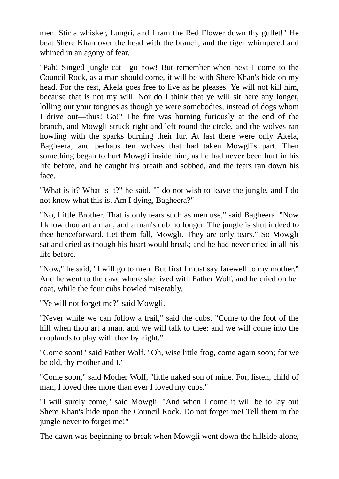men. Stir a whisker, Lungri, and I ram the Red Flower down thy gullet!" He beat Shere Khan over the head with the branch, and the tiger whimpered and whined in an agony of fear.

"Pah! Singed jungle cat—go now! But remember when next I come to the Council Rock, as a man should come, it will be with Shere Khan's hide on my head. For the rest, Akela goes free to live as he pleases. Ye will not kill him, because that is not my will. Nor do I think that ye will sit here any longer, lolling out your tongues as though ye were somebodies, instead of dogs whom I drive out—thus! Go!" The fire was burning furiously at the end of the branch, and Mowgli struck right and left round the circle, and the wolves ran howling with the sparks burning their fur. At last there were only Akela, Bagheera, and perhaps ten wolves that had taken Mowgli's part. Then something began to hurt Mowgli inside him, as he had never been hurt in his life before, and he caught his breath and sobbed, and the tears ran down his face.

"What is it? What is it?" he said. "I do not wish to leave the jungle, and I do not know what this is. Am I dying, Bagheera?"

"No, Little Brother. That is only tears such as men use," said Bagheera. "Now I know thou art a man, and a man's cub no longer. The jungle is shut indeed to thee henceforward. Let them fall, Mowgli. They are only tears." So Mowgli sat and cried as though his heart would break; and he had never cried in all his life before.

"Now," he said, "I will go to men. But first I must say farewell to my mother." And he went to the cave where she lived with Father Wolf, and he cried on her coat, while the four cubs howled miserably.

"Ye will not forget me?" said Mowgli.

"Never while we can follow a trail," said the cubs. "Come to the foot of the hill when thou art a man, and we will talk to thee; and we will come into the croplands to play with thee by night."

"Come soon!" said Father Wolf. "Oh, wise little frog, come again soon; for we be old, thy mother and I."

"Come soon," said Mother Wolf, "little naked son of mine. For, listen, child of man, I loved thee more than ever I loved my cubs."

"I will surely come," said Mowgli. "And when I come it will be to lay out Shere Khan's hide upon the Council Rock. Do not forget me! Tell them in the jungle never to forget me!"

The dawn was beginning to break when Mowgli went down the hillside alone,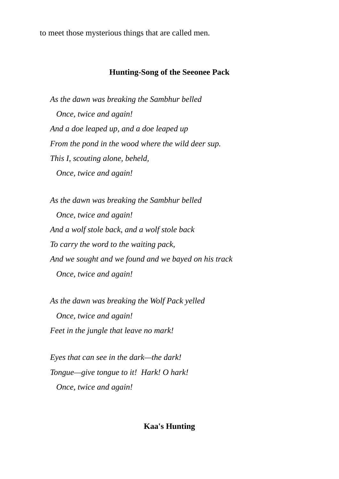to meet those mysterious things that are called men.

## **Hunting-Song of the Seeonee Pack**

*As the dawn was breaking the Sambhur belled Once, twice and again! And a doe leaped up, and a doe leaped up From the pond in the wood where the wild deer sup. This I, scouting alone, beheld, Once, twice and again!*

*As the dawn was breaking the Sambhur belled Once, twice and again! And a wolf stole back, and a wolf stole back To carry the word to the waiting pack, And we sought and we found and we bayed on his track Once, twice and again!*

*As the dawn was breaking the Wolf Pack yelled Once, twice and again! Feet in the jungle that leave no mark!*

*Eyes that can see in the dark—the dark! Tongue—give tongue to it! Hark! O hark! Once, twice and again!*

## **Kaa's Hunting**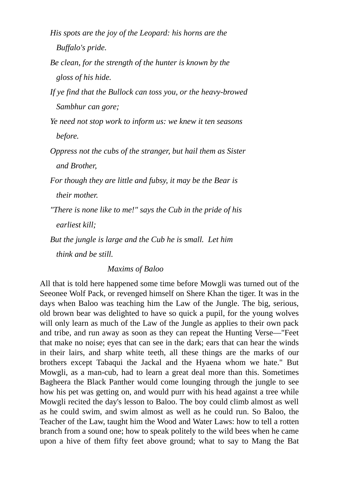*His spots are the joy of the Leopard: his horns are the Buffalo's pride.*

*Be clean, for the strength of the hunter is known by the*

*gloss of his hide.*

*If ye find that the Bullock can toss you, or the heavy-browed Sambhur can gore;*

*Ye need not stop work to inform us: we knew it ten seasons before.*

*Oppress not the cubs of the stranger, but hail them as Sister and Brother,*

*For though they are little and fubsy, it may be the Bear is their mother.*

*"There is none like to me!" says the Cub in the pride of his earliest kill;*

*But the jungle is large and the Cub he is small. Let him*

*think and be still.*

*Maxims of Baloo*

All that is told here happened some time before Mowgli was turned out of the Seeonee Wolf Pack, or revenged himself on Shere Khan the tiger. It was in the days when Baloo was teaching him the Law of the Jungle. The big, serious, old brown bear was delighted to have so quick a pupil, for the young wolves will only learn as much of the Law of the Jungle as applies to their own pack and tribe, and run away as soon as they can repeat the Hunting Verse—"Feet that make no noise; eyes that can see in the dark; ears that can hear the winds in their lairs, and sharp white teeth, all these things are the marks of our brothers except Tabaqui the Jackal and the Hyaena whom we hate." But Mowgli, as a man-cub, had to learn a great deal more than this. Sometimes Bagheera the Black Panther would come lounging through the jungle to see how his pet was getting on, and would purr with his head against a tree while Mowgli recited the day's lesson to Baloo. The boy could climb almost as well as he could swim, and swim almost as well as he could run. So Baloo, the Teacher of the Law, taught him the Wood and Water Laws: how to tell a rotten branch from a sound one; how to speak politely to the wild bees when he came upon a hive of them fifty feet above ground; what to say to Mang the Bat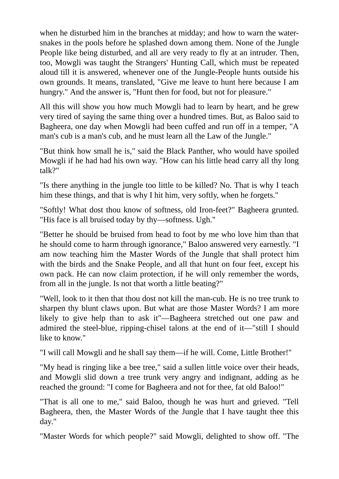when he disturbed him in the branches at midday; and how to warn the watersnakes in the pools before he splashed down among them. None of the Jungle People like being disturbed, and all are very ready to fly at an intruder. Then, too, Mowgli was taught the Strangers' Hunting Call, which must be repeated aloud till it is answered, whenever one of the Jungle-People hunts outside his own grounds. It means, translated, "Give me leave to hunt here because I am hungry." And the answer is, "Hunt then for food, but not for pleasure."

All this will show you how much Mowgli had to learn by heart, and he grew very tired of saying the same thing over a hundred times. But, as Baloo said to Bagheera, one day when Mowgli had been cuffed and run off in a temper, "A man's cub is a man's cub, and he must learn all the Law of the Jungle."

"But think how small he is," said the Black Panther, who would have spoiled Mowgli if he had had his own way. "How can his little head carry all thy long talk?"

"Is there anything in the jungle too little to be killed? No. That is why I teach him these things, and that is why I hit him, very softly, when he forgets."

"Softly! What dost thou know of softness, old Iron-feet?" Bagheera grunted. "His face is all bruised today by thy—softness. Ugh."

"Better he should be bruised from head to foot by me who love him than that he should come to harm through ignorance," Baloo answered very earnestly. "I am now teaching him the Master Words of the Jungle that shall protect him with the birds and the Snake People, and all that hunt on four feet, except his own pack. He can now claim protection, if he will only remember the words, from all in the jungle. Is not that worth a little beating?"

"Well, look to it then that thou dost not kill the man-cub. He is no tree trunk to sharpen thy blunt claws upon. But what are those Master Words? I am more likely to give help than to ask it"—Bagheera stretched out one paw and admired the steel-blue, ripping-chisel talons at the end of it—"still I should like to know."

"I will call Mowgli and he shall say them—if he will. Come, Little Brother!"

"My head is ringing like a bee tree," said a sullen little voice over their heads, and Mowgli slid down a tree trunk very angry and indignant, adding as he reached the ground: "I come for Bagheera and not for thee, fat old Baloo!"

"That is all one to me," said Baloo, though he was hurt and grieved. "Tell Bagheera, then, the Master Words of the Jungle that I have taught thee this day."

"Master Words for which people?" said Mowgli, delighted to show off. "The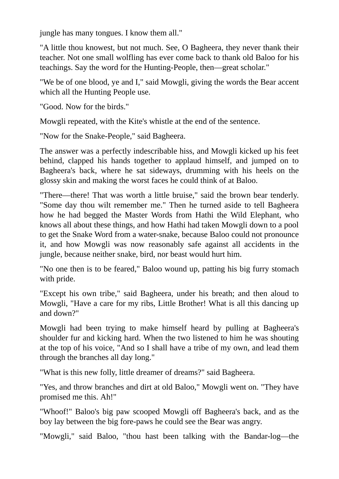jungle has many tongues. I know them all."

"A little thou knowest, but not much. See, O Bagheera, they never thank their teacher. Not one small wolfling has ever come back to thank old Baloo for his teachings. Say the word for the Hunting-People, then—great scholar."

"We be of one blood, ye and I," said Mowgli, giving the words the Bear accent which all the Hunting People use.

"Good. Now for the birds."

Mowgli repeated, with the Kite's whistle at the end of the sentence.

"Now for the Snake-People," said Bagheera.

The answer was a perfectly indescribable hiss, and Mowgli kicked up his feet behind, clapped his hands together to applaud himself, and jumped on to Bagheera's back, where he sat sideways, drumming with his heels on the glossy skin and making the worst faces he could think of at Baloo.

"There—there! That was worth a little bruise," said the brown bear tenderly. "Some day thou wilt remember me." Then he turned aside to tell Bagheera how he had begged the Master Words from Hathi the Wild Elephant, who knows all about these things, and how Hathi had taken Mowgli down to a pool to get the Snake Word from a water-snake, because Baloo could not pronounce it, and how Mowgli was now reasonably safe against all accidents in the jungle, because neither snake, bird, nor beast would hurt him.

"No one then is to be feared," Baloo wound up, patting his big furry stomach with pride.

"Except his own tribe," said Bagheera, under his breath; and then aloud to Mowgli, "Have a care for my ribs, Little Brother! What is all this dancing up and down?"

Mowgli had been trying to make himself heard by pulling at Bagheera's shoulder fur and kicking hard. When the two listened to him he was shouting at the top of his voice, "And so I shall have a tribe of my own, and lead them through the branches all day long."

"What is this new folly, little dreamer of dreams?" said Bagheera.

"Yes, and throw branches and dirt at old Baloo," Mowgli went on. "They have promised me this. Ah!"

"Whoof!" Baloo's big paw scooped Mowgli off Bagheera's back, and as the boy lay between the big fore-paws he could see the Bear was angry.

"Mowgli," said Baloo, "thou hast been talking with the Bandar-log—the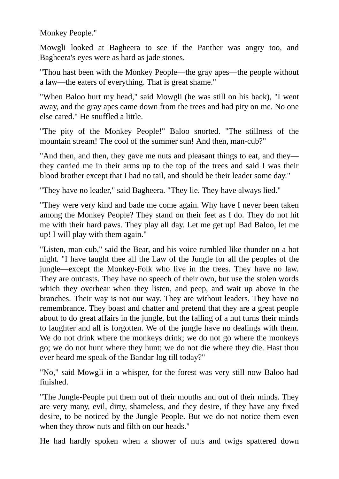Monkey People."

Mowgli looked at Bagheera to see if the Panther was angry too, and Bagheera's eyes were as hard as jade stones.

"Thou hast been with the Monkey People—the gray apes—the people without a law—the eaters of everything. That is great shame."

"When Baloo hurt my head," said Mowgli (he was still on his back), "I went away, and the gray apes came down from the trees and had pity on me. No one else cared." He snuffled a little.

"The pity of the Monkey People!" Baloo snorted. "The stillness of the mountain stream! The cool of the summer sun! And then, man-cub?"

"And then, and then, they gave me nuts and pleasant things to eat, and they they carried me in their arms up to the top of the trees and said I was their blood brother except that I had no tail, and should be their leader some day."

"They have no leader," said Bagheera. "They lie. They have always lied."

"They were very kind and bade me come again. Why have I never been taken among the Monkey People? They stand on their feet as I do. They do not hit me with their hard paws. They play all day. Let me get up! Bad Baloo, let me up! I will play with them again."

"Listen, man-cub," said the Bear, and his voice rumbled like thunder on a hot night. "I have taught thee all the Law of the Jungle for all the peoples of the jungle—except the Monkey-Folk who live in the trees. They have no law. They are outcasts. They have no speech of their own, but use the stolen words which they overhear when they listen, and peep, and wait up above in the branches. Their way is not our way. They are without leaders. They have no remembrance. They boast and chatter and pretend that they are a great people about to do great affairs in the jungle, but the falling of a nut turns their minds to laughter and all is forgotten. We of the jungle have no dealings with them. We do not drink where the monkeys drink; we do not go where the monkeys go; we do not hunt where they hunt; we do not die where they die. Hast thou ever heard me speak of the Bandar-log till today?"

"No," said Mowgli in a whisper, for the forest was very still now Baloo had finished.

"The Jungle-People put them out of their mouths and out of their minds. They are very many, evil, dirty, shameless, and they desire, if they have any fixed desire, to be noticed by the Jungle People. But we do not notice them even when they throw nuts and filth on our heads."

He had hardly spoken when a shower of nuts and twigs spattered down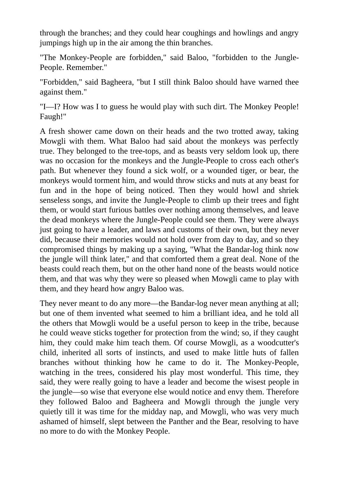through the branches; and they could hear coughings and howlings and angry jumpings high up in the air among the thin branches.

"The Monkey-People are forbidden," said Baloo, "forbidden to the Jungle-People. Remember."

"Forbidden," said Bagheera, "but I still think Baloo should have warned thee against them."

"I—I? How was I to guess he would play with such dirt. The Monkey People! Faugh!"

A fresh shower came down on their heads and the two trotted away, taking Mowgli with them. What Baloo had said about the monkeys was perfectly true. They belonged to the tree-tops, and as beasts very seldom look up, there was no occasion for the monkeys and the Jungle-People to cross each other's path. But whenever they found a sick wolf, or a wounded tiger, or bear, the monkeys would torment him, and would throw sticks and nuts at any beast for fun and in the hope of being noticed. Then they would howl and shriek senseless songs, and invite the Jungle-People to climb up their trees and fight them, or would start furious battles over nothing among themselves, and leave the dead monkeys where the Jungle-People could see them. They were always just going to have a leader, and laws and customs of their own, but they never did, because their memories would not hold over from day to day, and so they compromised things by making up a saying, "What the Bandar-log think now the jungle will think later," and that comforted them a great deal. None of the beasts could reach them, but on the other hand none of the beasts would notice them, and that was why they were so pleased when Mowgli came to play with them, and they heard how angry Baloo was.

They never meant to do any more—the Bandar-log never mean anything at all; but one of them invented what seemed to him a brilliant idea, and he told all the others that Mowgli would be a useful person to keep in the tribe, because he could weave sticks together for protection from the wind; so, if they caught him, they could make him teach them. Of course Mowgli, as a woodcutter's child, inherited all sorts of instincts, and used to make little huts of fallen branches without thinking how he came to do it. The Monkey-People, watching in the trees, considered his play most wonderful. This time, they said, they were really going to have a leader and become the wisest people in the jungle—so wise that everyone else would notice and envy them. Therefore they followed Baloo and Bagheera and Mowgli through the jungle very quietly till it was time for the midday nap, and Mowgli, who was very much ashamed of himself, slept between the Panther and the Bear, resolving to have no more to do with the Monkey People.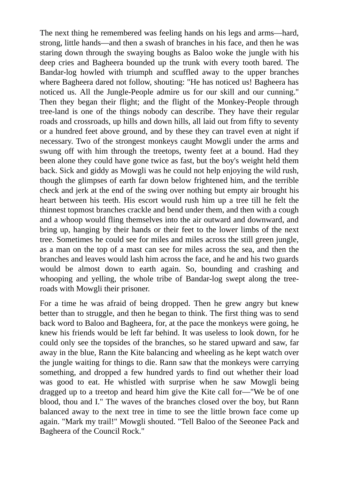The next thing he remembered was feeling hands on his legs and arms—hard, strong, little hands—and then a swash of branches in his face, and then he was staring down through the swaying boughs as Baloo woke the jungle with his deep cries and Bagheera bounded up the trunk with every tooth bared. The Bandar-log howled with triumph and scuffled away to the upper branches where Bagheera dared not follow, shouting: "He has noticed us! Bagheera has noticed us. All the Jungle-People admire us for our skill and our cunning." Then they began their flight; and the flight of the Monkey-People through tree-land is one of the things nobody can describe. They have their regular roads and crossroads, up hills and down hills, all laid out from fifty to seventy or a hundred feet above ground, and by these they can travel even at night if necessary. Two of the strongest monkeys caught Mowgli under the arms and swung off with him through the treetops, twenty feet at a bound. Had they been alone they could have gone twice as fast, but the boy's weight held them back. Sick and giddy as Mowgli was he could not help enjoying the wild rush, though the glimpses of earth far down below frightened him, and the terrible check and jerk at the end of the swing over nothing but empty air brought his heart between his teeth. His escort would rush him up a tree till he felt the thinnest topmost branches crackle and bend under them, and then with a cough and a whoop would fling themselves into the air outward and downward, and bring up, hanging by their hands or their feet to the lower limbs of the next tree. Sometimes he could see for miles and miles across the still green jungle, as a man on the top of a mast can see for miles across the sea, and then the branches and leaves would lash him across the face, and he and his two guards would be almost down to earth again. So, bounding and crashing and whooping and yelling, the whole tribe of Bandar-log swept along the treeroads with Mowgli their prisoner.

For a time he was afraid of being dropped. Then he grew angry but knew better than to struggle, and then he began to think. The first thing was to send back word to Baloo and Bagheera, for, at the pace the monkeys were going, he knew his friends would be left far behind. It was useless to look down, for he could only see the topsides of the branches, so he stared upward and saw, far away in the blue, Rann the Kite balancing and wheeling as he kept watch over the jungle waiting for things to die. Rann saw that the monkeys were carrying something, and dropped a few hundred yards to find out whether their load was good to eat. He whistled with surprise when he saw Mowgli being dragged up to a treetop and heard him give the Kite call for—"We be of one blood, thou and I." The waves of the branches closed over the boy, but Rann balanced away to the next tree in time to see the little brown face come up again. "Mark my trail!" Mowgli shouted. "Tell Baloo of the Seeonee Pack and Bagheera of the Council Rock."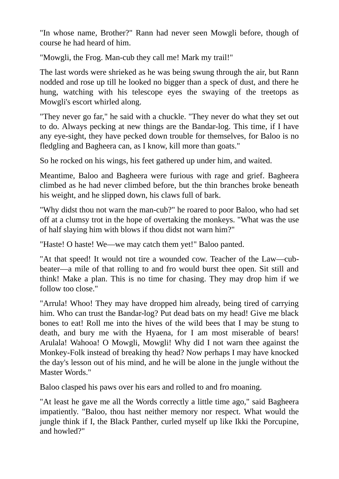"In whose name, Brother?" Rann had never seen Mowgli before, though of course he had heard of him.

"Mowgli, the Frog. Man-cub they call me! Mark my trail!"

The last words were shrieked as he was being swung through the air, but Rann nodded and rose up till he looked no bigger than a speck of dust, and there he hung, watching with his telescope eyes the swaying of the treetops as Mowgli's escort whirled along.

"They never go far," he said with a chuckle. "They never do what they set out to do. Always pecking at new things are the Bandar-log. This time, if I have any eye-sight, they have pecked down trouble for themselves, for Baloo is no fledgling and Bagheera can, as I know, kill more than goats."

So he rocked on his wings, his feet gathered up under him, and waited.

Meantime, Baloo and Bagheera were furious with rage and grief. Bagheera climbed as he had never climbed before, but the thin branches broke beneath his weight, and he slipped down, his claws full of bark.

"Why didst thou not warn the man-cub?" he roared to poor Baloo, who had set off at a clumsy trot in the hope of overtaking the monkeys. "What was the use of half slaying him with blows if thou didst not warn him?"

"Haste! O haste! We—we may catch them yet!" Baloo panted.

"At that speed! It would not tire a wounded cow. Teacher of the Law—cubbeater—a mile of that rolling to and fro would burst thee open. Sit still and think! Make a plan. This is no time for chasing. They may drop him if we follow too close."

"Arrula! Whoo! They may have dropped him already, being tired of carrying him. Who can trust the Bandar-log? Put dead bats on my head! Give me black bones to eat! Roll me into the hives of the wild bees that I may be stung to death, and bury me with the Hyaena, for I am most miserable of bears! Arulala! Wahooa! O Mowgli, Mowgli! Why did I not warn thee against the Monkey-Folk instead of breaking thy head? Now perhaps I may have knocked the day's lesson out of his mind, and he will be alone in the jungle without the Master Words."

Baloo clasped his paws over his ears and rolled to and fro moaning.

"At least he gave me all the Words correctly a little time ago," said Bagheera impatiently. "Baloo, thou hast neither memory nor respect. What would the jungle think if I, the Black Panther, curled myself up like Ikki the Porcupine, and howled?"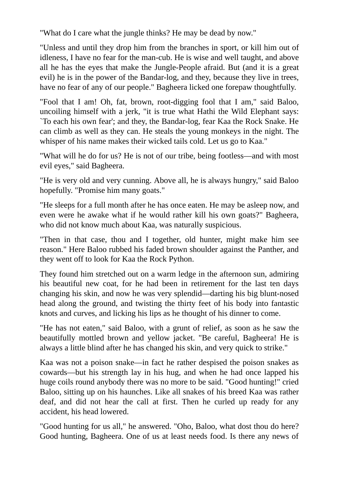"What do I care what the jungle thinks? He may be dead by now."

"Unless and until they drop him from the branches in sport, or kill him out of idleness, I have no fear for the man-cub. He is wise and well taught, and above all he has the eyes that make the Jungle-People afraid. But (and it is a great evil) he is in the power of the Bandar-log, and they, because they live in trees, have no fear of any of our people." Bagheera licked one forepaw thoughtfully.

"Fool that I am! Oh, fat, brown, root-digging fool that I am," said Baloo, uncoiling himself with a jerk, "it is true what Hathi the Wild Elephant says: `To each his own fear'; and they, the Bandar-log, fear Kaa the Rock Snake. He can climb as well as they can. He steals the young monkeys in the night. The whisper of his name makes their wicked tails cold. Let us go to Kaa."

"What will he do for us? He is not of our tribe, being footless—and with most evil eyes," said Bagheera.

"He is very old and very cunning. Above all, he is always hungry," said Baloo hopefully. "Promise him many goats."

"He sleeps for a full month after he has once eaten. He may be asleep now, and even were he awake what if he would rather kill his own goats?" Bagheera, who did not know much about Kaa, was naturally suspicious.

"Then in that case, thou and I together, old hunter, might make him see reason." Here Baloo rubbed his faded brown shoulder against the Panther, and they went off to look for Kaa the Rock Python.

They found him stretched out on a warm ledge in the afternoon sun, admiring his beautiful new coat, for he had been in retirement for the last ten days changing his skin, and now he was very splendid—darting his big blunt-nosed head along the ground, and twisting the thirty feet of his body into fantastic knots and curves, and licking his lips as he thought of his dinner to come.

"He has not eaten," said Baloo, with a grunt of relief, as soon as he saw the beautifully mottled brown and yellow jacket. "Be careful, Bagheera! He is always a little blind after he has changed his skin, and very quick to strike."

Kaa was not a poison snake—in fact he rather despised the poison snakes as cowards—but his strength lay in his hug, and when he had once lapped his huge coils round anybody there was no more to be said. "Good hunting!" cried Baloo, sitting up on his haunches. Like all snakes of his breed Kaa was rather deaf, and did not hear the call at first. Then he curled up ready for any accident, his head lowered.

"Good hunting for us all," he answered. "Oho, Baloo, what dost thou do here? Good hunting, Bagheera. One of us at least needs food. Is there any news of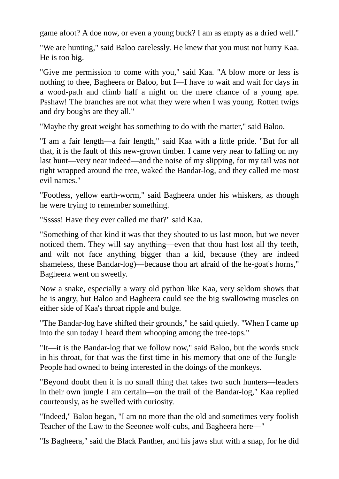game afoot? A doe now, or even a young buck? I am as empty as a dried well."

"We are hunting," said Baloo carelessly. He knew that you must not hurry Kaa. He is too big.

"Give me permission to come with you," said Kaa. "A blow more or less is nothing to thee, Bagheera or Baloo, but I—I have to wait and wait for days in a wood-path and climb half a night on the mere chance of a young ape. Psshaw! The branches are not what they were when I was young. Rotten twigs and dry boughs are they all."

"Maybe thy great weight has something to do with the matter," said Baloo.

"I am a fair length—a fair length," said Kaa with a little pride. "But for all that, it is the fault of this new-grown timber. I came very near to falling on my last hunt—very near indeed—and the noise of my slipping, for my tail was not tight wrapped around the tree, waked the Bandar-log, and they called me most evil names."

"Footless, yellow earth-worm," said Bagheera under his whiskers, as though he were trying to remember something.

"Sssss! Have they ever called me that?" said Kaa.

"Something of that kind it was that they shouted to us last moon, but we never noticed them. They will say anything—even that thou hast lost all thy teeth, and wilt not face anything bigger than a kid, because (they are indeed shameless, these Bandar-log)—because thou art afraid of the he-goat's horns," Bagheera went on sweetly.

Now a snake, especially a wary old python like Kaa, very seldom shows that he is angry, but Baloo and Bagheera could see the big swallowing muscles on either side of Kaa's throat ripple and bulge.

"The Bandar-log have shifted their grounds," he said quietly. "When I came up into the sun today I heard them whooping among the tree-tops."

"It—it is the Bandar-log that we follow now," said Baloo, but the words stuck in his throat, for that was the first time in his memory that one of the Jungle-People had owned to being interested in the doings of the monkeys.

"Beyond doubt then it is no small thing that takes two such hunters—leaders in their own jungle I am certain—on the trail of the Bandar-log," Kaa replied courteously, as he swelled with curiosity.

"Indeed," Baloo began, "I am no more than the old and sometimes very foolish Teacher of the Law to the Seeonee wolf-cubs, and Bagheera here—"

"Is Bagheera," said the Black Panther, and his jaws shut with a snap, for he did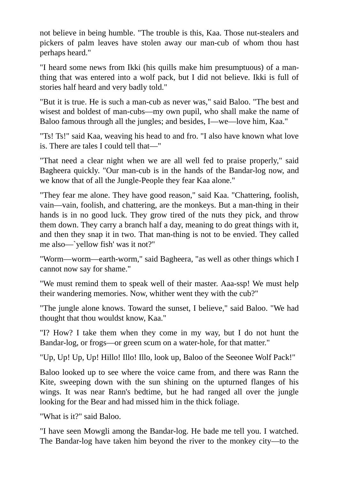not believe in being humble. "The trouble is this, Kaa. Those nut-stealers and pickers of palm leaves have stolen away our man-cub of whom thou hast perhaps heard."

"I heard some news from Ikki (his quills make him presumptuous) of a manthing that was entered into a wolf pack, but I did not believe. Ikki is full of stories half heard and very badly told."

"But it is true. He is such a man-cub as never was," said Baloo. "The best and wisest and boldest of man-cubs—my own pupil, who shall make the name of Baloo famous through all the jungles; and besides, I—we—love him, Kaa."

"Ts! Ts!" said Kaa, weaving his head to and fro. "I also have known what love is. There are tales I could tell that—"

"That need a clear night when we are all well fed to praise properly," said Bagheera quickly. "Our man-cub is in the hands of the Bandar-log now, and we know that of all the Jungle-People they fear Kaa alone."

"They fear me alone. They have good reason," said Kaa. "Chattering, foolish, vain—vain, foolish, and chattering, are the monkeys. But a man-thing in their hands is in no good luck. They grow tired of the nuts they pick, and throw them down. They carry a branch half a day, meaning to do great things with it, and then they snap it in two. That man-thing is not to be envied. They called me also—`yellow fish' was it not?"

"Worm—worm—earth-worm," said Bagheera, "as well as other things which I cannot now say for shame."

"We must remind them to speak well of their master. Aaa-ssp! We must help their wandering memories. Now, whither went they with the cub?"

"The jungle alone knows. Toward the sunset, I believe," said Baloo. "We had thought that thou wouldst know, Kaa."

"I? How? I take them when they come in my way, but I do not hunt the Bandar-log, or frogs—or green scum on a water-hole, for that matter."

"Up, Up! Up, Up! Hillo! Illo! Illo, look up, Baloo of the Seeonee Wolf Pack!"

Baloo looked up to see where the voice came from, and there was Rann the Kite, sweeping down with the sun shining on the upturned flanges of his wings. It was near Rann's bedtime, but he had ranged all over the jungle looking for the Bear and had missed him in the thick foliage.

"What is it?" said Baloo.

"I have seen Mowgli among the Bandar-log. He bade me tell you. I watched. The Bandar-log have taken him beyond the river to the monkey city—to the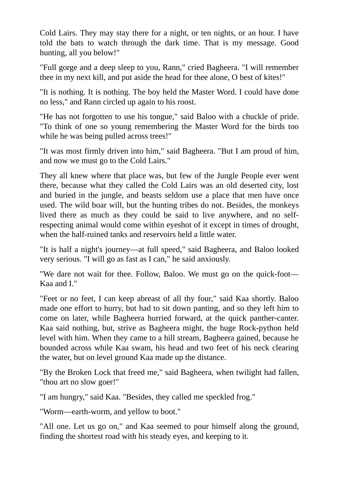Cold Lairs. They may stay there for a night, or ten nights, or an hour. I have told the bats to watch through the dark time. That is my message. Good hunting, all you below!"

"Full gorge and a deep sleep to you, Rann," cried Bagheera. "I will remember thee in my next kill, and put aside the head for thee alone, O best of kites!"

"It is nothing. It is nothing. The boy held the Master Word. I could have done no less," and Rann circled up again to his roost.

"He has not forgotten to use his tongue," said Baloo with a chuckle of pride. "To think of one so young remembering the Master Word for the birds too while he was being pulled across trees!"

"It was most firmly driven into him," said Bagheera. "But I am proud of him, and now we must go to the Cold Lairs."

They all knew where that place was, but few of the Jungle People ever went there, because what they called the Cold Lairs was an old deserted city, lost and buried in the jungle, and beasts seldom use a place that men have once used. The wild boar will, but the hunting tribes do not. Besides, the monkeys lived there as much as they could be said to live anywhere, and no selfrespecting animal would come within eyeshot of it except in times of drought, when the half-ruined tanks and reservoirs held a little water.

"It is half a night's journey—at full speed," said Bagheera, and Baloo looked very serious. "I will go as fast as I can," he said anxiously.

"We dare not wait for thee. Follow, Baloo. We must go on the quick-foot— Kaa and I."

"Feet or no feet, I can keep abreast of all thy four," said Kaa shortly. Baloo made one effort to hurry, but had to sit down panting, and so they left him to come on later, while Bagheera hurried forward, at the quick panther-canter. Kaa said nothing, but, strive as Bagheera might, the huge Rock-python held level with him. When they came to a hill stream, Bagheera gained, because he bounded across while Kaa swam, his head and two feet of his neck clearing the water, but on level ground Kaa made up the distance.

"By the Broken Lock that freed me," said Bagheera, when twilight had fallen, "thou art no slow goer!"

"I am hungry," said Kaa. "Besides, they called me speckled frog."

"Worm—earth-worm, and yellow to boot."

"All one. Let us go on," and Kaa seemed to pour himself along the ground, finding the shortest road with his steady eyes, and keeping to it.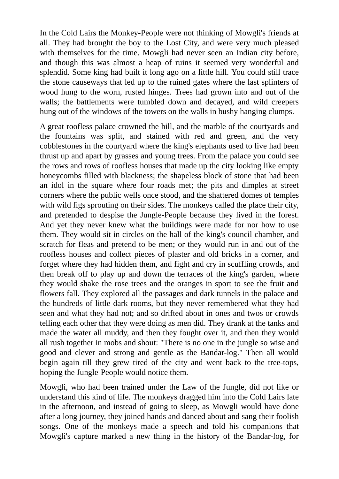In the Cold Lairs the Monkey-People were not thinking of Mowgli's friends at all. They had brought the boy to the Lost City, and were very much pleased with themselves for the time. Mowgli had never seen an Indian city before, and though this was almost a heap of ruins it seemed very wonderful and splendid. Some king had built it long ago on a little hill. You could still trace the stone causeways that led up to the ruined gates where the last splinters of wood hung to the worn, rusted hinges. Trees had grown into and out of the walls; the battlements were tumbled down and decayed, and wild creepers hung out of the windows of the towers on the walls in bushy hanging clumps.

A great roofless palace crowned the hill, and the marble of the courtyards and the fountains was split, and stained with red and green, and the very cobblestones in the courtyard where the king's elephants used to live had been thrust up and apart by grasses and young trees. From the palace you could see the rows and rows of roofless houses that made up the city looking like empty honeycombs filled with blackness; the shapeless block of stone that had been an idol in the square where four roads met; the pits and dimples at street corners where the public wells once stood, and the shattered domes of temples with wild figs sprouting on their sides. The monkeys called the place their city, and pretended to despise the Jungle-People because they lived in the forest. And yet they never knew what the buildings were made for nor how to use them. They would sit in circles on the hall of the king's council chamber, and scratch for fleas and pretend to be men; or they would run in and out of the roofless houses and collect pieces of plaster and old bricks in a corner, and forget where they had hidden them, and fight and cry in scuffling crowds, and then break off to play up and down the terraces of the king's garden, where they would shake the rose trees and the oranges in sport to see the fruit and flowers fall. They explored all the passages and dark tunnels in the palace and the hundreds of little dark rooms, but they never remembered what they had seen and what they had not; and so drifted about in ones and twos or crowds telling each other that they were doing as men did. They drank at the tanks and made the water all muddy, and then they fought over it, and then they would all rush together in mobs and shout: "There is no one in the jungle so wise and good and clever and strong and gentle as the Bandar-log." Then all would begin again till they grew tired of the city and went back to the tree-tops, hoping the Jungle-People would notice them.

Mowgli, who had been trained under the Law of the Jungle, did not like or understand this kind of life. The monkeys dragged him into the Cold Lairs late in the afternoon, and instead of going to sleep, as Mowgli would have done after a long journey, they joined hands and danced about and sang their foolish songs. One of the monkeys made a speech and told his companions that Mowgli's capture marked a new thing in the history of the Bandar-log, for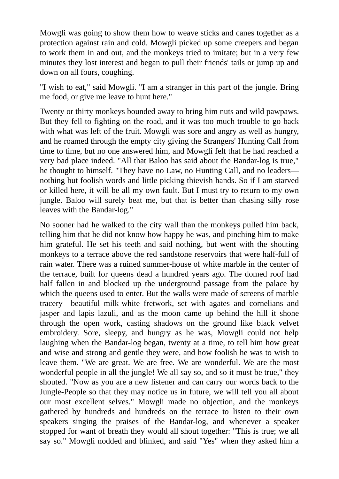Mowgli was going to show them how to weave sticks and canes together as a protection against rain and cold. Mowgli picked up some creepers and began to work them in and out, and the monkeys tried to imitate; but in a very few minutes they lost interest and began to pull their friends' tails or jump up and down on all fours, coughing.

"I wish to eat," said Mowgli. "I am a stranger in this part of the jungle. Bring me food, or give me leave to hunt here."

Twenty or thirty monkeys bounded away to bring him nuts and wild pawpaws. But they fell to fighting on the road, and it was too much trouble to go back with what was left of the fruit. Mowgli was sore and angry as well as hungry, and he roamed through the empty city giving the Strangers' Hunting Call from time to time, but no one answered him, and Mowgli felt that he had reached a very bad place indeed. "All that Baloo has said about the Bandar-log is true," he thought to himself. "They have no Law, no Hunting Call, and no leaders nothing but foolish words and little picking thievish hands. So if I am starved or killed here, it will be all my own fault. But I must try to return to my own jungle. Baloo will surely beat me, but that is better than chasing silly rose leaves with the Bandar-log."

No sooner had he walked to the city wall than the monkeys pulled him back, telling him that he did not know how happy he was, and pinching him to make him grateful. He set his teeth and said nothing, but went with the shouting monkeys to a terrace above the red sandstone reservoirs that were half-full of rain water. There was a ruined summer-house of white marble in the center of the terrace, built for queens dead a hundred years ago. The domed roof had half fallen in and blocked up the underground passage from the palace by which the queens used to enter. But the walls were made of screens of marble tracery—beautiful milk-white fretwork, set with agates and cornelians and jasper and lapis lazuli, and as the moon came up behind the hill it shone through the open work, casting shadows on the ground like black velvet embroidery. Sore, sleepy, and hungry as he was, Mowgli could not help laughing when the Bandar-log began, twenty at a time, to tell him how great and wise and strong and gentle they were, and how foolish he was to wish to leave them. "We are great. We are free. We are wonderful. We are the most wonderful people in all the jungle! We all say so, and so it must be true," they shouted. "Now as you are a new listener and can carry our words back to the Jungle-People so that they may notice us in future, we will tell you all about our most excellent selves." Mowgli made no objection, and the monkeys gathered by hundreds and hundreds on the terrace to listen to their own speakers singing the praises of the Bandar-log, and whenever a speaker stopped for want of breath they would all shout together: "This is true; we all say so." Mowgli nodded and blinked, and said "Yes" when they asked him a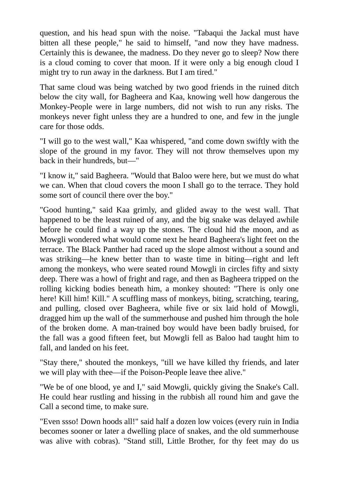question, and his head spun with the noise. "Tabaqui the Jackal must have bitten all these people," he said to himself, "and now they have madness. Certainly this is dewanee, the madness. Do they never go to sleep? Now there is a cloud coming to cover that moon. If it were only a big enough cloud I might try to run away in the darkness. But I am tired."

That same cloud was being watched by two good friends in the ruined ditch below the city wall, for Bagheera and Kaa, knowing well how dangerous the Monkey-People were in large numbers, did not wish to run any risks. The monkeys never fight unless they are a hundred to one, and few in the jungle care for those odds.

"I will go to the west wall," Kaa whispered, "and come down swiftly with the slope of the ground in my favor. They will not throw themselves upon my back in their hundreds, but—"

"I know it," said Bagheera. "Would that Baloo were here, but we must do what we can. When that cloud covers the moon I shall go to the terrace. They hold some sort of council there over the boy."

"Good hunting," said Kaa grimly, and glided away to the west wall. That happened to be the least ruined of any, and the big snake was delayed awhile before he could find a way up the stones. The cloud hid the moon, and as Mowgli wondered what would come next he heard Bagheera's light feet on the terrace. The Black Panther had raced up the slope almost without a sound and was striking—he knew better than to waste time in biting—right and left among the monkeys, who were seated round Mowgli in circles fifty and sixty deep. There was a howl of fright and rage, and then as Bagheera tripped on the rolling kicking bodies beneath him, a monkey shouted: "There is only one here! Kill him! Kill." A scuffling mass of monkeys, biting, scratching, tearing, and pulling, closed over Bagheera, while five or six laid hold of Mowgli, dragged him up the wall of the summerhouse and pushed him through the hole of the broken dome. A man-trained boy would have been badly bruised, for the fall was a good fifteen feet, but Mowgli fell as Baloo had taught him to fall, and landed on his feet.

"Stay there," shouted the monkeys, "till we have killed thy friends, and later we will play with thee—if the Poison-People leave thee alive."

"We be of one blood, ye and I," said Mowgli, quickly giving the Snake's Call. He could hear rustling and hissing in the rubbish all round him and gave the Call a second time, to make sure.

"Even ssso! Down hoods all!" said half a dozen low voices (every ruin in India becomes sooner or later a dwelling place of snakes, and the old summerhouse was alive with cobras). "Stand still, Little Brother, for thy feet may do us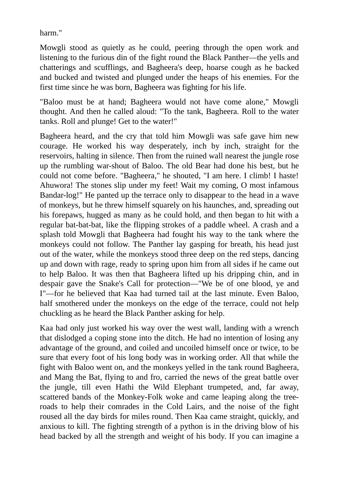harm."

Mowgli stood as quietly as he could, peering through the open work and listening to the furious din of the fight round the Black Panther—the yells and chatterings and scufflings, and Bagheera's deep, hoarse cough as he backed and bucked and twisted and plunged under the heaps of his enemies. For the first time since he was born, Bagheera was fighting for his life.

"Baloo must be at hand; Bagheera would not have come alone," Mowgli thought. And then he called aloud: "To the tank, Bagheera. Roll to the water tanks. Roll and plunge! Get to the water!"

Bagheera heard, and the cry that told him Mowgli was safe gave him new courage. He worked his way desperately, inch by inch, straight for the reservoirs, halting in silence. Then from the ruined wall nearest the jungle rose up the rumbling war-shout of Baloo. The old Bear had done his best, but he could not come before. "Bagheera," he shouted, "I am here. I climb! I haste! Ahuwora! The stones slip under my feet! Wait my coming, O most infamous Bandar-log!" He panted up the terrace only to disappear to the head in a wave of monkeys, but he threw himself squarely on his haunches, and, spreading out his forepaws, hugged as many as he could hold, and then began to hit with a regular bat-bat-bat, like the flipping strokes of a paddle wheel. A crash and a splash told Mowgli that Bagheera had fought his way to the tank where the monkeys could not follow. The Panther lay gasping for breath, his head just out of the water, while the monkeys stood three deep on the red steps, dancing up and down with rage, ready to spring upon him from all sides if he came out to help Baloo. It was then that Bagheera lifted up his dripping chin, and in despair gave the Snake's Call for protection—"We be of one blood, ye and I"—for he believed that Kaa had turned tail at the last minute. Even Baloo, half smothered under the monkeys on the edge of the terrace, could not help chuckling as he heard the Black Panther asking for help.

Kaa had only just worked his way over the west wall, landing with a wrench that dislodged a coping stone into the ditch. He had no intention of losing any advantage of the ground, and coiled and uncoiled himself once or twice, to be sure that every foot of his long body was in working order. All that while the fight with Baloo went on, and the monkeys yelled in the tank round Bagheera, and Mang the Bat, flying to and fro, carried the news of the great battle over the jungle, till even Hathi the Wild Elephant trumpeted, and, far away, scattered bands of the Monkey-Folk woke and came leaping along the treeroads to help their comrades in the Cold Lairs, and the noise of the fight roused all the day birds for miles round. Then Kaa came straight, quickly, and anxious to kill. The fighting strength of a python is in the driving blow of his head backed by all the strength and weight of his body. If you can imagine a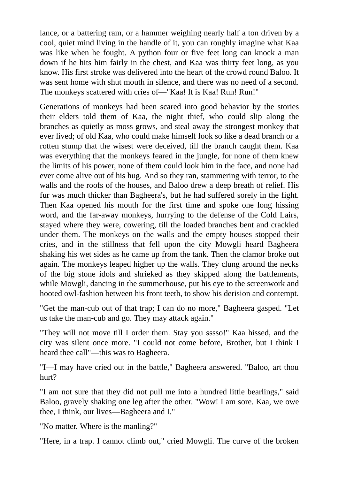lance, or a battering ram, or a hammer weighing nearly half a ton driven by a cool, quiet mind living in the handle of it, you can roughly imagine what Kaa was like when he fought. A python four or five feet long can knock a man down if he hits him fairly in the chest, and Kaa was thirty feet long, as you know. His first stroke was delivered into the heart of the crowd round Baloo. It was sent home with shut mouth in silence, and there was no need of a second. The monkeys scattered with cries of—"Kaa! It is Kaa! Run! Run!"

Generations of monkeys had been scared into good behavior by the stories their elders told them of Kaa, the night thief, who could slip along the branches as quietly as moss grows, and steal away the strongest monkey that ever lived; of old Kaa, who could make himself look so like a dead branch or a rotten stump that the wisest were deceived, till the branch caught them. Kaa was everything that the monkeys feared in the jungle, for none of them knew the limits of his power, none of them could look him in the face, and none had ever come alive out of his hug. And so they ran, stammering with terror, to the walls and the roofs of the houses, and Baloo drew a deep breath of relief. His fur was much thicker than Bagheera's, but he had suffered sorely in the fight. Then Kaa opened his mouth for the first time and spoke one long hissing word, and the far-away monkeys, hurrying to the defense of the Cold Lairs, stayed where they were, cowering, till the loaded branches bent and crackled under them. The monkeys on the walls and the empty houses stopped their cries, and in the stillness that fell upon the city Mowgli heard Bagheera shaking his wet sides as he came up from the tank. Then the clamor broke out again. The monkeys leaped higher up the walls. They clung around the necks of the big stone idols and shrieked as they skipped along the battlements, while Mowgli, dancing in the summerhouse, put his eye to the screenwork and hooted owl-fashion between his front teeth, to show his derision and contempt.

"Get the man-cub out of that trap; I can do no more," Bagheera gasped. "Let us take the man-cub and go. They may attack again."

"They will not move till I order them. Stay you sssso!" Kaa hissed, and the city was silent once more. "I could not come before, Brother, but I think I heard thee call"—this was to Bagheera.

"I—I may have cried out in the battle," Bagheera answered. "Baloo, art thou hurt?

"I am not sure that they did not pull me into a hundred little bearlings," said Baloo, gravely shaking one leg after the other. "Wow! I am sore. Kaa, we owe thee, I think, our lives—Bagheera and I."

"No matter. Where is the manling?"

"Here, in a trap. I cannot climb out," cried Mowgli. The curve of the broken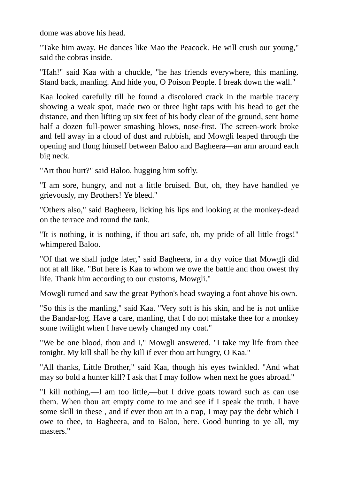dome was above his head.

"Take him away. He dances like Mao the Peacock. He will crush our young," said the cobras inside.

"Hah!" said Kaa with a chuckle, "he has friends everywhere, this manling. Stand back, manling. And hide you, O Poison People. I break down the wall."

Kaa looked carefully till he found a discolored crack in the marble tracery showing a weak spot, made two or three light taps with his head to get the distance, and then lifting up six feet of his body clear of the ground, sent home half a dozen full-power smashing blows, nose-first. The screen-work broke and fell away in a cloud of dust and rubbish, and Mowgli leaped through the opening and flung himself between Baloo and Bagheera—an arm around each big neck.

"Art thou hurt?" said Baloo, hugging him softly.

"I am sore, hungry, and not a little bruised. But, oh, they have handled ye grievously, my Brothers! Ye bleed."

"Others also," said Bagheera, licking his lips and looking at the monkey-dead on the terrace and round the tank.

"It is nothing, it is nothing, if thou art safe, oh, my pride of all little frogs!" whimpered Baloo.

"Of that we shall judge later," said Bagheera, in a dry voice that Mowgli did not at all like. "But here is Kaa to whom we owe the battle and thou owest thy life. Thank him according to our customs, Mowgli."

Mowgli turned and saw the great Python's head swaying a foot above his own.

"So this is the manling," said Kaa. "Very soft is his skin, and he is not unlike the Bandar-log. Have a care, manling, that I do not mistake thee for a monkey some twilight when I have newly changed my coat."

"We be one blood, thou and I," Mowgli answered. "I take my life from thee tonight. My kill shall be thy kill if ever thou art hungry, O Kaa."

"All thanks, Little Brother," said Kaa, though his eyes twinkled. "And what may so bold a hunter kill? I ask that I may follow when next he goes abroad."

"I kill nothing,—I am too little,—but I drive goats toward such as can use them. When thou art empty come to me and see if I speak the truth. I have some skill in these , and if ever thou art in a trap, I may pay the debt which I owe to thee, to Bagheera, and to Baloo, here. Good hunting to ye all, my masters."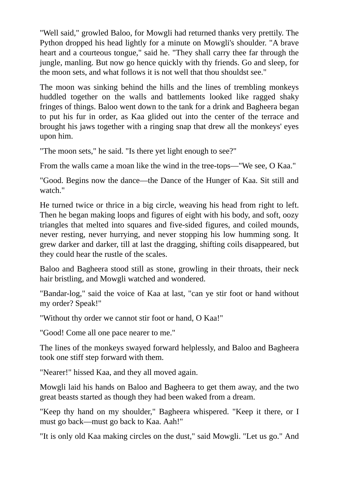"Well said," growled Baloo, for Mowgli had returned thanks very prettily. The Python dropped his head lightly for a minute on Mowgli's shoulder. "A brave heart and a courteous tongue," said he. "They shall carry thee far through the jungle, manling. But now go hence quickly with thy friends. Go and sleep, for the moon sets, and what follows it is not well that thou shouldst see."

The moon was sinking behind the hills and the lines of trembling monkeys huddled together on the walls and battlements looked like ragged shaky fringes of things. Baloo went down to the tank for a drink and Bagheera began to put his fur in order, as Kaa glided out into the center of the terrace and brought his jaws together with a ringing snap that drew all the monkeys' eyes upon him.

"The moon sets," he said. "Is there yet light enough to see?"

From the walls came a moan like the wind in the tree-tops—"We see, O Kaa."

"Good. Begins now the dance—the Dance of the Hunger of Kaa. Sit still and watch."

He turned twice or thrice in a big circle, weaving his head from right to left. Then he began making loops and figures of eight with his body, and soft, oozy triangles that melted into squares and five-sided figures, and coiled mounds, never resting, never hurrying, and never stopping his low humming song. It grew darker and darker, till at last the dragging, shifting coils disappeared, but they could hear the rustle of the scales.

Baloo and Bagheera stood still as stone, growling in their throats, their neck hair bristling, and Mowgli watched and wondered.

"Bandar-log," said the voice of Kaa at last, "can ye stir foot or hand without my order? Speak!"

"Without thy order we cannot stir foot or hand, O Kaa!"

"Good! Come all one pace nearer to me."

The lines of the monkeys swayed forward helplessly, and Baloo and Bagheera took one stiff step forward with them.

"Nearer!" hissed Kaa, and they all moved again.

Mowgli laid his hands on Baloo and Bagheera to get them away, and the two great beasts started as though they had been waked from a dream.

"Keep thy hand on my shoulder," Bagheera whispered. "Keep it there, or I must go back—must go back to Kaa. Aah!"

"It is only old Kaa making circles on the dust," said Mowgli. "Let us go." And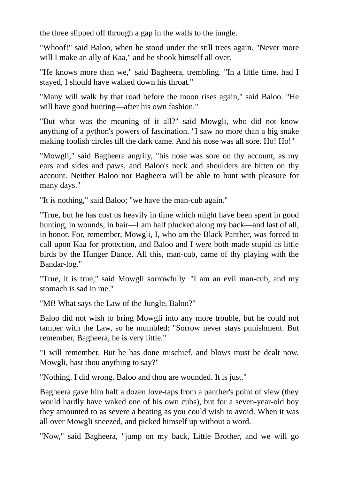the three slipped off through a gap in the walls to the jungle.

"Whoof!" said Baloo, when he stood under the still trees again. "Never more will I make an ally of Kaa," and he shook himself all over.

"He knows more than we," said Bagheera, trembling. "In a little time, had I stayed, I should have walked down his throat."

"Many will walk by that road before the moon rises again," said Baloo. "He will have good hunting—after his own fashion."

"But what was the meaning of it all?" said Mowgli, who did not know anything of a python's powers of fascination. "I saw no more than a big snake making foolish circles till the dark came. And his nose was all sore. Ho! Ho!"

"Mowgli," said Bagheera angrily, "his nose was sore on thy account, as my ears and sides and paws, and Baloo's neck and shoulders are bitten on thy account. Neither Baloo nor Bagheera will be able to hunt with pleasure for many days."

"It is nothing," said Baloo; "we have the man-cub again."

"True, but he has cost us heavily in time which might have been spent in good hunting, in wounds, in hair—I am half plucked along my back—and last of all, in honor. For, remember, Mowgli, I, who am the Black Panther, was forced to call upon Kaa for protection, and Baloo and I were both made stupid as little birds by the Hunger Dance. All this, man-cub, came of thy playing with the Bandar-log."

"True, it is true," said Mowgli sorrowfully. "I am an evil man-cub, and my stomach is sad in me."

"Mf! What says the Law of the Jungle, Baloo?"

Baloo did not wish to bring Mowgli into any more trouble, but he could not tamper with the Law, so he mumbled: "Sorrow never stays punishment. But remember, Bagheera, he is very little."

"I will remember. But he has done mischief, and blows must be dealt now. Mowgli, hast thou anything to say?"

"Nothing. I did wrong. Baloo and thou are wounded. It is just."

Bagheera gave him half a dozen love-taps from a panther's point of view (they would hardly have waked one of his own cubs), but for a seven-year-old boy they amounted to as severe a beating as you could wish to avoid. When it was all over Mowgli sneezed, and picked himself up without a word.

"Now," said Bagheera, "jump on my back, Little Brother, and we will go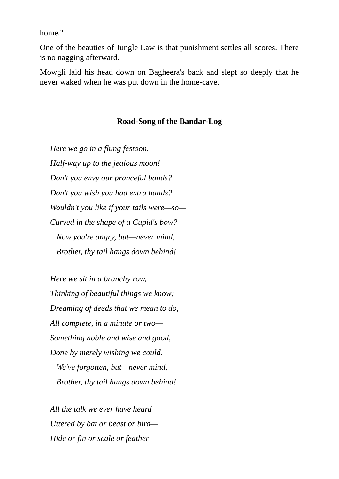home."

One of the beauties of Jungle Law is that punishment settles all scores. There is no nagging afterward.

Mowgli laid his head down on Bagheera's back and slept so deeply that he never waked when he was put down in the home-cave.

### **Road-Song of the Bandar-Log**

*Here we go in a flung festoon, Half-way up to the jealous moon! Don't you envy our pranceful bands? Don't you wish you had extra hands? Wouldn't you like if your tails were—so— Curved in the shape of a Cupid's bow? Now you're angry, but—never mind, Brother, thy tail hangs down behind!*

*Here we sit in a branchy row, Thinking of beautiful things we know; Dreaming of deeds that we mean to do, All complete, in a minute or two— Something noble and wise and good, Done by merely wishing we could. We've forgotten, but—never mind, Brother, thy tail hangs down behind!*

*All the talk we ever have heard Uttered by bat or beast or bird— Hide or fin or scale or feather—*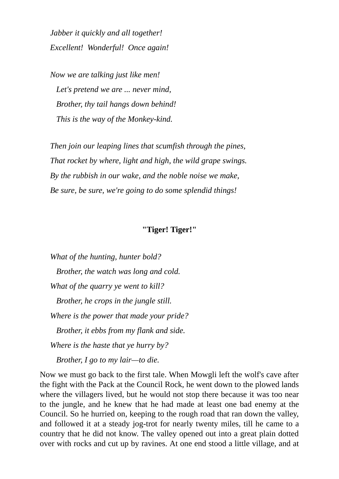*Jabber it quickly and all together! Excellent! Wonderful! Once again!*

*Now we are talking just like men! Let's pretend we are ... never mind, Brother, thy tail hangs down behind! This is the way of the Monkey-kind.*

*Then join our leaping lines that scumfish through the pines, That rocket by where, light and high, the wild grape swings. By the rubbish in our wake, and the noble noise we make, Be sure, be sure, we're going to do some splendid things!*

## **"Tiger! Tiger!"**

*What of the hunting, hunter bold? Brother, the watch was long and cold. What of the quarry ye went to kill? Brother, he crops in the jungle still. Where is the power that made your pride? Brother, it ebbs from my flank and side. Where is the haste that ye hurry by? Brother, I go to my lair—to die.*

Now we must go back to the first tale. When Mowgli left the wolf's cave after the fight with the Pack at the Council Rock, he went down to the plowed lands where the villagers lived, but he would not stop there because it was too near to the jungle, and he knew that he had made at least one bad enemy at the Council. So he hurried on, keeping to the rough road that ran down the valley, and followed it at a steady jog-trot for nearly twenty miles, till he came to a country that he did not know. The valley opened out into a great plain dotted over with rocks and cut up by ravines. At one end stood a little village, and at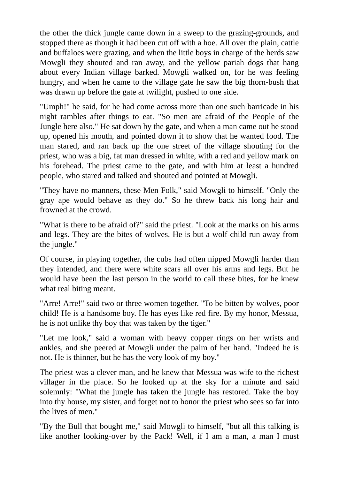the other the thick jungle came down in a sweep to the grazing-grounds, and stopped there as though it had been cut off with a hoe. All over the plain, cattle and buffaloes were grazing, and when the little boys in charge of the herds saw Mowgli they shouted and ran away, and the yellow pariah dogs that hang about every Indian village barked. Mowgli walked on, for he was feeling hungry, and when he came to the village gate he saw the big thorn-bush that was drawn up before the gate at twilight, pushed to one side.

"Umph!" he said, for he had come across more than one such barricade in his night rambles after things to eat. "So men are afraid of the People of the Jungle here also." He sat down by the gate, and when a man came out he stood up, opened his mouth, and pointed down it to show that he wanted food. The man stared, and ran back up the one street of the village shouting for the priest, who was a big, fat man dressed in white, with a red and yellow mark on his forehead. The priest came to the gate, and with him at least a hundred people, who stared and talked and shouted and pointed at Mowgli.

"They have no manners, these Men Folk," said Mowgli to himself. "Only the gray ape would behave as they do." So he threw back his long hair and frowned at the crowd.

"What is there to be afraid of?" said the priest. "Look at the marks on his arms and legs. They are the bites of wolves. He is but a wolf-child run away from the jungle."

Of course, in playing together, the cubs had often nipped Mowgli harder than they intended, and there were white scars all over his arms and legs. But he would have been the last person in the world to call these bites, for he knew what real biting meant.

"Arre! Arre!" said two or three women together. "To be bitten by wolves, poor child! He is a handsome boy. He has eyes like red fire. By my honor, Messua, he is not unlike thy boy that was taken by the tiger."

"Let me look," said a woman with heavy copper rings on her wrists and ankles, and she peered at Mowgli under the palm of her hand. "Indeed he is not. He is thinner, but he has the very look of my boy."

The priest was a clever man, and he knew that Messua was wife to the richest villager in the place. So he looked up at the sky for a minute and said solemnly: "What the jungle has taken the jungle has restored. Take the boy into thy house, my sister, and forget not to honor the priest who sees so far into the lives of men."

"By the Bull that bought me," said Mowgli to himself, "but all this talking is like another looking-over by the Pack! Well, if I am a man, a man I must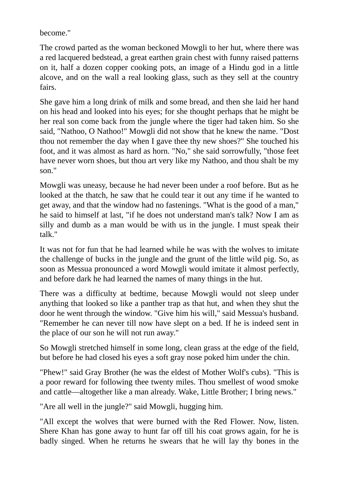become."

The crowd parted as the woman beckoned Mowgli to her hut, where there was a red lacquered bedstead, a great earthen grain chest with funny raised patterns on it, half a dozen copper cooking pots, an image of a Hindu god in a little alcove, and on the wall a real looking glass, such as they sell at the country fairs.

She gave him a long drink of milk and some bread, and then she laid her hand on his head and looked into his eyes; for she thought perhaps that he might be her real son come back from the jungle where the tiger had taken him. So she said, "Nathoo, O Nathoo!" Mowgli did not show that he knew the name. "Dost thou not remember the day when I gave thee thy new shoes?" She touched his foot, and it was almost as hard as horn. "No," she said sorrowfully, "those feet have never worn shoes, but thou art very like my Nathoo, and thou shalt be my son."

Mowgli was uneasy, because he had never been under a roof before. But as he looked at the thatch, he saw that he could tear it out any time if he wanted to get away, and that the window had no fastenings. "What is the good of a man," he said to himself at last, "if he does not understand man's talk? Now I am as silly and dumb as a man would be with us in the jungle. I must speak their talk."

It was not for fun that he had learned while he was with the wolves to imitate the challenge of bucks in the jungle and the grunt of the little wild pig. So, as soon as Messua pronounced a word Mowgli would imitate it almost perfectly, and before dark he had learned the names of many things in the hut.

There was a difficulty at bedtime, because Mowgli would not sleep under anything that looked so like a panther trap as that hut, and when they shut the door he went through the window. "Give him his will," said Messua's husband. "Remember he can never till now have slept on a bed. If he is indeed sent in the place of our son he will not run away."

So Mowgli stretched himself in some long, clean grass at the edge of the field, but before he had closed his eyes a soft gray nose poked him under the chin.

"Phew!" said Gray Brother (he was the eldest of Mother Wolf's cubs). "This is a poor reward for following thee twenty miles. Thou smellest of wood smoke and cattle—altogether like a man already. Wake, Little Brother; I bring news."

"Are all well in the jungle?" said Mowgli, hugging him.

"All except the wolves that were burned with the Red Flower. Now, listen. Shere Khan has gone away to hunt far off till his coat grows again, for he is badly singed. When he returns he swears that he will lay thy bones in the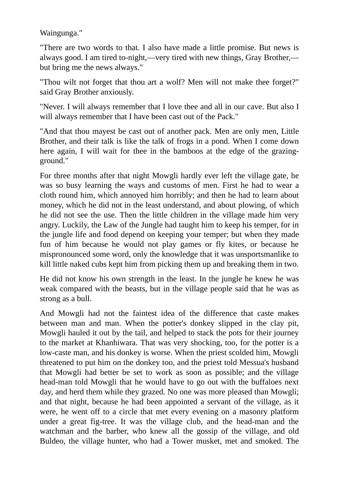Waingunga."

"There are two words to that. I also have made a little promise. But news is always good. I am tired to-night,—very tired with new things, Gray Brother, but bring me the news always."

"Thou wilt not forget that thou art a wolf? Men will not make thee forget?" said Gray Brother anxiously.

"Never. I will always remember that I love thee and all in our cave. But also I will always remember that I have been cast out of the Pack."

"And that thou mayest be cast out of another pack. Men are only men, Little Brother, and their talk is like the talk of frogs in a pond. When I come down here again, I will wait for thee in the bamboos at the edge of the grazingground."

For three months after that night Mowgli hardly ever left the village gate, he was so busy learning the ways and customs of men. First he had to wear a cloth round him, which annoyed him horribly; and then he had to learn about money, which he did not in the least understand, and about plowing, of which he did not see the use. Then the little children in the village made him very angry. Luckily, the Law of the Jungle had taught him to keep his temper, for in the jungle life and food depend on keeping your temper; but when they made fun of him because he would not play games or fly kites, or because he mispronounced some word, only the knowledge that it was unsportsmanlike to kill little naked cubs kept him from picking them up and breaking them in two.

He did not know his own strength in the least. In the jungle he knew he was weak compared with the beasts, but in the village people said that he was as strong as a bull.

And Mowgli had not the faintest idea of the difference that caste makes between man and man. When the potter's donkey slipped in the clay pit, Mowgli hauled it out by the tail, and helped to stack the pots for their journey to the market at Khanhiwara. That was very shocking, too, for the potter is a low-caste man, and his donkey is worse. When the priest scolded him, Mowgli threatened to put him on the donkey too, and the priest told Messua's husband that Mowgli had better be set to work as soon as possible; and the village head-man told Mowgli that he would have to go out with the buffaloes next day, and herd them while they grazed. No one was more pleased than Mowgli; and that night, because he had been appointed a servant of the village, as it were, he went off to a circle that met every evening on a masonry platform under a great fig-tree. It was the village club, and the head-man and the watchman and the barber, who knew all the gossip of the village, and old Buldeo, the village hunter, who had a Tower musket, met and smoked. The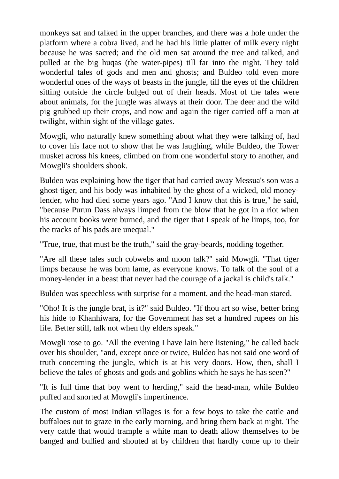monkeys sat and talked in the upper branches, and there was a hole under the platform where a cobra lived, and he had his little platter of milk every night because he was sacred; and the old men sat around the tree and talked, and pulled at the big huqas (the water-pipes) till far into the night. They told wonderful tales of gods and men and ghosts; and Buldeo told even more wonderful ones of the ways of beasts in the jungle, till the eyes of the children sitting outside the circle bulged out of their heads. Most of the tales were about animals, for the jungle was always at their door. The deer and the wild pig grubbed up their crops, and now and again the tiger carried off a man at twilight, within sight of the village gates.

Mowgli, who naturally knew something about what they were talking of, had to cover his face not to show that he was laughing, while Buldeo, the Tower musket across his knees, climbed on from one wonderful story to another, and Mowgli's shoulders shook.

Buldeo was explaining how the tiger that had carried away Messua's son was a ghost-tiger, and his body was inhabited by the ghost of a wicked, old moneylender, who had died some years ago. "And I know that this is true," he said, "because Purun Dass always limped from the blow that he got in a riot when his account books were burned, and the tiger that I speak of he limps, too, for the tracks of his pads are unequal."

"True, true, that must be the truth," said the gray-beards, nodding together.

"Are all these tales such cobwebs and moon talk?" said Mowgli. "That tiger limps because he was born lame, as everyone knows. To talk of the soul of a money-lender in a beast that never had the courage of a jackal is child's talk."

Buldeo was speechless with surprise for a moment, and the head-man stared.

"Oho! It is the jungle brat, is it?" said Buldeo. "If thou art so wise, better bring his hide to Khanhiwara, for the Government has set a hundred rupees on his life. Better still, talk not when thy elders speak."

Mowgli rose to go. "All the evening I have lain here listening," he called back over his shoulder, "and, except once or twice, Buldeo has not said one word of truth concerning the jungle, which is at his very doors. How, then, shall I believe the tales of ghosts and gods and goblins which he says he has seen?"

"It is full time that boy went to herding," said the head-man, while Buldeo puffed and snorted at Mowgli's impertinence.

The custom of most Indian villages is for a few boys to take the cattle and buffaloes out to graze in the early morning, and bring them back at night. The very cattle that would trample a white man to death allow themselves to be banged and bullied and shouted at by children that hardly come up to their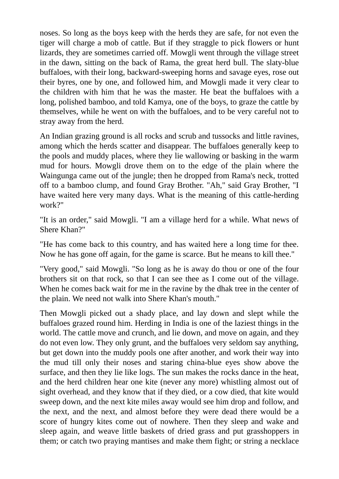noses. So long as the boys keep with the herds they are safe, for not even the tiger will charge a mob of cattle. But if they straggle to pick flowers or hunt lizards, they are sometimes carried off. Mowgli went through the village street in the dawn, sitting on the back of Rama, the great herd bull. The slaty-blue buffaloes, with their long, backward-sweeping horns and savage eyes, rose out their byres, one by one, and followed him, and Mowgli made it very clear to the children with him that he was the master. He beat the buffaloes with a long, polished bamboo, and told Kamya, one of the boys, to graze the cattle by themselves, while he went on with the buffaloes, and to be very careful not to stray away from the herd.

An Indian grazing ground is all rocks and scrub and tussocks and little ravines, among which the herds scatter and disappear. The buffaloes generally keep to the pools and muddy places, where they lie wallowing or basking in the warm mud for hours. Mowgli drove them on to the edge of the plain where the Waingunga came out of the jungle; then he dropped from Rama's neck, trotted off to a bamboo clump, and found Gray Brother. "Ah," said Gray Brother, "I have waited here very many days. What is the meaning of this cattle-herding work?"

"It is an order," said Mowgli. "I am a village herd for a while. What news of Shere Khan?"

"He has come back to this country, and has waited here a long time for thee. Now he has gone off again, for the game is scarce. But he means to kill thee."

"Very good," said Mowgli. "So long as he is away do thou or one of the four brothers sit on that rock, so that I can see thee as I come out of the village. When he comes back wait for me in the ravine by the dhak tree in the center of the plain. We need not walk into Shere Khan's mouth."

Then Mowgli picked out a shady place, and lay down and slept while the buffaloes grazed round him. Herding in India is one of the laziest things in the world. The cattle move and crunch, and lie down, and move on again, and they do not even low. They only grunt, and the buffaloes very seldom say anything, but get down into the muddy pools one after another, and work their way into the mud till only their noses and staring china-blue eyes show above the surface, and then they lie like logs. The sun makes the rocks dance in the heat, and the herd children hear one kite (never any more) whistling almost out of sight overhead, and they know that if they died, or a cow died, that kite would sweep down, and the next kite miles away would see him drop and follow, and the next, and the next, and almost before they were dead there would be a score of hungry kites come out of nowhere. Then they sleep and wake and sleep again, and weave little baskets of dried grass and put grasshoppers in them; or catch two praying mantises and make them fight; or string a necklace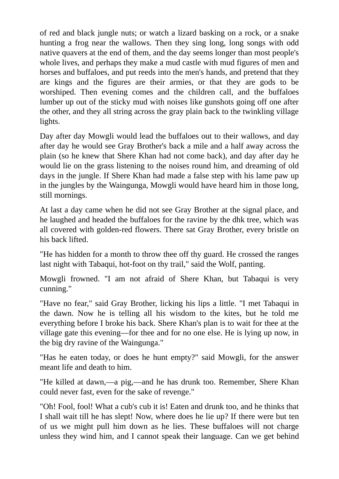of red and black jungle nuts; or watch a lizard basking on a rock, or a snake hunting a frog near the wallows. Then they sing long, long songs with odd native quavers at the end of them, and the day seems longer than most people's whole lives, and perhaps they make a mud castle with mud figures of men and horses and buffaloes, and put reeds into the men's hands, and pretend that they are kings and the figures are their armies, or that they are gods to be worshiped. Then evening comes and the children call, and the buffaloes lumber up out of the sticky mud with noises like gunshots going off one after the other, and they all string across the gray plain back to the twinkling village lights.

Day after day Mowgli would lead the buffaloes out to their wallows, and day after day he would see Gray Brother's back a mile and a half away across the plain (so he knew that Shere Khan had not come back), and day after day he would lie on the grass listening to the noises round him, and dreaming of old days in the jungle. If Shere Khan had made a false step with his lame paw up in the jungles by the Waingunga, Mowgli would have heard him in those long, still mornings.

At last a day came when he did not see Gray Brother at the signal place, and he laughed and headed the buffaloes for the ravine by the dhk tree, which was all covered with golden-red flowers. There sat Gray Brother, every bristle on his back lifted.

"He has hidden for a month to throw thee off thy guard. He crossed the ranges last night with Tabaqui, hot-foot on thy trail," said the Wolf, panting.

Mowgli frowned. "I am not afraid of Shere Khan, but Tabaqui is very cunning."

"Have no fear," said Gray Brother, licking his lips a little. "I met Tabaqui in the dawn. Now he is telling all his wisdom to the kites, but he told me everything before I broke his back. Shere Khan's plan is to wait for thee at the village gate this evening—for thee and for no one else. He is lying up now, in the big dry ravine of the Waingunga."

"Has he eaten today, or does he hunt empty?" said Mowgli, for the answer meant life and death to him.

"He killed at dawn,—a pig,—and he has drunk too. Remember, Shere Khan could never fast, even for the sake of revenge."

"Oh! Fool, fool! What a cub's cub it is! Eaten and drunk too, and he thinks that I shall wait till he has slept! Now, where does he lie up? If there were but ten of us we might pull him down as he lies. These buffaloes will not charge unless they wind him, and I cannot speak their language. Can we get behind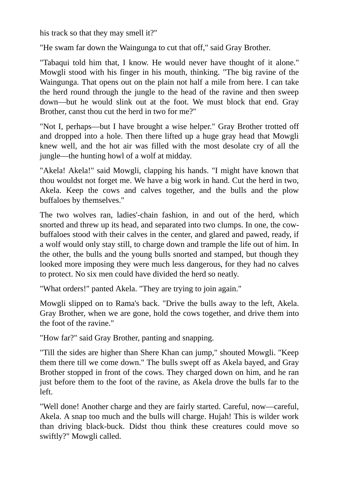his track so that they may smell it?"

"He swam far down the Waingunga to cut that off," said Gray Brother.

"Tabaqui told him that, I know. He would never have thought of it alone." Mowgli stood with his finger in his mouth, thinking. "The big ravine of the Waingunga. That opens out on the plain not half a mile from here. I can take the herd round through the jungle to the head of the ravine and then sweep down—but he would slink out at the foot. We must block that end. Gray Brother, canst thou cut the herd in two for me?"

"Not I, perhaps—but I have brought a wise helper." Gray Brother trotted off and dropped into a hole. Then there lifted up a huge gray head that Mowgli knew well, and the hot air was filled with the most desolate cry of all the jungle—the hunting howl of a wolf at midday.

"Akela! Akela!" said Mowgli, clapping his hands. "I might have known that thou wouldst not forget me. We have a big work in hand. Cut the herd in two, Akela. Keep the cows and calves together, and the bulls and the plow buffaloes by themselves."

The two wolves ran, ladies'-chain fashion, in and out of the herd, which snorted and threw up its head, and separated into two clumps. In one, the cowbuffaloes stood with their calves in the center, and glared and pawed, ready, if a wolf would only stay still, to charge down and trample the life out of him. In the other, the bulls and the young bulls snorted and stamped, but though they looked more imposing they were much less dangerous, for they had no calves to protect. No six men could have divided the herd so neatly.

"What orders!" panted Akela. "They are trying to join again."

Mowgli slipped on to Rama's back. "Drive the bulls away to the left, Akela. Gray Brother, when we are gone, hold the cows together, and drive them into the foot of the ravine."

"How far?" said Gray Brother, panting and snapping.

"Till the sides are higher than Shere Khan can jump," shouted Mowgli. "Keep them there till we come down." The bulls swept off as Akela bayed, and Gray Brother stopped in front of the cows. They charged down on him, and he ran just before them to the foot of the ravine, as Akela drove the bulls far to the left.

"Well done! Another charge and they are fairly started. Careful, now—careful, Akela. A snap too much and the bulls will charge. Hujah! This is wilder work than driving black-buck. Didst thou think these creatures could move so swiftly?" Mowgli called.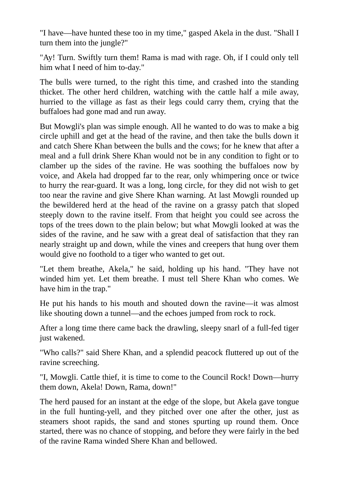"I have—have hunted these too in my time," gasped Akela in the dust. "Shall I turn them into the jungle?"

"Ay! Turn. Swiftly turn them! Rama is mad with rage. Oh, if I could only tell him what I need of him to-day."

The bulls were turned, to the right this time, and crashed into the standing thicket. The other herd children, watching with the cattle half a mile away, hurried to the village as fast as their legs could carry them, crying that the buffaloes had gone mad and run away.

But Mowgli's plan was simple enough. All he wanted to do was to make a big circle uphill and get at the head of the ravine, and then take the bulls down it and catch Shere Khan between the bulls and the cows; for he knew that after a meal and a full drink Shere Khan would not be in any condition to fight or to clamber up the sides of the ravine. He was soothing the buffaloes now by voice, and Akela had dropped far to the rear, only whimpering once or twice to hurry the rear-guard. It was a long, long circle, for they did not wish to get too near the ravine and give Shere Khan warning. At last Mowgli rounded up the bewildered herd at the head of the ravine on a grassy patch that sloped steeply down to the ravine itself. From that height you could see across the tops of the trees down to the plain below; but what Mowgli looked at was the sides of the ravine, and he saw with a great deal of satisfaction that they ran nearly straight up and down, while the vines and creepers that hung over them would give no foothold to a tiger who wanted to get out.

"Let them breathe, Akela," he said, holding up his hand. "They have not winded him yet. Let them breathe. I must tell Shere Khan who comes. We have him in the trap."

He put his hands to his mouth and shouted down the ravine—it was almost like shouting down a tunnel—and the echoes jumped from rock to rock.

After a long time there came back the drawling, sleepy snarl of a full-fed tiger just wakened.

"Who calls?" said Shere Khan, and a splendid peacock fluttered up out of the ravine screeching.

"I, Mowgli. Cattle thief, it is time to come to the Council Rock! Down—hurry them down, Akela! Down, Rama, down!"

The herd paused for an instant at the edge of the slope, but Akela gave tongue in the full hunting-yell, and they pitched over one after the other, just as steamers shoot rapids, the sand and stones spurting up round them. Once started, there was no chance of stopping, and before they were fairly in the bed of the ravine Rama winded Shere Khan and bellowed.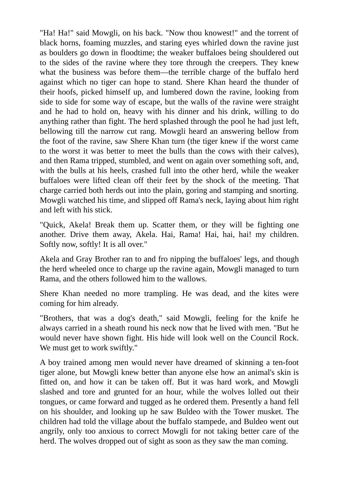"Ha! Ha!" said Mowgli, on his back. "Now thou knowest!" and the torrent of black horns, foaming muzzles, and staring eyes whirled down the ravine just as boulders go down in floodtime; the weaker buffaloes being shouldered out to the sides of the ravine where they tore through the creepers. They knew what the business was before them—the terrible charge of the buffalo herd against which no tiger can hope to stand. Shere Khan heard the thunder of their hoofs, picked himself up, and lumbered down the ravine, looking from side to side for some way of escape, but the walls of the ravine were straight and he had to hold on, heavy with his dinner and his drink, willing to do anything rather than fight. The herd splashed through the pool he had just left, bellowing till the narrow cut rang. Mowgli heard an answering bellow from the foot of the ravine, saw Shere Khan turn (the tiger knew if the worst came to the worst it was better to meet the bulls than the cows with their calves), and then Rama tripped, stumbled, and went on again over something soft, and, with the bulls at his heels, crashed full into the other herd, while the weaker buffaloes were lifted clean off their feet by the shock of the meeting. That charge carried both herds out into the plain, goring and stamping and snorting. Mowgli watched his time, and slipped off Rama's neck, laying about him right and left with his stick.

"Quick, Akela! Break them up. Scatter them, or they will be fighting one another. Drive them away, Akela. Hai, Rama! Hai, hai, hai! my children. Softly now, softly! It is all over."

Akela and Gray Brother ran to and fro nipping the buffaloes' legs, and though the herd wheeled once to charge up the ravine again, Mowgli managed to turn Rama, and the others followed him to the wallows.

Shere Khan needed no more trampling. He was dead, and the kites were coming for him already.

"Brothers, that was a dog's death," said Mowgli, feeling for the knife he always carried in a sheath round his neck now that he lived with men. "But he would never have shown fight. His hide will look well on the Council Rock. We must get to work swiftly."

A boy trained among men would never have dreamed of skinning a ten-foot tiger alone, but Mowgli knew better than anyone else how an animal's skin is fitted on, and how it can be taken off. But it was hard work, and Mowgli slashed and tore and grunted for an hour, while the wolves lolled out their tongues, or came forward and tugged as he ordered them. Presently a hand fell on his shoulder, and looking up he saw Buldeo with the Tower musket. The children had told the village about the buffalo stampede, and Buldeo went out angrily, only too anxious to correct Mowgli for not taking better care of the herd. The wolves dropped out of sight as soon as they saw the man coming.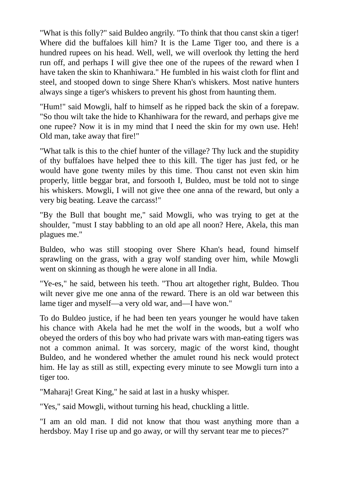"What is this folly?" said Buldeo angrily. "To think that thou canst skin a tiger! Where did the buffaloes kill him? It is the Lame Tiger too, and there is a hundred rupees on his head. Well, well, we will overlook thy letting the herd run off, and perhaps I will give thee one of the rupees of the reward when I have taken the skin to Khanhiwara." He fumbled in his waist cloth for flint and steel, and stooped down to singe Shere Khan's whiskers. Most native hunters always singe a tiger's whiskers to prevent his ghost from haunting them.

"Hum!" said Mowgli, half to himself as he ripped back the skin of a forepaw. "So thou wilt take the hide to Khanhiwara for the reward, and perhaps give me one rupee? Now it is in my mind that I need the skin for my own use. Heh! Old man, take away that fire!"

"What talk is this to the chief hunter of the village? Thy luck and the stupidity of thy buffaloes have helped thee to this kill. The tiger has just fed, or he would have gone twenty miles by this time. Thou canst not even skin him properly, little beggar brat, and forsooth I, Buldeo, must be told not to singe his whiskers. Mowgli, I will not give thee one anna of the reward, but only a very big beating. Leave the carcass!"

"By the Bull that bought me," said Mowgli, who was trying to get at the shoulder, "must I stay babbling to an old ape all noon? Here, Akela, this man plagues me."

Buldeo, who was still stooping over Shere Khan's head, found himself sprawling on the grass, with a gray wolf standing over him, while Mowgli went on skinning as though he were alone in all India.

"Ye-es," he said, between his teeth. "Thou art altogether right, Buldeo. Thou wilt never give me one anna of the reward. There is an old war between this lame tiger and myself—a very old war, and—I have won."

To do Buldeo justice, if he had been ten years younger he would have taken his chance with Akela had he met the wolf in the woods, but a wolf who obeyed the orders of this boy who had private wars with man-eating tigers was not a common animal. It was sorcery, magic of the worst kind, thought Buldeo, and he wondered whether the amulet round his neck would protect him. He lay as still as still, expecting every minute to see Mowgli turn into a tiger too.

"Maharaj! Great King," he said at last in a husky whisper.

"Yes," said Mowgli, without turning his head, chuckling a little.

"I am an old man. I did not know that thou wast anything more than a herdsboy. May I rise up and go away, or will thy servant tear me to pieces?"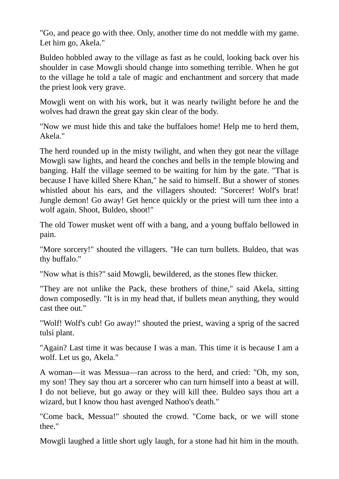"Go, and peace go with thee. Only, another time do not meddle with my game. Let him go, Akela."

Buldeo hobbled away to the village as fast as he could, looking back over his shoulder in case Mowgli should change into something terrible. When he got to the village he told a tale of magic and enchantment and sorcery that made the priest look very grave.

Mowgli went on with his work, but it was nearly twilight before he and the wolves had drawn the great gay skin clear of the body.

"Now we must hide this and take the buffaloes home! Help me to herd them, Akela."

The herd rounded up in the misty twilight, and when they got near the village Mowgli saw lights, and heard the conches and bells in the temple blowing and banging. Half the village seemed to be waiting for him by the gate. "That is because I have killed Shere Khan," he said to himself. But a shower of stones whistled about his ears, and the villagers shouted: "Sorcerer! Wolf's brat! Jungle demon! Go away! Get hence quickly or the priest will turn thee into a wolf again. Shoot, Buldeo, shoot!"

The old Tower musket went off with a bang, and a young buffalo bellowed in pain.

"More sorcery!" shouted the villagers. "He can turn bullets. Buldeo, that was thy buffalo."

"Now what is this?" said Mowgli, bewildered, as the stones flew thicker.

"They are not unlike the Pack, these brothers of thine," said Akela, sitting down composedly. "It is in my head that, if bullets mean anything, they would cast thee out."

"Wolf! Wolf's cub! Go away!" shouted the priest, waving a sprig of the sacred tulsi plant.

"Again? Last time it was because I was a man. This time it is because I am a wolf. Let us go, Akela."

A woman—it was Messua—ran across to the herd, and cried: "Oh, my son, my son! They say thou art a sorcerer who can turn himself into a beast at will. I do not believe, but go away or they will kill thee. Buldeo says thou art a wizard, but I know thou hast avenged Nathoo's death."

"Come back, Messua!" shouted the crowd. "Come back, or we will stone thee."

Mowgli laughed a little short ugly laugh, for a stone had hit him in the mouth.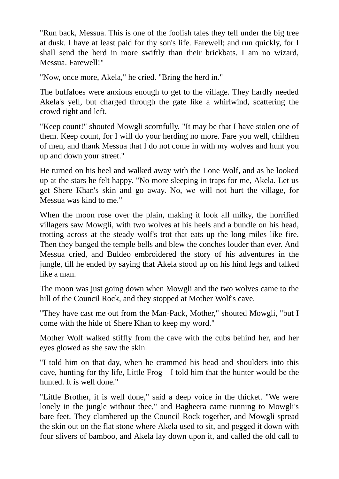"Run back, Messua. This is one of the foolish tales they tell under the big tree at dusk. I have at least paid for thy son's life. Farewell; and run quickly, for I shall send the herd in more swiftly than their brickbats. I am no wizard, Messua. Farewell!"

"Now, once more, Akela," he cried. "Bring the herd in."

The buffaloes were anxious enough to get to the village. They hardly needed Akela's yell, but charged through the gate like a whirlwind, scattering the crowd right and left.

"Keep count!" shouted Mowgli scornfully. "It may be that I have stolen one of them. Keep count, for I will do your herding no more. Fare you well, children of men, and thank Messua that I do not come in with my wolves and hunt you up and down your street."

He turned on his heel and walked away with the Lone Wolf, and as he looked up at the stars he felt happy. "No more sleeping in traps for me, Akela. Let us get Shere Khan's skin and go away. No, we will not hurt the village, for Messua was kind to me."

When the moon rose over the plain, making it look all milky, the horrified villagers saw Mowgli, with two wolves at his heels and a bundle on his head, trotting across at the steady wolf's trot that eats up the long miles like fire. Then they banged the temple bells and blew the conches louder than ever. And Messua cried, and Buldeo embroidered the story of his adventures in the jungle, till he ended by saying that Akela stood up on his hind legs and talked like a man.

The moon was just going down when Mowgli and the two wolves came to the hill of the Council Rock, and they stopped at Mother Wolf's cave.

"They have cast me out from the Man-Pack, Mother," shouted Mowgli, "but I come with the hide of Shere Khan to keep my word."

Mother Wolf walked stiffly from the cave with the cubs behind her, and her eyes glowed as she saw the skin.

"I told him on that day, when he crammed his head and shoulders into this cave, hunting for thy life, Little Frog—I told him that the hunter would be the hunted. It is well done."

"Little Brother, it is well done," said a deep voice in the thicket. "We were lonely in the jungle without thee," and Bagheera came running to Mowgli's bare feet. They clambered up the Council Rock together, and Mowgli spread the skin out on the flat stone where Akela used to sit, and pegged it down with four slivers of bamboo, and Akela lay down upon it, and called the old call to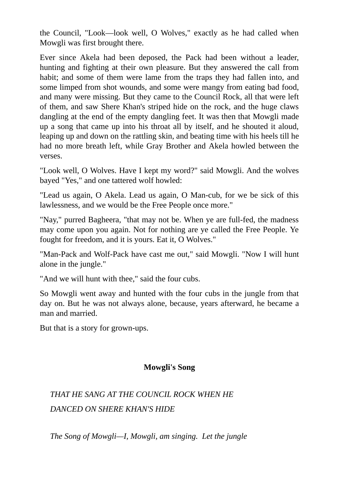the Council, "Look—look well, O Wolves," exactly as he had called when Mowgli was first brought there.

Ever since Akela had been deposed, the Pack had been without a leader, hunting and fighting at their own pleasure. But they answered the call from habit; and some of them were lame from the traps they had fallen into, and some limped from shot wounds, and some were mangy from eating bad food, and many were missing. But they came to the Council Rock, all that were left of them, and saw Shere Khan's striped hide on the rock, and the huge claws dangling at the end of the empty dangling feet. It was then that Mowgli made up a song that came up into his throat all by itself, and he shouted it aloud, leaping up and down on the rattling skin, and beating time with his heels till he had no more breath left, while Gray Brother and Akela howled between the verses.

"Look well, O Wolves. Have I kept my word?" said Mowgli. And the wolves bayed "Yes," and one tattered wolf howled:

"Lead us again, O Akela. Lead us again, O Man-cub, for we be sick of this lawlessness, and we would be the Free People once more."

"Nay," purred Bagheera, "that may not be. When ye are full-fed, the madness may come upon you again. Not for nothing are ye called the Free People. Ye fought for freedom, and it is yours. Eat it, O Wolves."

"Man-Pack and Wolf-Pack have cast me out," said Mowgli. "Now I will hunt alone in the jungle."

"And we will hunt with thee," said the four cubs.

So Mowgli went away and hunted with the four cubs in the jungle from that day on. But he was not always alone, because, years afterward, he became a man and married.

But that is a story for grown-ups.

# **Mowgli's Song**

*THAT HE SANG AT THE COUNCIL ROCK WHEN HE DANCED ON SHERE KHAN'S HIDE*

*The Song of Mowgli—I, Mowgli, am singing. Let the jungle*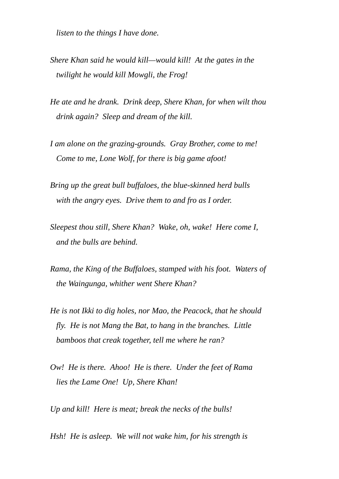*listen to the things I have done.*

*Shere Khan said he would kill—would kill! At the gates in the twilight he would kill Mowgli, the Frog!*

*He ate and he drank. Drink deep, Shere Khan, for when wilt thou drink again? Sleep and dream of the kill.*

*I am alone on the grazing-grounds. Gray Brother, come to me! Come to me, Lone Wolf, for there is big game afoot!*

*Bring up the great bull buffaloes, the blue-skinned herd bulls with the angry eyes. Drive them to and fro as I order.*

*Sleepest thou still, Shere Khan? Wake, oh, wake! Here come I, and the bulls are behind.*

*Rama, the King of the Buffaloes, stamped with his foot. Waters of the Waingunga, whither went Shere Khan?*

*He is not Ikki to dig holes, nor Mao, the Peacock, that he should fly. He is not Mang the Bat, to hang in the branches. Little bamboos that creak together, tell me where he ran?*

*Ow! He is there. Ahoo! He is there. Under the feet of Rama lies the Lame One! Up, Shere Khan!*

*Up and kill! Here is meat; break the necks of the bulls!*

*Hsh! He is asleep. We will not wake him, for his strength is*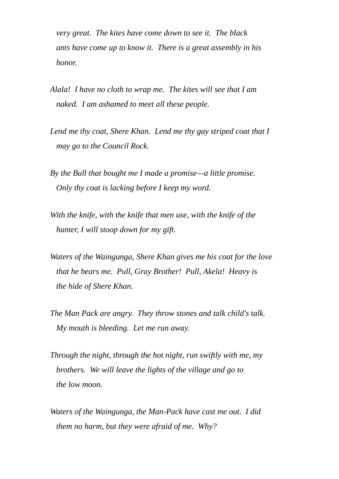*very great. The kites have come down to see it. The black ants have come up to know it. There is a great assembly in his honor.*

- *Alala! I have no cloth to wrap me. The kites will see that I am naked. I am ashamed to meet all these people.*
- *Lend me thy coat, Shere Khan. Lend me thy gay striped coat that I may go to the Council Rock.*
- *By the Bull that bought me I made a promise—a little promise. Only thy coat is lacking before I keep my word.*
- *With the knife, with the knife that men use, with the knife of the hunter, I will stoop down for my gift.*
- *Waters of the Waingunga, Shere Khan gives me his coat for the love that he bears me. Pull, Gray Brother! Pull, Akela! Heavy is the hide of Shere Khan.*
- *The Man Pack are angry. They throw stones and talk child's talk. My mouth is bleeding. Let me run away.*
- *Through the night, through the hot night, run swiftly with me, my brothers. We will leave the lights of the village and go to the low moon.*
- *Waters of the Waingunga, the Man-Pack have cast me out. I did them no harm, but they were afraid of me. Why?*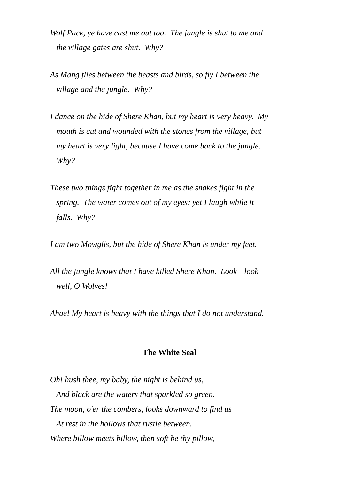- *Wolf Pack, ye have cast me out too. The jungle is shut to me and the village gates are shut. Why?*
- *As Mang flies between the beasts and birds, so fly I between the village and the jungle. Why?*
- *I dance on the hide of Shere Khan, but my heart is very heavy. My mouth is cut and wounded with the stones from the village, but my heart is very light, because I have come back to the jungle. Why?*
- *These two things fight together in me as the snakes fight in the spring. The water comes out of my eyes; yet I laugh while it falls. Why?*

*I am two Mowglis, but the hide of Shere Khan is under my feet.*

*All the jungle knows that I have killed Shere Khan. Look—look well, O Wolves!*

*Ahae! My heart is heavy with the things that I do not understand.*

#### **The White Seal**

*Oh! hush thee, my baby, the night is behind us, And black are the waters that sparkled so green. The moon, o'er the combers, looks downward to find us At rest in the hollows that rustle between. Where billow meets billow, then soft be thy pillow,*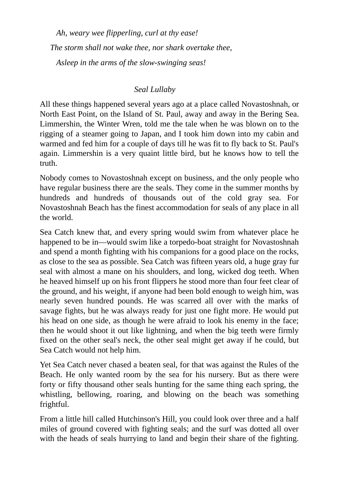*Ah, weary wee flipperling, curl at thy ease! The storm shall not wake thee, nor shark overtake thee, Asleep in the arms of the slow-swinging seas!*

## *Seal Lullaby*

All these things happened several years ago at a place called Novastoshnah, or North East Point, on the Island of St. Paul, away and away in the Bering Sea. Limmershin, the Winter Wren, told me the tale when he was blown on to the rigging of a steamer going to Japan, and I took him down into my cabin and warmed and fed him for a couple of days till he was fit to fly back to St. Paul's again. Limmershin is a very quaint little bird, but he knows how to tell the truth.

Nobody comes to Novastoshnah except on business, and the only people who have regular business there are the seals. They come in the summer months by hundreds and hundreds of thousands out of the cold gray sea. For Novastoshnah Beach has the finest accommodation for seals of any place in all the world.

Sea Catch knew that, and every spring would swim from whatever place he happened to be in—would swim like a torpedo-boat straight for Novastoshnah and spend a month fighting with his companions for a good place on the rocks, as close to the sea as possible. Sea Catch was fifteen years old, a huge gray fur seal with almost a mane on his shoulders, and long, wicked dog teeth. When he heaved himself up on his front flippers he stood more than four feet clear of the ground, and his weight, if anyone had been bold enough to weigh him, was nearly seven hundred pounds. He was scarred all over with the marks of savage fights, but he was always ready for just one fight more. He would put his head on one side, as though he were afraid to look his enemy in the face; then he would shoot it out like lightning, and when the big teeth were firmly fixed on the other seal's neck, the other seal might get away if he could, but Sea Catch would not help him.

Yet Sea Catch never chased a beaten seal, for that was against the Rules of the Beach. He only wanted room by the sea for his nursery. But as there were forty or fifty thousand other seals hunting for the same thing each spring, the whistling, bellowing, roaring, and blowing on the beach was something frightful.

From a little hill called Hutchinson's Hill, you could look over three and a half miles of ground covered with fighting seals; and the surf was dotted all over with the heads of seals hurrying to land and begin their share of the fighting.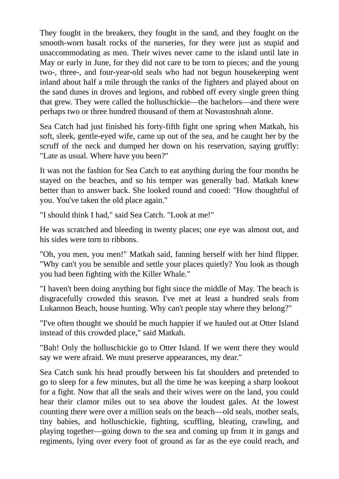They fought in the breakers, they fought in the sand, and they fought on the smooth-worn basalt rocks of the nurseries, for they were just as stupid and unaccommodating as men. Their wives never came to the island until late in May or early in June, for they did not care to be torn to pieces; and the young two-, three-, and four-year-old seals who had not begun housekeeping went inland about half a mile through the ranks of the fighters and played about on the sand dunes in droves and legions, and rubbed off every single green thing that grew. They were called the holluschickie—the bachelors—and there were perhaps two or three hundred thousand of them at Novastoshnah alone.

Sea Catch had just finished his forty-fifth fight one spring when Matkah, his soft, sleek, gentle-eyed wife, came up out of the sea, and he caught her by the scruff of the neck and dumped her down on his reservation, saying gruffly: "Late as usual. Where have you been?"

It was not the fashion for Sea Catch to eat anything during the four months he stayed on the beaches, and so his temper was generally bad. Matkah knew better than to answer back. She looked round and cooed: "How thoughtful of you. You've taken the old place again."

"I should think I had," said Sea Catch. "Look at me!"

He was scratched and bleeding in twenty places; one eye was almost out, and his sides were torn to ribbons.

"Oh, you men, you men!" Matkah said, fanning herself with her hind flipper. "Why can't you be sensible and settle your places quietly? You look as though you had been fighting with the Killer Whale."

"I haven't been doing anything but fight since the middle of May. The beach is disgracefully crowded this season. I've met at least a hundred seals from Lukannon Beach, house hunting. Why can't people stay where they belong?"

"I've often thought we should be much happier if we hauled out at Otter Island instead of this crowded place," said Matkah.

"Bah! Only the holluschickie go to Otter Island. If we went there they would say we were afraid. We must preserve appearances, my dear."

Sea Catch sunk his head proudly between his fat shoulders and pretended to go to sleep for a few minutes, but all the time he was keeping a sharp lookout for a fight. Now that all the seals and their wives were on the land, you could hear their clamor miles out to sea above the loudest gales. At the lowest counting there were over a million seals on the beach—old seals, mother seals, tiny babies, and holluschickie, fighting, scuffling, bleating, crawling, and playing together—going down to the sea and coming up from it in gangs and regiments, lying over every foot of ground as far as the eye could reach, and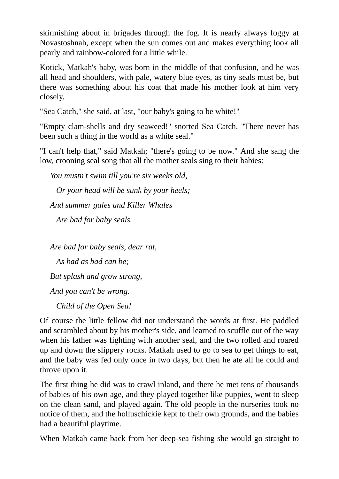skirmishing about in brigades through the fog. It is nearly always foggy at Novastoshnah, except when the sun comes out and makes everything look all pearly and rainbow-colored for a little while.

Kotick, Matkah's baby, was born in the middle of that confusion, and he was all head and shoulders, with pale, watery blue eyes, as tiny seals must be, but there was something about his coat that made his mother look at him very closely.

"Sea Catch," she said, at last, "our baby's going to be white!"

"Empty clam-shells and dry seaweed!" snorted Sea Catch. "There never has been such a thing in the world as a white seal."

"I can't help that," said Matkah; "there's going to be now." And she sang the low, crooning seal song that all the mother seals sing to their babies:

*You mustn't swim till you're six weeks old,*

*Or your head will be sunk by your heels;*

*And summer gales and Killer Whales*

*Are bad for baby seals.*

*Are bad for baby seals, dear rat, As bad as bad can be; But splash and grow strong, And you can't be wrong. Child of the Open Sea!*

Of course the little fellow did not understand the words at first. He paddled and scrambled about by his mother's side, and learned to scuffle out of the way when his father was fighting with another seal, and the two rolled and roared up and down the slippery rocks. Matkah used to go to sea to get things to eat, and the baby was fed only once in two days, but then he ate all he could and throve upon it.

The first thing he did was to crawl inland, and there he met tens of thousands of babies of his own age, and they played together like puppies, went to sleep on the clean sand, and played again. The old people in the nurseries took no notice of them, and the holluschickie kept to their own grounds, and the babies had a beautiful playtime.

When Matkah came back from her deep-sea fishing she would go straight to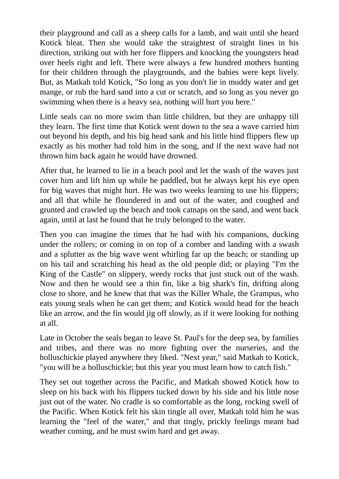their playground and call as a sheep calls for a lamb, and wait until she heard Kotick bleat. Then she would take the straightest of straight lines in his direction, striking out with her fore flippers and knocking the youngsters head over heels right and left. There were always a few hundred mothers hunting for their children through the playgrounds, and the babies were kept lively. But, as Matkah told Kotick, "So long as you don't lie in muddy water and get mange, or rub the hard sand into a cut or scratch, and so long as you never go swimming when there is a heavy sea, nothing will hurt you here."

Little seals can no more swim than little children, but they are unhappy till they learn. The first time that Kotick went down to the sea a wave carried him out beyond his depth, and his big head sank and his little hind flippers flew up exactly as his mother had told him in the song, and if the next wave had not thrown him back again he would have drowned.

After that, he learned to lie in a beach pool and let the wash of the waves just cover him and lift him up while he paddled, but he always kept his eye open for big waves that might hurt. He was two weeks learning to use his flippers; and all that while he floundered in and out of the water, and coughed and grunted and crawled up the beach and took catnaps on the sand, and went back again, until at last he found that he truly belonged to the water.

Then you can imagine the times that he had with his companions, ducking under the rollers; or coming in on top of a comber and landing with a swash and a splutter as the big wave went whirling far up the beach; or standing up on his tail and scratching his head as the old people did; or playing "I'm the King of the Castle" on slippery, weedy rocks that just stuck out of the wash. Now and then he would see a thin fin, like a big shark's fin, drifting along close to shore, and he knew that that was the Killer Whale, the Grampus, who eats young seals when he can get them; and Kotick would head for the beach like an arrow, and the fin would jig off slowly, as if it were looking for nothing at all.

Late in October the seals began to leave St. Paul's for the deep sea, by families and tribes, and there was no more fighting over the nurseries, and the holluschickie played anywhere they liked. "Next year," said Matkah to Kotick, "you will be a holluschickie; but this year you must learn how to catch fish."

They set out together across the Pacific, and Matkah showed Kotick how to sleep on his back with his flippers tucked down by his side and his little nose just out of the water. No cradle is so comfortable as the long, rocking swell of the Pacific. When Kotick felt his skin tingle all over, Matkah told him he was learning the "feel of the water," and that tingly, prickly feelings meant bad weather coming, and he must swim hard and get away.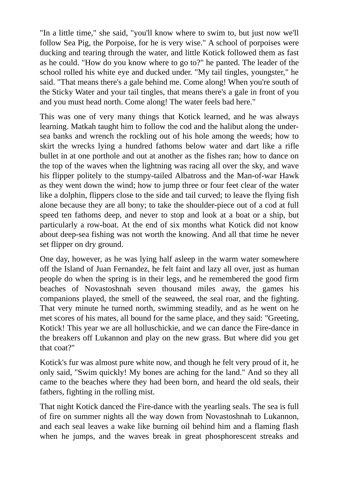"In a little time," she said, "you'll know where to swim to, but just now we'll follow Sea Pig, the Porpoise, for he is very wise." A school of porpoises were ducking and tearing through the water, and little Kotick followed them as fast as he could. "How do you know where to go to?" he panted. The leader of the school rolled his white eye and ducked under. "My tail tingles, youngster," he said. "That means there's a gale behind me. Come along! When you're south of the Sticky Water and your tail tingles, that means there's a gale in front of you and you must head north. Come along! The water feels bad here."

This was one of very many things that Kotick learned, and he was always learning. Matkah taught him to follow the cod and the halibut along the undersea banks and wrench the rockling out of his hole among the weeds; how to skirt the wrecks lying a hundred fathoms below water and dart like a rifle bullet in at one porthole and out at another as the fishes ran; how to dance on the top of the waves when the lightning was racing all over the sky, and wave his flipper politely to the stumpy-tailed Albatross and the Man-of-war Hawk as they went down the wind; how to jump three or four feet clear of the water like a dolphin, flippers close to the side and tail curved; to leave the flying fish alone because they are all bony; to take the shoulder-piece out of a cod at full speed ten fathoms deep, and never to stop and look at a boat or a ship, but particularly a row-boat. At the end of six months what Kotick did not know about deep-sea fishing was not worth the knowing. And all that time he never set flipper on dry ground.

One day, however, as he was lying half asleep in the warm water somewhere off the Island of Juan Fernandez, he felt faint and lazy all over, just as human people do when the spring is in their legs, and he remembered the good firm beaches of Novastoshnah seven thousand miles away, the games his companions played, the smell of the seaweed, the seal roar, and the fighting. That very minute he turned north, swimming steadily, and as he went on he met scores of his mates, all bound for the same place, and they said: "Greeting, Kotick! This year we are all holluschickie, and we can dance the Fire-dance in the breakers off Lukannon and play on the new grass. But where did you get that coat?"

Kotick's fur was almost pure white now, and though he felt very proud of it, he only said, "Swim quickly! My bones are aching for the land." And so they all came to the beaches where they had been born, and heard the old seals, their fathers, fighting in the rolling mist.

That night Kotick danced the Fire-dance with the yearling seals. The sea is full of fire on summer nights all the way down from Novastoshnah to Lukannon, and each seal leaves a wake like burning oil behind him and a flaming flash when he jumps, and the waves break in great phosphorescent streaks and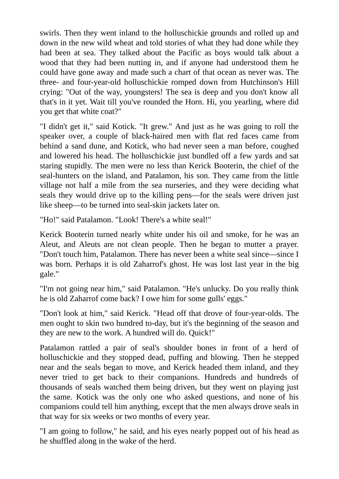swirls. Then they went inland to the holluschickie grounds and rolled up and down in the new wild wheat and told stories of what they had done while they had been at sea. They talked about the Pacific as boys would talk about a wood that they had been nutting in, and if anyone had understood them he could have gone away and made such a chart of that ocean as never was. The three- and four-year-old holluschickie romped down from Hutchinson's Hill crying: "Out of the way, youngsters! The sea is deep and you don't know all that's in it yet. Wait till you've rounded the Horn. Hi, you yearling, where did you get that white coat?"

"I didn't get it," said Kotick. "It grew." And just as he was going to roll the speaker over, a couple of black-haired men with flat red faces came from behind a sand dune, and Kotick, who had never seen a man before, coughed and lowered his head. The holluschickie just bundled off a few yards and sat staring stupidly. The men were no less than Kerick Booterin, the chief of the seal-hunters on the island, and Patalamon, his son. They came from the little village not half a mile from the sea nurseries, and they were deciding what seals they would drive up to the killing pens—for the seals were driven just like sheep—to be turned into seal-skin jackets later on.

"Ho!" said Patalamon. "Look! There's a white seal!"

Kerick Booterin turned nearly white under his oil and smoke, for he was an Aleut, and Aleuts are not clean people. Then he began to mutter a prayer. "Don't touch him, Patalamon. There has never been a white seal since—since I was born. Perhaps it is old Zaharrof's ghost. He was lost last year in the big gale."

"I'm not going near him," said Patalamon. "He's unlucky. Do you really think he is old Zaharrof come back? I owe him for some gulls' eggs."

"Don't look at him," said Kerick. "Head off that drove of four-year-olds. The men ought to skin two hundred to-day, but it's the beginning of the season and they are new to the work. A hundred will do. Quick!"

Patalamon rattled a pair of seal's shoulder bones in front of a herd of holluschickie and they stopped dead, puffing and blowing. Then he stepped near and the seals began to move, and Kerick headed them inland, and they never tried to get back to their companions. Hundreds and hundreds of thousands of seals watched them being driven, but they went on playing just the same. Kotick was the only one who asked questions, and none of his companions could tell him anything, except that the men always drove seals in that way for six weeks or two months of every year.

"I am going to follow," he said, and his eyes nearly popped out of his head as he shuffled along in the wake of the herd.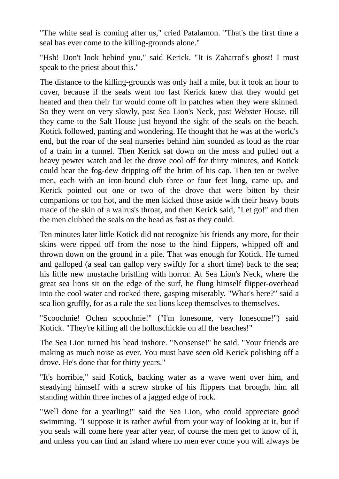"The white seal is coming after us," cried Patalamon. "That's the first time a seal has ever come to the killing-grounds alone."

"Hsh! Don't look behind you," said Kerick. "It is Zaharrof's ghost! I must speak to the priest about this."

The distance to the killing-grounds was only half a mile, but it took an hour to cover, because if the seals went too fast Kerick knew that they would get heated and then their fur would come off in patches when they were skinned. So they went on very slowly, past Sea Lion's Neck, past Webster House, till they came to the Salt House just beyond the sight of the seals on the beach. Kotick followed, panting and wondering. He thought that he was at the world's end, but the roar of the seal nurseries behind him sounded as loud as the roar of a train in a tunnel. Then Kerick sat down on the moss and pulled out a heavy pewter watch and let the drove cool off for thirty minutes, and Kotick could hear the fog-dew dripping off the brim of his cap. Then ten or twelve men, each with an iron-bound club three or four feet long, came up, and Kerick pointed out one or two of the drove that were bitten by their companions or too hot, and the men kicked those aside with their heavy boots made of the skin of a walrus's throat, and then Kerick said, "Let go!" and then the men clubbed the seals on the head as fast as they could.

Ten minutes later little Kotick did not recognize his friends any more, for their skins were ripped off from the nose to the hind flippers, whipped off and thrown down on the ground in a pile. That was enough for Kotick. He turned and galloped (a seal can gallop very swiftly for a short time) back to the sea; his little new mustache bristling with horror. At Sea Lion's Neck, where the great sea lions sit on the edge of the surf, he flung himself flipper-overhead into the cool water and rocked there, gasping miserably. "What's here?" said a sea lion gruffly, for as a rule the sea lions keep themselves to themselves.

"Scoochnie! Ochen scoochnie!" ("I'm lonesome, very lonesome!") said Kotick. "They're killing all the holluschickie on all the beaches!"

The Sea Lion turned his head inshore. "Nonsense!" he said. "Your friends are making as much noise as ever. You must have seen old Kerick polishing off a drove. He's done that for thirty years."

"It's horrible," said Kotick, backing water as a wave went over him, and steadying himself with a screw stroke of his flippers that brought him all standing within three inches of a jagged edge of rock.

"Well done for a yearling!" said the Sea Lion, who could appreciate good swimming. "I suppose it is rather awful from your way of looking at it, but if you seals will come here year after year, of course the men get to know of it, and unless you can find an island where no men ever come you will always be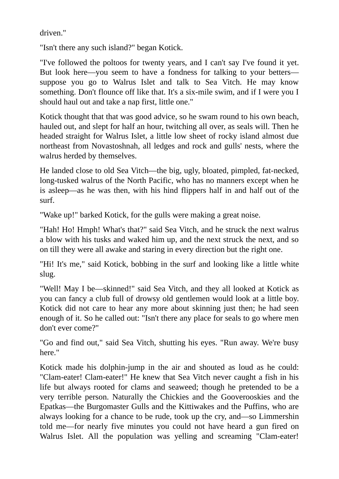driven."

"Isn't there any such island?" began Kotick.

"I've followed the poltoos for twenty years, and I can't say I've found it yet. But look here—you seem to have a fondness for talking to your betters suppose you go to Walrus Islet and talk to Sea Vitch. He may know something. Don't flounce off like that. It's a six-mile swim, and if I were you I should haul out and take a nap first, little one."

Kotick thought that that was good advice, so he swam round to his own beach, hauled out, and slept for half an hour, twitching all over, as seals will. Then he headed straight for Walrus Islet, a little low sheet of rocky island almost due northeast from Novastoshnah, all ledges and rock and gulls' nests, where the walrus herded by themselves.

He landed close to old Sea Vitch—the big, ugly, bloated, pimpled, fat-necked, long-tusked walrus of the North Pacific, who has no manners except when he is asleep—as he was then, with his hind flippers half in and half out of the surf.

"Wake up!" barked Kotick, for the gulls were making a great noise.

"Hah! Ho! Hmph! What's that?" said Sea Vitch, and he struck the next walrus a blow with his tusks and waked him up, and the next struck the next, and so on till they were all awake and staring in every direction but the right one.

"Hi! It's me," said Kotick, bobbing in the surf and looking like a little white slug.

"Well! May I be—skinned!" said Sea Vitch, and they all looked at Kotick as you can fancy a club full of drowsy old gentlemen would look at a little boy. Kotick did not care to hear any more about skinning just then; he had seen enough of it. So he called out: "Isn't there any place for seals to go where men don't ever come?"

"Go and find out," said Sea Vitch, shutting his eyes. "Run away. We're busy here."

Kotick made his dolphin-jump in the air and shouted as loud as he could: "Clam-eater! Clam-eater!" He knew that Sea Vitch never caught a fish in his life but always rooted for clams and seaweed; though he pretended to be a very terrible person. Naturally the Chickies and the Gooverooskies and the Epatkas—the Burgomaster Gulls and the Kittiwakes and the Puffins, who are always looking for a chance to be rude, took up the cry, and—so Limmershin told me—for nearly five minutes you could not have heard a gun fired on Walrus Islet. All the population was yelling and screaming "Clam-eater!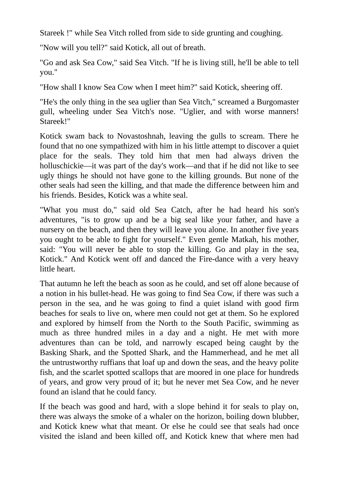Stareek !" while Sea Vitch rolled from side to side grunting and coughing.

"Now will you tell?" said Kotick, all out of breath.

"Go and ask Sea Cow," said Sea Vitch. "If he is living still, he'll be able to tell you."

"How shall I know Sea Cow when I meet him?" said Kotick, sheering off.

"He's the only thing in the sea uglier than Sea Vitch," screamed a Burgomaster gull, wheeling under Sea Vitch's nose. "Uglier, and with worse manners! Stareek!"

Kotick swam back to Novastoshnah, leaving the gulls to scream. There he found that no one sympathized with him in his little attempt to discover a quiet place for the seals. They told him that men had always driven the holluschickie—it was part of the day's work—and that if he did not like to see ugly things he should not have gone to the killing grounds. But none of the other seals had seen the killing, and that made the difference between him and his friends. Besides, Kotick was a white seal.

"What you must do," said old Sea Catch, after he had heard his son's adventures, "is to grow up and be a big seal like your father, and have a nursery on the beach, and then they will leave you alone. In another five years you ought to be able to fight for yourself." Even gentle Matkah, his mother, said: "You will never be able to stop the killing. Go and play in the sea, Kotick." And Kotick went off and danced the Fire-dance with a very heavy little heart.

That autumn he left the beach as soon as he could, and set off alone because of a notion in his bullet-head. He was going to find Sea Cow, if there was such a person in the sea, and he was going to find a quiet island with good firm beaches for seals to live on, where men could not get at them. So he explored and explored by himself from the North to the South Pacific, swimming as much as three hundred miles in a day and a night. He met with more adventures than can be told, and narrowly escaped being caught by the Basking Shark, and the Spotted Shark, and the Hammerhead, and he met all the untrustworthy ruffians that loaf up and down the seas, and the heavy polite fish, and the scarlet spotted scallops that are moored in one place for hundreds of years, and grow very proud of it; but he never met Sea Cow, and he never found an island that he could fancy.

If the beach was good and hard, with a slope behind it for seals to play on, there was always the smoke of a whaler on the horizon, boiling down blubber, and Kotick knew what that meant. Or else he could see that seals had once visited the island and been killed off, and Kotick knew that where men had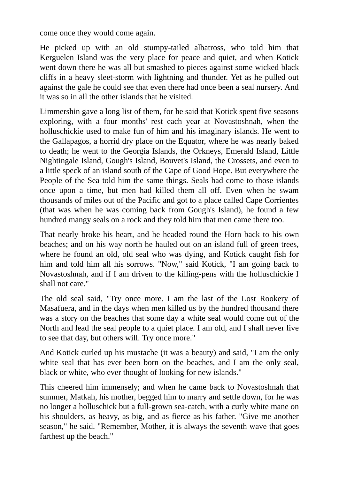come once they would come again.

He picked up with an old stumpy-tailed albatross, who told him that Kerguelen Island was the very place for peace and quiet, and when Kotick went down there he was all but smashed to pieces against some wicked black cliffs in a heavy sleet-storm with lightning and thunder. Yet as he pulled out against the gale he could see that even there had once been a seal nursery. And it was so in all the other islands that he visited.

Limmershin gave a long list of them, for he said that Kotick spent five seasons exploring, with a four months' rest each year at Novastoshnah, when the holluschickie used to make fun of him and his imaginary islands. He went to the Gallapagos, a horrid dry place on the Equator, where he was nearly baked to death; he went to the Georgia Islands, the Orkneys, Emerald Island, Little Nightingale Island, Gough's Island, Bouvet's Island, the Crossets, and even to a little speck of an island south of the Cape of Good Hope. But everywhere the People of the Sea told him the same things. Seals had come to those islands once upon a time, but men had killed them all off. Even when he swam thousands of miles out of the Pacific and got to a place called Cape Corrientes (that was when he was coming back from Gough's Island), he found a few hundred mangy seals on a rock and they told him that men came there too.

That nearly broke his heart, and he headed round the Horn back to his own beaches; and on his way north he hauled out on an island full of green trees, where he found an old, old seal who was dying, and Kotick caught fish for him and told him all his sorrows. "Now," said Kotick, "I am going back to Novastoshnah, and if I am driven to the killing-pens with the holluschickie I shall not care."

The old seal said, "Try once more. I am the last of the Lost Rookery of Masafuera, and in the days when men killed us by the hundred thousand there was a story on the beaches that some day a white seal would come out of the North and lead the seal people to a quiet place. I am old, and I shall never live to see that day, but others will. Try once more."

And Kotick curled up his mustache (it was a beauty) and said, "I am the only white seal that has ever been born on the beaches, and I am the only seal, black or white, who ever thought of looking for new islands."

This cheered him immensely; and when he came back to Novastoshnah that summer, Matkah, his mother, begged him to marry and settle down, for he was no longer a holluschick but a full-grown sea-catch, with a curly white mane on his shoulders, as heavy, as big, and as fierce as his father. "Give me another season," he said. "Remember, Mother, it is always the seventh wave that goes farthest up the beach."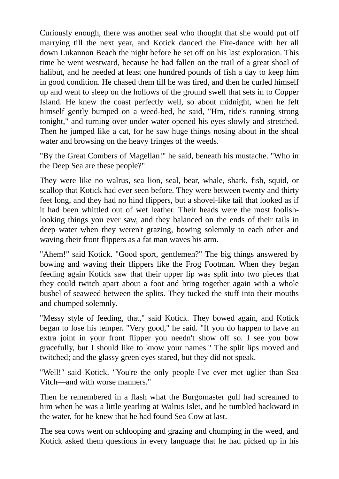Curiously enough, there was another seal who thought that she would put off marrying till the next year, and Kotick danced the Fire-dance with her all down Lukannon Beach the night before he set off on his last exploration. This time he went westward, because he had fallen on the trail of a great shoal of halibut, and he needed at least one hundred pounds of fish a day to keep him in good condition. He chased them till he was tired, and then he curled himself up and went to sleep on the hollows of the ground swell that sets in to Copper Island. He knew the coast perfectly well, so about midnight, when he felt himself gently bumped on a weed-bed, he said, "Hm, tide's running strong tonight," and turning over under water opened his eyes slowly and stretched. Then he jumped like a cat, for he saw huge things nosing about in the shoal water and browsing on the heavy fringes of the weeds.

"By the Great Combers of Magellan!" he said, beneath his mustache. "Who in the Deep Sea are these people?"

They were like no walrus, sea lion, seal, bear, whale, shark, fish, squid, or scallop that Kotick had ever seen before. They were between twenty and thirty feet long, and they had no hind flippers, but a shovel-like tail that looked as if it had been whittled out of wet leather. Their heads were the most foolishlooking things you ever saw, and they balanced on the ends of their tails in deep water when they weren't grazing, bowing solemnly to each other and waving their front flippers as a fat man waves his arm.

"Ahem!" said Kotick. "Good sport, gentlemen?" The big things answered by bowing and waving their flippers like the Frog Footman. When they began feeding again Kotick saw that their upper lip was split into two pieces that they could twitch apart about a foot and bring together again with a whole bushel of seaweed between the splits. They tucked the stuff into their mouths and chumped solemnly.

"Messy style of feeding, that," said Kotick. They bowed again, and Kotick began to lose his temper. "Very good," he said. "If you do happen to have an extra joint in your front flipper you needn't show off so. I see you bow gracefully, but I should like to know your names." The split lips moved and twitched; and the glassy green eyes stared, but they did not speak.

"Well!" said Kotick. "You're the only people I've ever met uglier than Sea Vitch—and with worse manners."

Then he remembered in a flash what the Burgomaster gull had screamed to him when he was a little yearling at Walrus Islet, and he tumbled backward in the water, for he knew that he had found Sea Cow at last.

The sea cows went on schlooping and grazing and chumping in the weed, and Kotick asked them questions in every language that he had picked up in his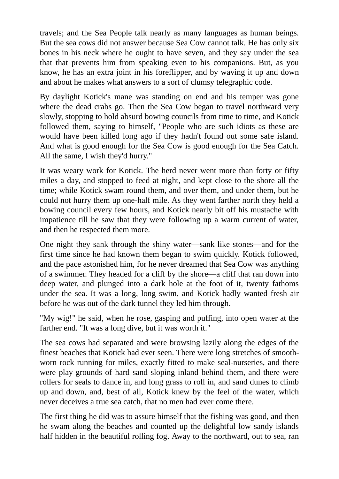travels; and the Sea People talk nearly as many languages as human beings. But the sea cows did not answer because Sea Cow cannot talk. He has only six bones in his neck where he ought to have seven, and they say under the sea that that prevents him from speaking even to his companions. But, as you know, he has an extra joint in his foreflipper, and by waving it up and down and about he makes what answers to a sort of clumsy telegraphic code.

By daylight Kotick's mane was standing on end and his temper was gone where the dead crabs go. Then the Sea Cow began to travel northward very slowly, stopping to hold absurd bowing councils from time to time, and Kotick followed them, saying to himself, "People who are such idiots as these are would have been killed long ago if they hadn't found out some safe island. And what is good enough for the Sea Cow is good enough for the Sea Catch. All the same, I wish they'd hurry."

It was weary work for Kotick. The herd never went more than forty or fifty miles a day, and stopped to feed at night, and kept close to the shore all the time; while Kotick swam round them, and over them, and under them, but he could not hurry them up one-half mile. As they went farther north they held a bowing council every few hours, and Kotick nearly bit off his mustache with impatience till he saw that they were following up a warm current of water, and then he respected them more.

One night they sank through the shiny water—sank like stones—and for the first time since he had known them began to swim quickly. Kotick followed, and the pace astonished him, for he never dreamed that Sea Cow was anything of a swimmer. They headed for a cliff by the shore—a cliff that ran down into deep water, and plunged into a dark hole at the foot of it, twenty fathoms under the sea. It was a long, long swim, and Kotick badly wanted fresh air before he was out of the dark tunnel they led him through.

"My wig!" he said, when he rose, gasping and puffing, into open water at the farther end. "It was a long dive, but it was worth it."

The sea cows had separated and were browsing lazily along the edges of the finest beaches that Kotick had ever seen. There were long stretches of smoothworn rock running for miles, exactly fitted to make seal-nurseries, and there were play-grounds of hard sand sloping inland behind them, and there were rollers for seals to dance in, and long grass to roll in, and sand dunes to climb up and down, and, best of all, Kotick knew by the feel of the water, which never deceives a true sea catch, that no men had ever come there.

The first thing he did was to assure himself that the fishing was good, and then he swam along the beaches and counted up the delightful low sandy islands half hidden in the beautiful rolling fog. Away to the northward, out to sea, ran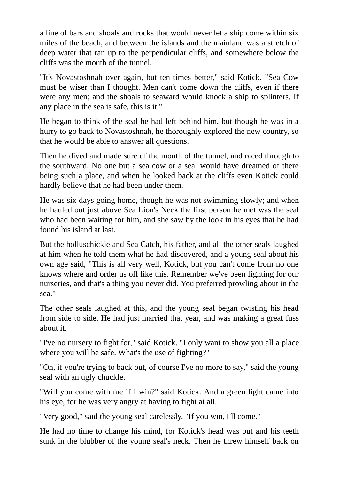a line of bars and shoals and rocks that would never let a ship come within six miles of the beach, and between the islands and the mainland was a stretch of deep water that ran up to the perpendicular cliffs, and somewhere below the cliffs was the mouth of the tunnel.

"It's Novastoshnah over again, but ten times better," said Kotick. "Sea Cow must be wiser than I thought. Men can't come down the cliffs, even if there were any men; and the shoals to seaward would knock a ship to splinters. If any place in the sea is safe, this is it."

He began to think of the seal he had left behind him, but though he was in a hurry to go back to Novastoshnah, he thoroughly explored the new country, so that he would be able to answer all questions.

Then he dived and made sure of the mouth of the tunnel, and raced through to the southward. No one but a sea cow or a seal would have dreamed of there being such a place, and when he looked back at the cliffs even Kotick could hardly believe that he had been under them.

He was six days going home, though he was not swimming slowly; and when he hauled out just above Sea Lion's Neck the first person he met was the seal who had been waiting for him, and she saw by the look in his eyes that he had found his island at last.

But the holluschickie and Sea Catch, his father, and all the other seals laughed at him when he told them what he had discovered, and a young seal about his own age said, "This is all very well, Kotick, but you can't come from no one knows where and order us off like this. Remember we've been fighting for our nurseries, and that's a thing you never did. You preferred prowling about in the sea."

The other seals laughed at this, and the young seal began twisting his head from side to side. He had just married that year, and was making a great fuss about it.

"I've no nursery to fight for," said Kotick. "I only want to show you all a place where you will be safe. What's the use of fighting?"

"Oh, if you're trying to back out, of course I've no more to say," said the young seal with an ugly chuckle.

"Will you come with me if I win?" said Kotick. And a green light came into his eye, for he was very angry at having to fight at all.

"Very good," said the young seal carelessly. "If you win, I'll come."

He had no time to change his mind, for Kotick's head was out and his teeth sunk in the blubber of the young seal's neck. Then he threw himself back on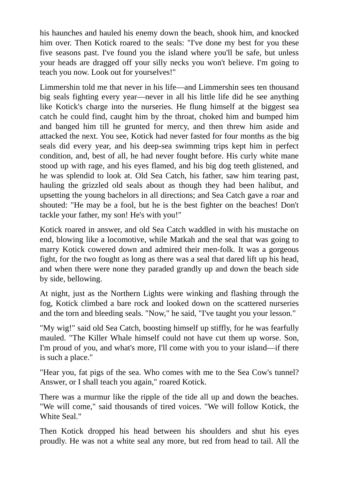his haunches and hauled his enemy down the beach, shook him, and knocked him over. Then Kotick roared to the seals: "I've done my best for you these five seasons past. I've found you the island where you'll be safe, but unless your heads are dragged off your silly necks you won't believe. I'm going to teach you now. Look out for yourselves!"

Limmershin told me that never in his life—and Limmershin sees ten thousand big seals fighting every year—never in all his little life did he see anything like Kotick's charge into the nurseries. He flung himself at the biggest sea catch he could find, caught him by the throat, choked him and bumped him and banged him till he grunted for mercy, and then threw him aside and attacked the next. You see, Kotick had never fasted for four months as the big seals did every year, and his deep-sea swimming trips kept him in perfect condition, and, best of all, he had never fought before. His curly white mane stood up with rage, and his eyes flamed, and his big dog teeth glistened, and he was splendid to look at. Old Sea Catch, his father, saw him tearing past, hauling the grizzled old seals about as though they had been halibut, and upsetting the young bachelors in all directions; and Sea Catch gave a roar and shouted: "He may be a fool, but he is the best fighter on the beaches! Don't tackle your father, my son! He's with you!"

Kotick roared in answer, and old Sea Catch waddled in with his mustache on end, blowing like a locomotive, while Matkah and the seal that was going to marry Kotick cowered down and admired their men-folk. It was a gorgeous fight, for the two fought as long as there was a seal that dared lift up his head, and when there were none they paraded grandly up and down the beach side by side, bellowing.

At night, just as the Northern Lights were winking and flashing through the fog, Kotick climbed a bare rock and looked down on the scattered nurseries and the torn and bleeding seals. "Now," he said, "I've taught you your lesson."

"My wig!" said old Sea Catch, boosting himself up stiffly, for he was fearfully mauled. "The Killer Whale himself could not have cut them up worse. Son, I'm proud of you, and what's more, I'll come with you to your island—if there is such a place."

"Hear you, fat pigs of the sea. Who comes with me to the Sea Cow's tunnel? Answer, or I shall teach you again," roared Kotick.

There was a murmur like the ripple of the tide all up and down the beaches. "We will come," said thousands of tired voices. "We will follow Kotick, the White Seal."

Then Kotick dropped his head between his shoulders and shut his eyes proudly. He was not a white seal any more, but red from head to tail. All the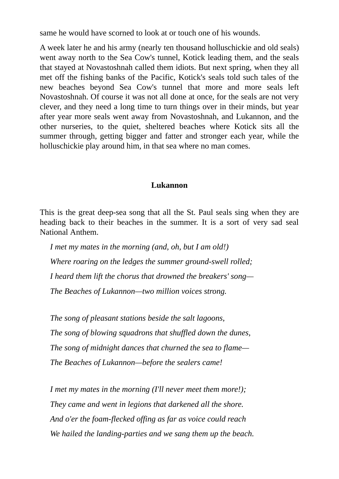same he would have scorned to look at or touch one of his wounds.

A week later he and his army (nearly ten thousand holluschickie and old seals) went away north to the Sea Cow's tunnel, Kotick leading them, and the seals that stayed at Novastoshnah called them idiots. But next spring, when they all met off the fishing banks of the Pacific, Kotick's seals told such tales of the new beaches beyond Sea Cow's tunnel that more and more seals left Novastoshnah. Of course it was not all done at once, for the seals are not very clever, and they need a long time to turn things over in their minds, but year after year more seals went away from Novastoshnah, and Lukannon, and the other nurseries, to the quiet, sheltered beaches where Kotick sits all the summer through, getting bigger and fatter and stronger each year, while the holluschickie play around him, in that sea where no man comes.

## **Lukannon**

This is the great deep-sea song that all the St. Paul seals sing when they are heading back to their beaches in the summer. It is a sort of very sad seal National Anthem.

*I met my mates in the morning (and, oh, but I am old!) Where roaring on the ledges the summer ground-swell rolled; I heard them lift the chorus that drowned the breakers' song— The Beaches of Lukannon—two million voices strong.*

*The song of pleasant stations beside the salt lagoons, The song of blowing squadrons that shuffled down the dunes, The song of midnight dances that churned the sea to flame— The Beaches of Lukannon—before the sealers came!*

*I met my mates in the morning (I'll never meet them more!); They came and went in legions that darkened all the shore. And o'er the foam-flecked offing as far as voice could reach We hailed the landing-parties and we sang them up the beach.*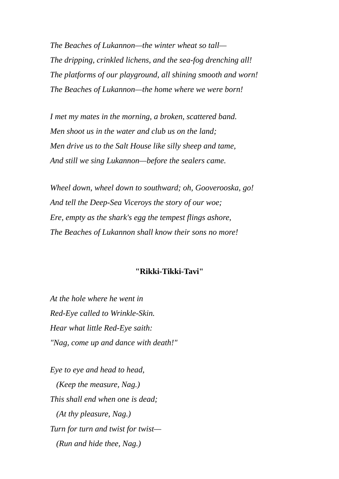*The Beaches of Lukannon—the winter wheat so tall— The dripping, crinkled lichens, and the sea-fog drenching all! The platforms of our playground, all shining smooth and worn! The Beaches of Lukannon—the home where we were born!*

*I met my mates in the morning, a broken, scattered band. Men shoot us in the water and club us on the land; Men drive us to the Salt House like silly sheep and tame, And still we sing Lukannon—before the sealers came.*

*Wheel down, wheel down to southward; oh, Gooverooska, go! And tell the Deep-Sea Viceroys the story of our woe; Ere, empty as the shark's egg the tempest flings ashore, The Beaches of Lukannon shall know their sons no more!*

#### **"Rikki-Tikki-Tavi"**

*At the hole where he went in Red-Eye called to Wrinkle-Skin. Hear what little Red-Eye saith: "Nag, come up and dance with death!"*

*Eye to eye and head to head, (Keep the measure, Nag.) This shall end when one is dead; (At thy pleasure, Nag.) Turn for turn and twist for twist— (Run and hide thee, Nag.)*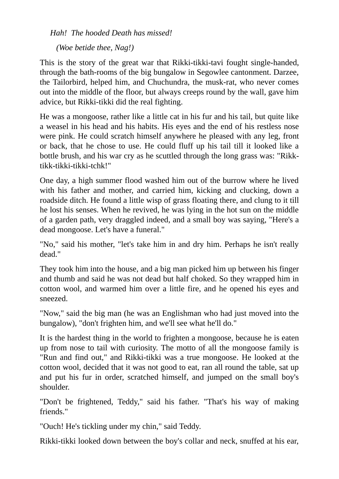*Hah! The hooded Death has missed!*

*(Woe betide thee, Nag!)*

This is the story of the great war that Rikki-tikki-tavi fought single-handed, through the bath-rooms of the big bungalow in Segowlee cantonment. Darzee, the Tailorbird, helped him, and Chuchundra, the musk-rat, who never comes out into the middle of the floor, but always creeps round by the wall, gave him advice, but Rikki-tikki did the real fighting.

He was a mongoose, rather like a little cat in his fur and his tail, but quite like a weasel in his head and his habits. His eyes and the end of his restless nose were pink. He could scratch himself anywhere he pleased with any leg, front or back, that he chose to use. He could fluff up his tail till it looked like a bottle brush, and his war cry as he scuttled through the long grass was: "Rikktikk-tikki-tikki-tchk!"

One day, a high summer flood washed him out of the burrow where he lived with his father and mother, and carried him, kicking and clucking, down a roadside ditch. He found a little wisp of grass floating there, and clung to it till he lost his senses. When he revived, he was lying in the hot sun on the middle of a garden path, very draggled indeed, and a small boy was saying, "Here's a dead mongoose. Let's have a funeral."

"No," said his mother, "let's take him in and dry him. Perhaps he isn't really dead."

They took him into the house, and a big man picked him up between his finger and thumb and said he was not dead but half choked. So they wrapped him in cotton wool, and warmed him over a little fire, and he opened his eyes and sneezed.

"Now," said the big man (he was an Englishman who had just moved into the bungalow), "don't frighten him, and we'll see what he'll do."

It is the hardest thing in the world to frighten a mongoose, because he is eaten up from nose to tail with curiosity. The motto of all the mongoose family is "Run and find out," and Rikki-tikki was a true mongoose. He looked at the cotton wool, decided that it was not good to eat, ran all round the table, sat up and put his fur in order, scratched himself, and jumped on the small boy's shoulder.

"Don't be frightened, Teddy," said his father. "That's his way of making friends."

"Ouch! He's tickling under my chin," said Teddy.

Rikki-tikki looked down between the boy's collar and neck, snuffed at his ear,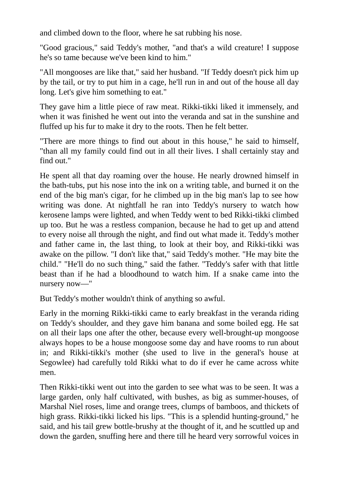and climbed down to the floor, where he sat rubbing his nose.

"Good gracious," said Teddy's mother, "and that's a wild creature! I suppose he's so tame because we've been kind to him."

"All mongooses are like that," said her husband. "If Teddy doesn't pick him up by the tail, or try to put him in a cage, he'll run in and out of the house all day long. Let's give him something to eat."

They gave him a little piece of raw meat. Rikki-tikki liked it immensely, and when it was finished he went out into the veranda and sat in the sunshine and fluffed up his fur to make it dry to the roots. Then he felt better.

"There are more things to find out about in this house," he said to himself, "than all my family could find out in all their lives. I shall certainly stay and find out."

He spent all that day roaming over the house. He nearly drowned himself in the bath-tubs, put his nose into the ink on a writing table, and burned it on the end of the big man's cigar, for he climbed up in the big man's lap to see how writing was done. At nightfall he ran into Teddy's nursery to watch how kerosene lamps were lighted, and when Teddy went to bed Rikki-tikki climbed up too. But he was a restless companion, because he had to get up and attend to every noise all through the night, and find out what made it. Teddy's mother and father came in, the last thing, to look at their boy, and Rikki-tikki was awake on the pillow. "I don't like that," said Teddy's mother. "He may bite the child." "He'll do no such thing," said the father. "Teddy's safer with that little beast than if he had a bloodhound to watch him. If a snake came into the nursery now—"

But Teddy's mother wouldn't think of anything so awful.

Early in the morning Rikki-tikki came to early breakfast in the veranda riding on Teddy's shoulder, and they gave him banana and some boiled egg. He sat on all their laps one after the other, because every well-brought-up mongoose always hopes to be a house mongoose some day and have rooms to run about in; and Rikki-tikki's mother (she used to live in the general's house at Segowlee) had carefully told Rikki what to do if ever he came across white men.

Then Rikki-tikki went out into the garden to see what was to be seen. It was a large garden, only half cultivated, with bushes, as big as summer-houses, of Marshal Niel roses, lime and orange trees, clumps of bamboos, and thickets of high grass. Rikki-tikki licked his lips. "This is a splendid hunting-ground," he said, and his tail grew bottle-brushy at the thought of it, and he scuttled up and down the garden, snuffing here and there till he heard very sorrowful voices in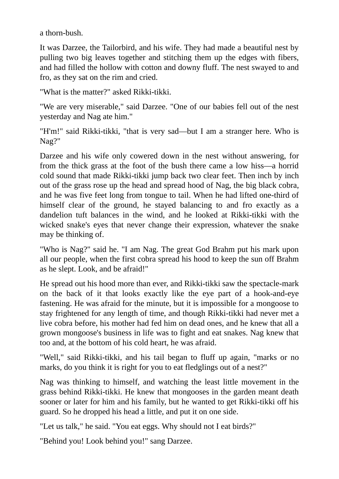a thorn-bush.

It was Darzee, the Tailorbird, and his wife. They had made a beautiful nest by pulling two big leaves together and stitching them up the edges with fibers, and had filled the hollow with cotton and downy fluff. The nest swayed to and fro, as they sat on the rim and cried.

"What is the matter?" asked Rikki-tikki.

"We are very miserable," said Darzee. "One of our babies fell out of the nest yesterday and Nag ate him."

"H'm!" said Rikki-tikki, "that is very sad—but I am a stranger here. Who is Nag?"

Darzee and his wife only cowered down in the nest without answering, for from the thick grass at the foot of the bush there came a low hiss—a horrid cold sound that made Rikki-tikki jump back two clear feet. Then inch by inch out of the grass rose up the head and spread hood of Nag, the big black cobra, and he was five feet long from tongue to tail. When he had lifted one-third of himself clear of the ground, he stayed balancing to and fro exactly as a dandelion tuft balances in the wind, and he looked at Rikki-tikki with the wicked snake's eyes that never change their expression, whatever the snake may be thinking of.

"Who is Nag?" said he. "I am Nag. The great God Brahm put his mark upon all our people, when the first cobra spread his hood to keep the sun off Brahm as he slept. Look, and be afraid!"

He spread out his hood more than ever, and Rikki-tikki saw the spectacle-mark on the back of it that looks exactly like the eye part of a hook-and-eye fastening. He was afraid for the minute, but it is impossible for a mongoose to stay frightened for any length of time, and though Rikki-tikki had never met a live cobra before, his mother had fed him on dead ones, and he knew that all a grown mongoose's business in life was to fight and eat snakes. Nag knew that too and, at the bottom of his cold heart, he was afraid.

"Well," said Rikki-tikki, and his tail began to fluff up again, "marks or no marks, do you think it is right for you to eat fledglings out of a nest?"

Nag was thinking to himself, and watching the least little movement in the grass behind Rikki-tikki. He knew that mongooses in the garden meant death sooner or later for him and his family, but he wanted to get Rikki-tikki off his guard. So he dropped his head a little, and put it on one side.

"Let us talk," he said. "You eat eggs. Why should not I eat birds?"

"Behind you! Look behind you!" sang Darzee.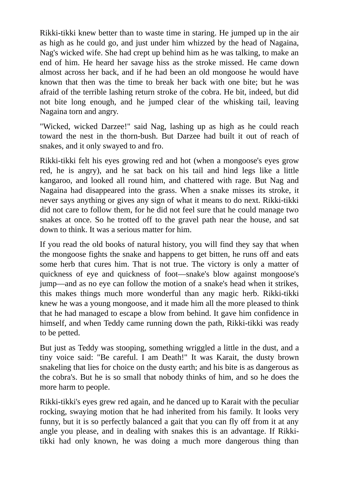Rikki-tikki knew better than to waste time in staring. He jumped up in the air as high as he could go, and just under him whizzed by the head of Nagaina, Nag's wicked wife. She had crept up behind him as he was talking, to make an end of him. He heard her savage hiss as the stroke missed. He came down almost across her back, and if he had been an old mongoose he would have known that then was the time to break her back with one bite; but he was afraid of the terrible lashing return stroke of the cobra. He bit, indeed, but did not bite long enough, and he jumped clear of the whisking tail, leaving Nagaina torn and angry.

"Wicked, wicked Darzee!" said Nag, lashing up as high as he could reach toward the nest in the thorn-bush. But Darzee had built it out of reach of snakes, and it only swayed to and fro.

Rikki-tikki felt his eyes growing red and hot (when a mongoose's eyes grow red, he is angry), and he sat back on his tail and hind legs like a little kangaroo, and looked all round him, and chattered with rage. But Nag and Nagaina had disappeared into the grass. When a snake misses its stroke, it never says anything or gives any sign of what it means to do next. Rikki-tikki did not care to follow them, for he did not feel sure that he could manage two snakes at once. So he trotted off to the gravel path near the house, and sat down to think. It was a serious matter for him.

If you read the old books of natural history, you will find they say that when the mongoose fights the snake and happens to get bitten, he runs off and eats some herb that cures him. That is not true. The victory is only a matter of quickness of eye and quickness of foot—snake's blow against mongoose's jump—and as no eye can follow the motion of a snake's head when it strikes, this makes things much more wonderful than any magic herb. Rikki-tikki knew he was a young mongoose, and it made him all the more pleased to think that he had managed to escape a blow from behind. It gave him confidence in himself, and when Teddy came running down the path, Rikki-tikki was ready to be petted.

But just as Teddy was stooping, something wriggled a little in the dust, and a tiny voice said: "Be careful. I am Death!" It was Karait, the dusty brown snakeling that lies for choice on the dusty earth; and his bite is as dangerous as the cobra's. But he is so small that nobody thinks of him, and so he does the more harm to people.

Rikki-tikki's eyes grew red again, and he danced up to Karait with the peculiar rocking, swaying motion that he had inherited from his family. It looks very funny, but it is so perfectly balanced a gait that you can fly off from it at any angle you please, and in dealing with snakes this is an advantage. If Rikkitikki had only known, he was doing a much more dangerous thing than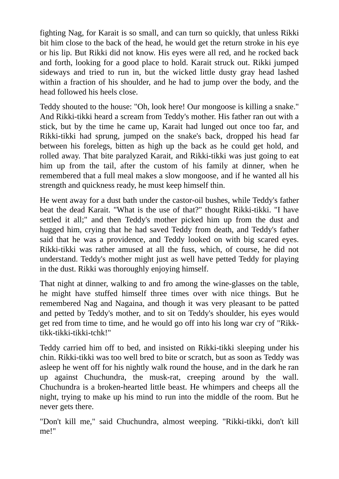fighting Nag, for Karait is so small, and can turn so quickly, that unless Rikki bit him close to the back of the head, he would get the return stroke in his eye or his lip. But Rikki did not know. His eyes were all red, and he rocked back and forth, looking for a good place to hold. Karait struck out. Rikki jumped sideways and tried to run in, but the wicked little dusty gray head lashed within a fraction of his shoulder, and he had to jump over the body, and the head followed his heels close.

Teddy shouted to the house: "Oh, look here! Our mongoose is killing a snake." And Rikki-tikki heard a scream from Teddy's mother. His father ran out with a stick, but by the time he came up, Karait had lunged out once too far, and Rikki-tikki had sprung, jumped on the snake's back, dropped his head far between his forelegs, bitten as high up the back as he could get hold, and rolled away. That bite paralyzed Karait, and Rikki-tikki was just going to eat him up from the tail, after the custom of his family at dinner, when he remembered that a full meal makes a slow mongoose, and if he wanted all his strength and quickness ready, he must keep himself thin.

He went away for a dust bath under the castor-oil bushes, while Teddy's father beat the dead Karait. "What is the use of that?" thought Rikki-tikki. "I have settled it all;" and then Teddy's mother picked him up from the dust and hugged him, crying that he had saved Teddy from death, and Teddy's father said that he was a providence, and Teddy looked on with big scared eyes. Rikki-tikki was rather amused at all the fuss, which, of course, he did not understand. Teddy's mother might just as well have petted Teddy for playing in the dust. Rikki was thoroughly enjoying himself.

That night at dinner, walking to and fro among the wine-glasses on the table, he might have stuffed himself three times over with nice things. But he remembered Nag and Nagaina, and though it was very pleasant to be patted and petted by Teddy's mother, and to sit on Teddy's shoulder, his eyes would get red from time to time, and he would go off into his long war cry of "Rikktikk-tikki-tikki-tchk!"

Teddy carried him off to bed, and insisted on Rikki-tikki sleeping under his chin. Rikki-tikki was too well bred to bite or scratch, but as soon as Teddy was asleep he went off for his nightly walk round the house, and in the dark he ran up against Chuchundra, the musk-rat, creeping around by the wall. Chuchundra is a broken-hearted little beast. He whimpers and cheeps all the night, trying to make up his mind to run into the middle of the room. But he never gets there.

"Don't kill me," said Chuchundra, almost weeping. "Rikki-tikki, don't kill me!"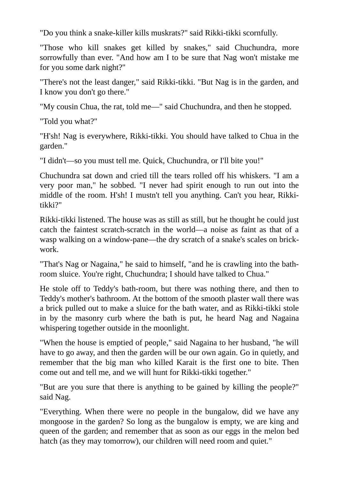"Do you think a snake-killer kills muskrats?" said Rikki-tikki scornfully.

"Those who kill snakes get killed by snakes," said Chuchundra, more sorrowfully than ever. "And how am I to be sure that Nag won't mistake me for you some dark night?"

"There's not the least danger," said Rikki-tikki. "But Nag is in the garden, and I know you don't go there."

"My cousin Chua, the rat, told me—" said Chuchundra, and then he stopped.

"Told you what?"

"H'sh! Nag is everywhere, Rikki-tikki. You should have talked to Chua in the garden."

"I didn't—so you must tell me. Quick, Chuchundra, or I'll bite you!"

Chuchundra sat down and cried till the tears rolled off his whiskers. "I am a very poor man," he sobbed. "I never had spirit enough to run out into the middle of the room. H'sh! I mustn't tell you anything. Can't you hear, Rikkitikki?"

Rikki-tikki listened. The house was as still as still, but he thought he could just catch the faintest scratch-scratch in the world—a noise as faint as that of a wasp walking on a window-pane—the dry scratch of a snake's scales on brickwork.

"That's Nag or Nagaina," he said to himself, "and he is crawling into the bathroom sluice. You're right, Chuchundra; I should have talked to Chua."

He stole off to Teddy's bath-room, but there was nothing there, and then to Teddy's mother's bathroom. At the bottom of the smooth plaster wall there was a brick pulled out to make a sluice for the bath water, and as Rikki-tikki stole in by the masonry curb where the bath is put, he heard Nag and Nagaina whispering together outside in the moonlight.

"When the house is emptied of people," said Nagaina to her husband, "he will have to go away, and then the garden will be our own again. Go in quietly, and remember that the big man who killed Karait is the first one to bite. Then come out and tell me, and we will hunt for Rikki-tikki together."

"But are you sure that there is anything to be gained by killing the people?" said Nag.

"Everything. When there were no people in the bungalow, did we have any mongoose in the garden? So long as the bungalow is empty, we are king and queen of the garden; and remember that as soon as our eggs in the melon bed hatch (as they may tomorrow), our children will need room and quiet."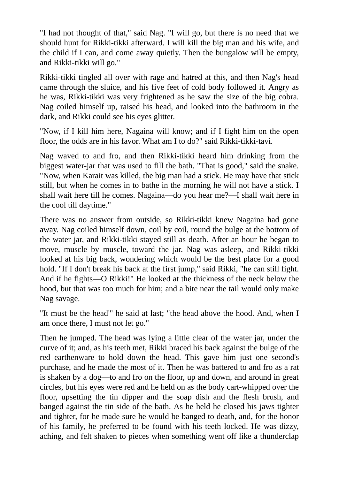"I had not thought of that," said Nag. "I will go, but there is no need that we should hunt for Rikki-tikki afterward. I will kill the big man and his wife, and the child if I can, and come away quietly. Then the bungalow will be empty, and Rikki-tikki will go."

Rikki-tikki tingled all over with rage and hatred at this, and then Nag's head came through the sluice, and his five feet of cold body followed it. Angry as he was, Rikki-tikki was very frightened as he saw the size of the big cobra. Nag coiled himself up, raised his head, and looked into the bathroom in the dark, and Rikki could see his eyes glitter.

"Now, if I kill him here, Nagaina will know; and if I fight him on the open floor, the odds are in his favor. What am I to do?" said Rikki-tikki-tavi.

Nag waved to and fro, and then Rikki-tikki heard him drinking from the biggest water-jar that was used to fill the bath. "That is good," said the snake. "Now, when Karait was killed, the big man had a stick. He may have that stick still, but when he comes in to bathe in the morning he will not have a stick. I shall wait here till he comes. Nagaina—do you hear me?—I shall wait here in the cool till daytime."

There was no answer from outside, so Rikki-tikki knew Nagaina had gone away. Nag coiled himself down, coil by coil, round the bulge at the bottom of the water jar, and Rikki-tikki stayed still as death. After an hour he began to move, muscle by muscle, toward the jar. Nag was asleep, and Rikki-tikki looked at his big back, wondering which would be the best place for a good hold. "If I don't break his back at the first jump," said Rikki, "he can still fight. And if he fights—O Rikki!" He looked at the thickness of the neck below the hood, but that was too much for him; and a bite near the tail would only make Nag savage.

"It must be the head"' he said at last; "the head above the hood. And, when I am once there, I must not let go."

Then he jumped. The head was lying a little clear of the water jar, under the curve of it; and, as his teeth met, Rikki braced his back against the bulge of the red earthenware to hold down the head. This gave him just one second's purchase, and he made the most of it. Then he was battered to and fro as a rat is shaken by a dog—to and fro on the floor, up and down, and around in great circles, but his eyes were red and he held on as the body cart-whipped over the floor, upsetting the tin dipper and the soap dish and the flesh brush, and banged against the tin side of the bath. As he held he closed his jaws tighter and tighter, for he made sure he would be banged to death, and, for the honor of his family, he preferred to be found with his teeth locked. He was dizzy, aching, and felt shaken to pieces when something went off like a thunderclap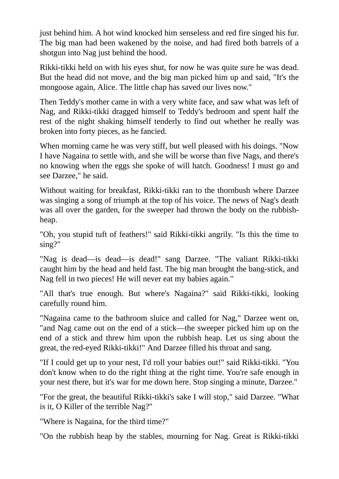just behind him. A hot wind knocked him senseless and red fire singed his fur. The big man had been wakened by the noise, and had fired both barrels of a shotgun into Nag just behind the hood.

Rikki-tikki held on with his eyes shut, for now he was quite sure he was dead. But the head did not move, and the big man picked him up and said, "It's the mongoose again, Alice. The little chap has saved our lives now."

Then Teddy's mother came in with a very white face, and saw what was left of Nag, and Rikki-tikki dragged himself to Teddy's bedroom and spent half the rest of the night shaking himself tenderly to find out whether he really was broken into forty pieces, as he fancied.

When morning came he was very stiff, but well pleased with his doings. "Now I have Nagaina to settle with, and she will be worse than five Nags, and there's no knowing when the eggs she spoke of will hatch. Goodness! I must go and see Darzee," he said.

Without waiting for breakfast, Rikki-tikki ran to the thornbush where Darzee was singing a song of triumph at the top of his voice. The news of Nag's death was all over the garden, for the sweeper had thrown the body on the rubbishheap.

"Oh, you stupid tuft of feathers!" said Rikki-tikki angrily. "Is this the time to sing?"

"Nag is dead—is dead—is dead!" sang Darzee. "The valiant Rikki-tikki caught him by the head and held fast. The big man brought the bang-stick, and Nag fell in two pieces! He will never eat my babies again."

"All that's true enough. But where's Nagaina?" said Rikki-tikki, looking carefully round him.

"Nagaina came to the bathroom sluice and called for Nag," Darzee went on, "and Nag came out on the end of a stick—the sweeper picked him up on the end of a stick and threw him upon the rubbish heap. Let us sing about the great, the red-eyed Rikki-tikki!" And Darzee filled his throat and sang.

"If I could get up to your nest, I'd roll your babies out!" said Rikki-tikki. "You don't know when to do the right thing at the right time. You're safe enough in your nest there, but it's war for me down here. Stop singing a minute, Darzee."

"For the great, the beautiful Rikki-tikki's sake I will stop," said Darzee. "What is it, O Killer of the terrible Nag?"

"Where is Nagaina, for the third time?"

"On the rubbish heap by the stables, mourning for Nag. Great is Rikki-tikki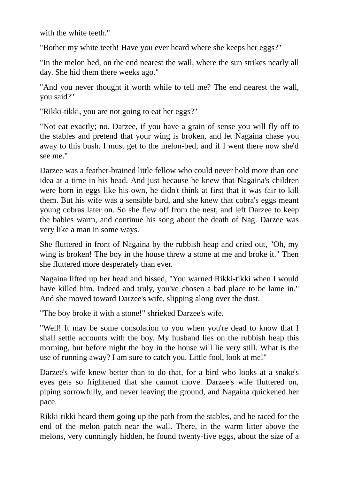with the white teeth."

"Bother my white teeth! Have you ever heard where she keeps her eggs?"

"In the melon bed, on the end nearest the wall, where the sun strikes nearly all day. She hid them there weeks ago."

"And you never thought it worth while to tell me? The end nearest the wall, you said?"

"Rikki-tikki, you are not going to eat her eggs?"

"Not eat exactly; no. Darzee, if you have a grain of sense you will fly off to the stables and pretend that your wing is broken, and let Nagaina chase you away to this bush. I must get to the melon-bed, and if I went there now she'd see me."

Darzee was a feather-brained little fellow who could never hold more than one idea at a time in his head. And just because he knew that Nagaina's children were born in eggs like his own, he didn't think at first that it was fair to kill them. But his wife was a sensible bird, and she knew that cobra's eggs meant young cobras later on. So she flew off from the nest, and left Darzee to keep the babies warm, and continue his song about the death of Nag. Darzee was very like a man in some ways.

She fluttered in front of Nagaina by the rubbish heap and cried out, "Oh, my wing is broken! The boy in the house threw a stone at me and broke it." Then she fluttered more desperately than ever.

Nagaina lifted up her head and hissed, "You warned Rikki-tikki when I would have killed him. Indeed and truly, you've chosen a bad place to be lame in." And she moved toward Darzee's wife, slipping along over the dust.

"The boy broke it with a stone!" shrieked Darzee's wife.

"Well! It may be some consolation to you when you're dead to know that I shall settle accounts with the boy. My husband lies on the rubbish heap this morning, but before night the boy in the house will lie very still. What is the use of running away? I am sure to catch you. Little fool, look at me!"

Darzee's wife knew better than to do that, for a bird who looks at a snake's eyes gets so frightened that she cannot move. Darzee's wife fluttered on, piping sorrowfully, and never leaving the ground, and Nagaina quickened her pace.

Rikki-tikki heard them going up the path from the stables, and he raced for the end of the melon patch near the wall. There, in the warm litter above the melons, very cunningly hidden, he found twenty-five eggs, about the size of a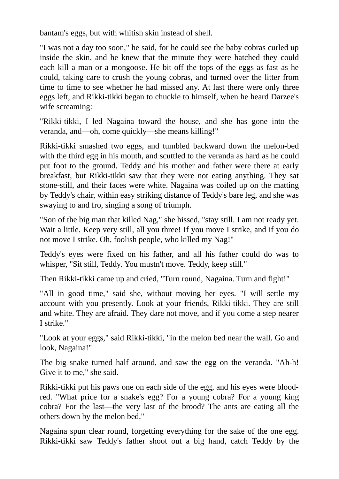bantam's eggs, but with whitish skin instead of shell.

"I was not a day too soon," he said, for he could see the baby cobras curled up inside the skin, and he knew that the minute they were hatched they could each kill a man or a mongoose. He bit off the tops of the eggs as fast as he could, taking care to crush the young cobras, and turned over the litter from time to time to see whether he had missed any. At last there were only three eggs left, and Rikki-tikki began to chuckle to himself, when he heard Darzee's wife screaming:

"Rikki-tikki, I led Nagaina toward the house, and she has gone into the veranda, and—oh, come quickly—she means killing!"

Rikki-tikki smashed two eggs, and tumbled backward down the melon-bed with the third egg in his mouth, and scuttled to the veranda as hard as he could put foot to the ground. Teddy and his mother and father were there at early breakfast, but Rikki-tikki saw that they were not eating anything. They sat stone-still, and their faces were white. Nagaina was coiled up on the matting by Teddy's chair, within easy striking distance of Teddy's bare leg, and she was swaying to and fro, singing a song of triumph.

"Son of the big man that killed Nag," she hissed, "stay still. I am not ready yet. Wait a little. Keep very still, all you three! If you move I strike, and if you do not move I strike. Oh, foolish people, who killed my Nag!"

Teddy's eyes were fixed on his father, and all his father could do was to whisper, "Sit still, Teddy. You mustn't move. Teddy, keep still."

Then Rikki-tikki came up and cried, "Turn round, Nagaina. Turn and fight!"

"All in good time," said she, without moving her eyes. "I will settle my account with you presently. Look at your friends, Rikki-tikki. They are still and white. They are afraid. They dare not move, and if you come a step nearer I strike."

"Look at your eggs," said Rikki-tikki, "in the melon bed near the wall. Go and look, Nagaina!"

The big snake turned half around, and saw the egg on the veranda. "Ah-h! Give it to me," she said.

Rikki-tikki put his paws one on each side of the egg, and his eyes were bloodred. "What price for a snake's egg? For a young cobra? For a young king cobra? For the last—the very last of the brood? The ants are eating all the others down by the melon bed."

Nagaina spun clear round, forgetting everything for the sake of the one egg. Rikki-tikki saw Teddy's father shoot out a big hand, catch Teddy by the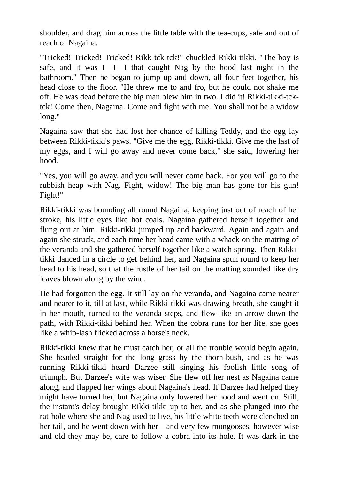shoulder, and drag him across the little table with the tea-cups, safe and out of reach of Nagaina.

"Tricked! Tricked! Tricked! Rikk-tck-tck!" chuckled Rikki-tikki. "The boy is safe, and it was I—I—I that caught Nag by the hood last night in the bathroom." Then he began to jump up and down, all four feet together, his head close to the floor. "He threw me to and fro, but he could not shake me off. He was dead before the big man blew him in two. I did it! Rikki-tikki-tcktck! Come then, Nagaina. Come and fight with me. You shall not be a widow long."

Nagaina saw that she had lost her chance of killing Teddy, and the egg lay between Rikki-tikki's paws. "Give me the egg, Rikki-tikki. Give me the last of my eggs, and I will go away and never come back," she said, lowering her hood.

"Yes, you will go away, and you will never come back. For you will go to the rubbish heap with Nag. Fight, widow! The big man has gone for his gun! Fight!"

Rikki-tikki was bounding all round Nagaina, keeping just out of reach of her stroke, his little eyes like hot coals. Nagaina gathered herself together and flung out at him. Rikki-tikki jumped up and backward. Again and again and again she struck, and each time her head came with a whack on the matting of the veranda and she gathered herself together like a watch spring. Then Rikkitikki danced in a circle to get behind her, and Nagaina spun round to keep her head to his head, so that the rustle of her tail on the matting sounded like dry leaves blown along by the wind.

He had forgotten the egg. It still lay on the veranda, and Nagaina came nearer and nearer to it, till at last, while Rikki-tikki was drawing breath, she caught it in her mouth, turned to the veranda steps, and flew like an arrow down the path, with Rikki-tikki behind her. When the cobra runs for her life, she goes like a whip-lash flicked across a horse's neck.

Rikki-tikki knew that he must catch her, or all the trouble would begin again. She headed straight for the long grass by the thorn-bush, and as he was running Rikki-tikki heard Darzee still singing his foolish little song of triumph. But Darzee's wife was wiser. She flew off her nest as Nagaina came along, and flapped her wings about Nagaina's head. If Darzee had helped they might have turned her, but Nagaina only lowered her hood and went on. Still, the instant's delay brought Rikki-tikki up to her, and as she plunged into the rat-hole where she and Nag used to live, his little white teeth were clenched on her tail, and he went down with her—and very few mongooses, however wise and old they may be, care to follow a cobra into its hole. It was dark in the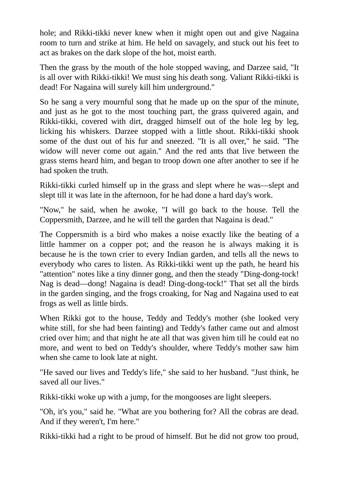hole; and Rikki-tikki never knew when it might open out and give Nagaina room to turn and strike at him. He held on savagely, and stuck out his feet to act as brakes on the dark slope of the hot, moist earth.

Then the grass by the mouth of the hole stopped waving, and Darzee said, "It is all over with Rikki-tikki! We must sing his death song. Valiant Rikki-tikki is dead! For Nagaina will surely kill him underground."

So he sang a very mournful song that he made up on the spur of the minute, and just as he got to the most touching part, the grass quivered again, and Rikki-tikki, covered with dirt, dragged himself out of the hole leg by leg, licking his whiskers. Darzee stopped with a little shout. Rikki-tikki shook some of the dust out of his fur and sneezed. "It is all over," he said. "The widow will never come out again." And the red ants that live between the grass stems heard him, and began to troop down one after another to see if he had spoken the truth.

Rikki-tikki curled himself up in the grass and slept where he was—slept and slept till it was late in the afternoon, for he had done a hard day's work.

"Now," he said, when he awoke, "I will go back to the house. Tell the Coppersmith, Darzee, and he will tell the garden that Nagaina is dead."

The Coppersmith is a bird who makes a noise exactly like the beating of a little hammer on a copper pot; and the reason he is always making it is because he is the town crier to every Indian garden, and tells all the news to everybody who cares to listen. As Rikki-tikki went up the path, he heard his "attention" notes like a tiny dinner gong, and then the steady "Ding-dong-tock! Nag is dead—dong! Nagaina is dead! Ding-dong-tock!" That set all the birds in the garden singing, and the frogs croaking, for Nag and Nagaina used to eat frogs as well as little birds.

When Rikki got to the house, Teddy and Teddy's mother (she looked very white still, for she had been fainting) and Teddy's father came out and almost cried over him; and that night he ate all that was given him till he could eat no more, and went to bed on Teddy's shoulder, where Teddy's mother saw him when she came to look late at night.

"He saved our lives and Teddy's life," she said to her husband. "Just think, he saved all our lives."

Rikki-tikki woke up with a jump, for the mongooses are light sleepers.

"Oh, it's you," said he. "What are you bothering for? All the cobras are dead. And if they weren't, I'm here."

Rikki-tikki had a right to be proud of himself. But he did not grow too proud,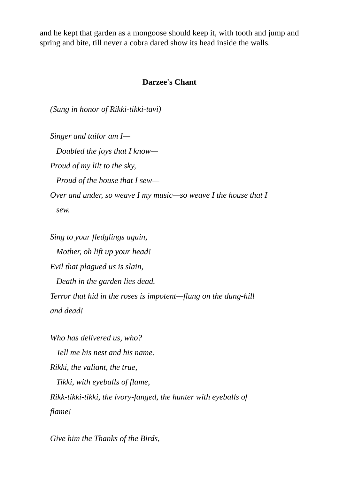and he kept that garden as a mongoose should keep it, with tooth and jump and spring and bite, till never a cobra dared show its head inside the walls.

## **Darzee's Chant**

*(Sung in honor of Rikki-tikki-tavi)*

*Singer and tailor am I—*

*Doubled the joys that I know—*

*Proud of my lilt to the sky,*

*Proud of the house that I sew—*

*Over and under, so weave I my music—so weave I the house that I sew.*

*Sing to your fledglings again, Mother, oh lift up your head! Evil that plagued us is slain, Death in the garden lies dead. Terror that hid in the roses is impotent—flung on the dung-hill and dead!*

*Who has delivered us, who? Tell me his nest and his name. Rikki, the valiant, the true, Tikki, with eyeballs of flame, Rikk-tikki-tikki, the ivory-fanged, the hunter with eyeballs of flame!*

*Give him the Thanks of the Birds,*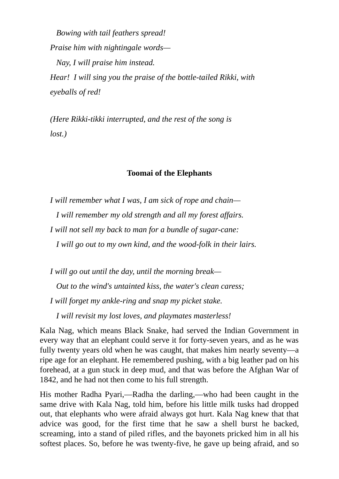*Bowing with tail feathers spread! Praise him with nightingale words— Nay, I will praise him instead. Hear! I will sing you the praise of the bottle-tailed Rikki, with eyeballs of red!*

*(Here Rikki-tikki interrupted, and the rest of the song is lost.)*

## **Toomai of the Elephants**

*I will remember what I was, I am sick of rope and chain—*

*I will remember my old strength and all my forest affairs.*

*I will not sell my back to man for a bundle of sugar-cane:*

*I will go out to my own kind, and the wood-folk in their lairs.*

*I will go out until the day, until the morning break—*

*Out to the wind's untainted kiss, the water's clean caress;*

*I will forget my ankle-ring and snap my picket stake.*

*I will revisit my lost loves, and playmates masterless!*

Kala Nag, which means Black Snake, had served the Indian Government in every way that an elephant could serve it for forty-seven years, and as he was fully twenty years old when he was caught, that makes him nearly seventy—a ripe age for an elephant. He remembered pushing, with a big leather pad on his forehead, at a gun stuck in deep mud, and that was before the Afghan War of 1842, and he had not then come to his full strength.

His mother Radha Pyari,—Radha the darling,—who had been caught in the same drive with Kala Nag, told him, before his little milk tusks had dropped out, that elephants who were afraid always got hurt. Kala Nag knew that that advice was good, for the first time that he saw a shell burst he backed, screaming, into a stand of piled rifles, and the bayonets pricked him in all his softest places. So, before he was twenty-five, he gave up being afraid, and so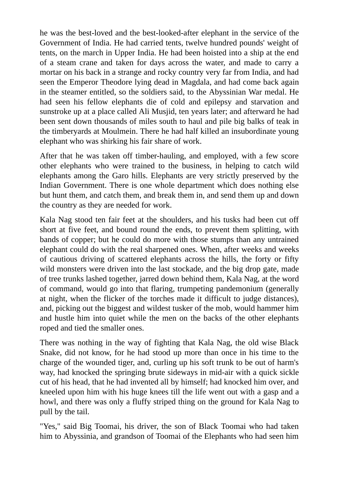he was the best-loved and the best-looked-after elephant in the service of the Government of India. He had carried tents, twelve hundred pounds' weight of tents, on the march in Upper India. He had been hoisted into a ship at the end of a steam crane and taken for days across the water, and made to carry a mortar on his back in a strange and rocky country very far from India, and had seen the Emperor Theodore lying dead in Magdala, and had come back again in the steamer entitled, so the soldiers said, to the Abyssinian War medal. He had seen his fellow elephants die of cold and epilepsy and starvation and sunstroke up at a place called Ali Musjid, ten years later; and afterward he had been sent down thousands of miles south to haul and pile big balks of teak in the timberyards at Moulmein. There he had half killed an insubordinate young elephant who was shirking his fair share of work.

After that he was taken off timber-hauling, and employed, with a few score other elephants who were trained to the business, in helping to catch wild elephants among the Garo hills. Elephants are very strictly preserved by the Indian Government. There is one whole department which does nothing else but hunt them, and catch them, and break them in, and send them up and down the country as they are needed for work.

Kala Nag stood ten fair feet at the shoulders, and his tusks had been cut off short at five feet, and bound round the ends, to prevent them splitting, with bands of copper; but he could do more with those stumps than any untrained elephant could do with the real sharpened ones. When, after weeks and weeks of cautious driving of scattered elephants across the hills, the forty or fifty wild monsters were driven into the last stockade, and the big drop gate, made of tree trunks lashed together, jarred down behind them, Kala Nag, at the word of command, would go into that flaring, trumpeting pandemonium (generally at night, when the flicker of the torches made it difficult to judge distances), and, picking out the biggest and wildest tusker of the mob, would hammer him and hustle him into quiet while the men on the backs of the other elephants roped and tied the smaller ones.

There was nothing in the way of fighting that Kala Nag, the old wise Black Snake, did not know, for he had stood up more than once in his time to the charge of the wounded tiger, and, curling up his soft trunk to be out of harm's way, had knocked the springing brute sideways in mid-air with a quick sickle cut of his head, that he had invented all by himself; had knocked him over, and kneeled upon him with his huge knees till the life went out with a gasp and a howl, and there was only a fluffy striped thing on the ground for Kala Nag to pull by the tail.

"Yes," said Big Toomai, his driver, the son of Black Toomai who had taken him to Abyssinia, and grandson of Toomai of the Elephants who had seen him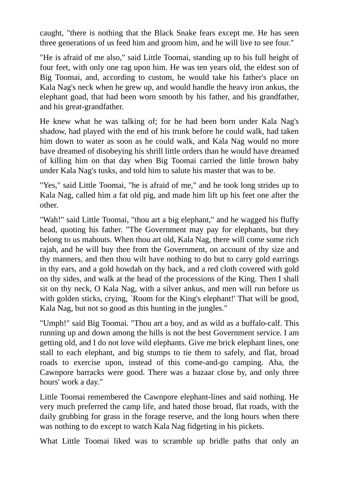caught, "there is nothing that the Black Snake fears except me. He has seen three generations of us feed him and groom him, and he will live to see four."

"He is afraid of me also," said Little Toomai, standing up to his full height of four feet, with only one rag upon him. He was ten years old, the eldest son of Big Toomai, and, according to custom, he would take his father's place on Kala Nag's neck when he grew up, and would handle the heavy iron ankus, the elephant goad, that had been worn smooth by his father, and his grandfather, and his great-grandfather.

He knew what he was talking of; for he had been born under Kala Nag's shadow, had played with the end of his trunk before he could walk, had taken him down to water as soon as he could walk, and Kala Nag would no more have dreamed of disobeying his shrill little orders than he would have dreamed of killing him on that day when Big Toomai carried the little brown baby under Kala Nag's tusks, and told him to salute his master that was to be.

"Yes," said Little Toomai, "he is afraid of me," and he took long strides up to Kala Nag, called him a fat old pig, and made him lift up his feet one after the other.

"Wah!" said Little Toomai, "thou art a big elephant," and he wagged his fluffy head, quoting his father. "The Government may pay for elephants, but they belong to us mahouts. When thou art old, Kala Nag, there will come some rich rajah, and he will buy thee from the Government, on account of thy size and thy manners, and then thou wilt have nothing to do but to carry gold earrings in thy ears, and a gold howdah on thy back, and a red cloth covered with gold on thy sides, and walk at the head of the processions of the King. Then I shall sit on thy neck, O Kala Nag, with a silver ankus, and men will run before us with golden sticks, crying, `Room for the King's elephant!' That will be good, Kala Nag, but not so good as this hunting in the jungles."

"Umph!" said Big Toomai. "Thou art a boy, and as wild as a buffalo-calf. This running up and down among the hills is not the best Government service. I am getting old, and I do not love wild elephants. Give me brick elephant lines, one stall to each elephant, and big stumps to tie them to safely, and flat, broad roads to exercise upon, instead of this come-and-go camping. Aha, the Cawnpore barracks were good. There was a bazaar close by, and only three hours' work a day."

Little Toomai remembered the Cawnpore elephant-lines and said nothing. He very much preferred the camp life, and hated those broad, flat roads, with the daily grubbing for grass in the forage reserve, and the long hours when there was nothing to do except to watch Kala Nag fidgeting in his pickets.

What Little Toomai liked was to scramble up bridle paths that only an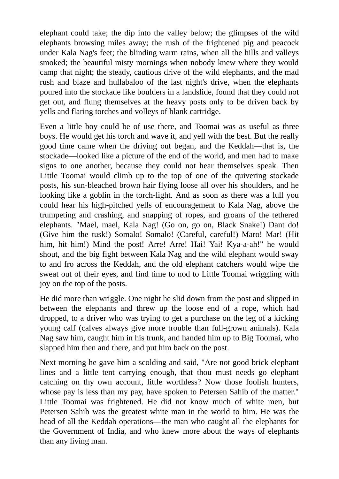elephant could take; the dip into the valley below; the glimpses of the wild elephants browsing miles away; the rush of the frightened pig and peacock under Kala Nag's feet; the blinding warm rains, when all the hills and valleys smoked; the beautiful misty mornings when nobody knew where they would camp that night; the steady, cautious drive of the wild elephants, and the mad rush and blaze and hullabaloo of the last night's drive, when the elephants poured into the stockade like boulders in a landslide, found that they could not get out, and flung themselves at the heavy posts only to be driven back by yells and flaring torches and volleys of blank cartridge.

Even a little boy could be of use there, and Toomai was as useful as three boys. He would get his torch and wave it, and yell with the best. But the really good time came when the driving out began, and the Keddah—that is, the stockade—looked like a picture of the end of the world, and men had to make signs to one another, because they could not hear themselves speak. Then Little Toomai would climb up to the top of one of the quivering stockade posts, his sun-bleached brown hair flying loose all over his shoulders, and he looking like a goblin in the torch-light. And as soon as there was a lull you could hear his high-pitched yells of encouragement to Kala Nag, above the trumpeting and crashing, and snapping of ropes, and groans of the tethered elephants. "Mael, mael, Kala Nag! (Go on, go on, Black Snake!) Dant do! (Give him the tusk!) Somalo! Somalo! (Careful, careful!) Maro! Mar! (Hit him, hit him!) Mind the post! Arre! Arre! Hai! Yai! Kya-a-ah!" he would shout, and the big fight between Kala Nag and the wild elephant would sway to and fro across the Keddah, and the old elephant catchers would wipe the sweat out of their eyes, and find time to nod to Little Toomai wriggling with joy on the top of the posts.

He did more than wriggle. One night he slid down from the post and slipped in between the elephants and threw up the loose end of a rope, which had dropped, to a driver who was trying to get a purchase on the leg of a kicking young calf (calves always give more trouble than full-grown animals). Kala Nag saw him, caught him in his trunk, and handed him up to Big Toomai, who slapped him then and there, and put him back on the post.

Next morning he gave him a scolding and said, "Are not good brick elephant lines and a little tent carrying enough, that thou must needs go elephant catching on thy own account, little worthless? Now those foolish hunters, whose pay is less than my pay, have spoken to Petersen Sahib of the matter." Little Toomai was frightened. He did not know much of white men, but Petersen Sahib was the greatest white man in the world to him. He was the head of all the Keddah operations—the man who caught all the elephants for the Government of India, and who knew more about the ways of elephants than any living man.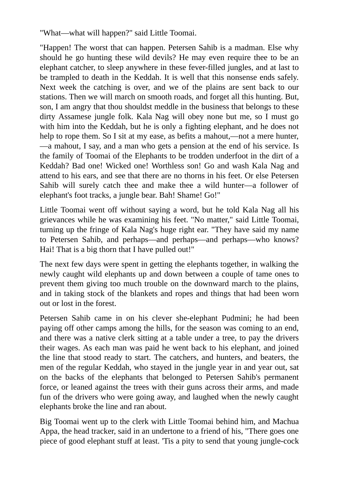"What—what will happen?" said Little Toomai.

"Happen! The worst that can happen. Petersen Sahib is a madman. Else why should he go hunting these wild devils? He may even require thee to be an elephant catcher, to sleep anywhere in these fever-filled jungles, and at last to be trampled to death in the Keddah. It is well that this nonsense ends safely. Next week the catching is over, and we of the plains are sent back to our stations. Then we will march on smooth roads, and forget all this hunting. But, son, I am angry that thou shouldst meddle in the business that belongs to these dirty Assamese jungle folk. Kala Nag will obey none but me, so I must go with him into the Keddah, but he is only a fighting elephant, and he does not help to rope them. So I sit at my ease, as befits a mahout,—not a mere hunter, —a mahout, I say, and a man who gets a pension at the end of his service. Is the family of Toomai of the Elephants to be trodden underfoot in the dirt of a Keddah? Bad one! Wicked one! Worthless son! Go and wash Kala Nag and attend to his ears, and see that there are no thorns in his feet. Or else Petersen Sahib will surely catch thee and make thee a wild hunter—a follower of elephant's foot tracks, a jungle bear. Bah! Shame! Go!"

Little Toomai went off without saying a word, but he told Kala Nag all his grievances while he was examining his feet. "No matter," said Little Toomai, turning up the fringe of Kala Nag's huge right ear. "They have said my name to Petersen Sahib, and perhaps—and perhaps—and perhaps—who knows? Hai! That is a big thorn that I have pulled out!"

The next few days were spent in getting the elephants together, in walking the newly caught wild elephants up and down between a couple of tame ones to prevent them giving too much trouble on the downward march to the plains, and in taking stock of the blankets and ropes and things that had been worn out or lost in the forest.

Petersen Sahib came in on his clever she-elephant Pudmini; he had been paying off other camps among the hills, for the season was coming to an end, and there was a native clerk sitting at a table under a tree, to pay the drivers their wages. As each man was paid he went back to his elephant, and joined the line that stood ready to start. The catchers, and hunters, and beaters, the men of the regular Keddah, who stayed in the jungle year in and year out, sat on the backs of the elephants that belonged to Petersen Sahib's permanent force, or leaned against the trees with their guns across their arms, and made fun of the drivers who were going away, and laughed when the newly caught elephants broke the line and ran about.

Big Toomai went up to the clerk with Little Toomai behind him, and Machua Appa, the head tracker, said in an undertone to a friend of his, "There goes one piece of good elephant stuff at least. 'Tis a pity to send that young jungle-cock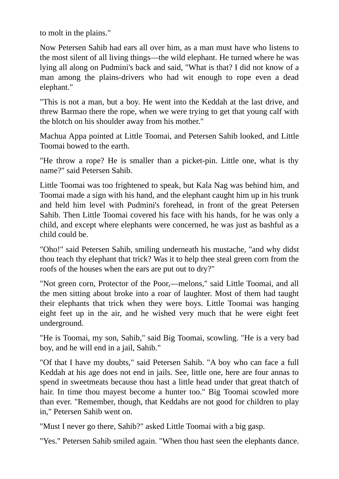to molt in the plains."

Now Petersen Sahib had ears all over him, as a man must have who listens to the most silent of all living things—the wild elephant. He turned where he was lying all along on Pudmini's back and said, "What is that? I did not know of a man among the plains-drivers who had wit enough to rope even a dead elephant."

"This is not a man, but a boy. He went into the Keddah at the last drive, and threw Barmao there the rope, when we were trying to get that young calf with the blotch on his shoulder away from his mother."

Machua Appa pointed at Little Toomai, and Petersen Sahib looked, and Little Toomai bowed to the earth.

"He throw a rope? He is smaller than a picket-pin. Little one, what is thy name?" said Petersen Sahib.

Little Toomai was too frightened to speak, but Kala Nag was behind him, and Toomai made a sign with his hand, and the elephant caught him up in his trunk and held him level with Pudmini's forehead, in front of the great Petersen Sahib. Then Little Toomai covered his face with his hands, for he was only a child, and except where elephants were concerned, he was just as bashful as a child could be.

"Oho!" said Petersen Sahib, smiling underneath his mustache, "and why didst thou teach thy elephant that trick? Was it to help thee steal green corn from the roofs of the houses when the ears are put out to dry?"

"Not green corn, Protector of the Poor,—melons," said Little Toomai, and all the men sitting about broke into a roar of laughter. Most of them had taught their elephants that trick when they were boys. Little Toomai was hanging eight feet up in the air, and he wished very much that he were eight feet underground.

"He is Toomai, my son, Sahib," said Big Toomai, scowling. "He is a very bad boy, and he will end in a jail, Sahib."

"Of that I have my doubts," said Petersen Sahib. "A boy who can face a full Keddah at his age does not end in jails. See, little one, here are four annas to spend in sweetmeats because thou hast a little head under that great thatch of hair. In time thou mayest become a hunter too." Big Toomai scowled more than ever. "Remember, though, that Keddahs are not good for children to play in," Petersen Sahib went on.

"Must I never go there, Sahib?" asked Little Toomai with a big gasp.

"Yes." Petersen Sahib smiled again. "When thou hast seen the elephants dance.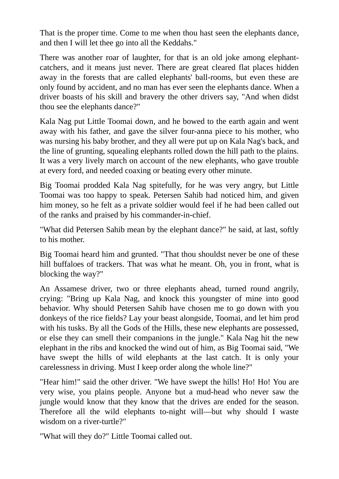That is the proper time. Come to me when thou hast seen the elephants dance, and then I will let thee go into all the Keddahs."

There was another roar of laughter, for that is an old joke among elephantcatchers, and it means just never. There are great cleared flat places hidden away in the forests that are called elephants' ball-rooms, but even these are only found by accident, and no man has ever seen the elephants dance. When a driver boasts of his skill and bravery the other drivers say, "And when didst thou see the elephants dance?"

Kala Nag put Little Toomai down, and he bowed to the earth again and went away with his father, and gave the silver four-anna piece to his mother, who was nursing his baby brother, and they all were put up on Kala Nag's back, and the line of grunting, squealing elephants rolled down the hill path to the plains. It was a very lively march on account of the new elephants, who gave trouble at every ford, and needed coaxing or beating every other minute.

Big Toomai prodded Kala Nag spitefully, for he was very angry, but Little Toomai was too happy to speak. Petersen Sahib had noticed him, and given him money, so he felt as a private soldier would feel if he had been called out of the ranks and praised by his commander-in-chief.

"What did Petersen Sahib mean by the elephant dance?" he said, at last, softly to his mother.

Big Toomai heard him and grunted. "That thou shouldst never be one of these hill buffaloes of trackers. That was what he meant. Oh, you in front, what is blocking the way?"

An Assamese driver, two or three elephants ahead, turned round angrily, crying: "Bring up Kala Nag, and knock this youngster of mine into good behavior. Why should Petersen Sahib have chosen me to go down with you donkeys of the rice fields? Lay your beast alongside, Toomai, and let him prod with his tusks. By all the Gods of the Hills, these new elephants are possessed, or else they can smell their companions in the jungle." Kala Nag hit the new elephant in the ribs and knocked the wind out of him, as Big Toomai said, "We have swept the hills of wild elephants at the last catch. It is only your carelessness in driving. Must I keep order along the whole line?"

"Hear him!" said the other driver. "We have swept the hills! Ho! Ho! You are very wise, you plains people. Anyone but a mud-head who never saw the jungle would know that they know that the drives are ended for the season. Therefore all the wild elephants to-night will—but why should I waste wisdom on a river-turtle?"

"What will they do?" Little Toomai called out.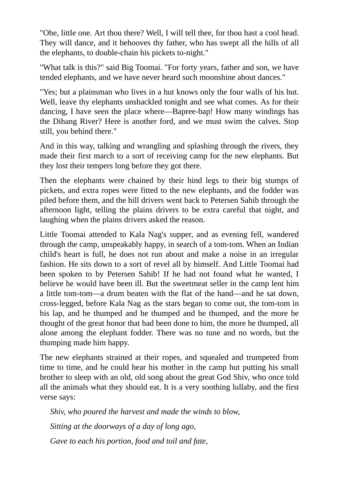"Ohe, little one. Art thou there? Well, I will tell thee, for thou hast a cool head. They will dance, and it behooves thy father, who has swept all the hills of all the elephants, to double-chain his pickets to-night."

"What talk is this?" said Big Toomai. "For forty years, father and son, we have tended elephants, and we have never heard such moonshine about dances."

"Yes; but a plainsman who lives in a hut knows only the four walls of his hut. Well, leave thy elephants unshackled tonight and see what comes. As for their dancing, I have seen the place where—Bapree-bap! How many windings has the Dihang River? Here is another ford, and we must swim the calves. Stop still, you behind there."

And in this way, talking and wrangling and splashing through the rivers, they made their first march to a sort of receiving camp for the new elephants. But they lost their tempers long before they got there.

Then the elephants were chained by their hind legs to their big stumps of pickets, and extra ropes were fitted to the new elephants, and the fodder was piled before them, and the hill drivers went back to Petersen Sahib through the afternoon light, telling the plains drivers to be extra careful that night, and laughing when the plains drivers asked the reason.

Little Toomai attended to Kala Nag's supper, and as evening fell, wandered through the camp, unspeakably happy, in search of a tom-tom. When an Indian child's heart is full, he does not run about and make a noise in an irregular fashion. He sits down to a sort of revel all by himself. And Little Toomai had been spoken to by Petersen Sahib! If he had not found what he wanted, I believe he would have been ill. But the sweetmeat seller in the camp lent him a little tom-tom—a drum beaten with the flat of the hand—and he sat down, cross-legged, before Kala Nag as the stars began to come out, the tom-tom in his lap, and he thumped and he thumped and he thumped, and the more he thought of the great honor that had been done to him, the more he thumped, all alone among the elephant fodder. There was no tune and no words, but the thumping made him happy.

The new elephants strained at their ropes, and squealed and trumpeted from time to time, and he could hear his mother in the camp hut putting his small brother to sleep with an old, old song about the great God Shiv, who once told all the animals what they should eat. It is a very soothing lullaby, and the first verse says:

*Shiv, who poured the harvest and made the winds to blow,*

*Sitting at the doorways of a day of long ago,*

*Gave to each his portion, food and toil and fate,*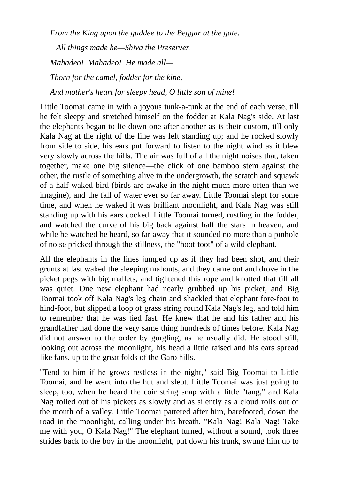*From the King upon the guddee to the Beggar at the gate.*

*All things made he—Shiva the Preserver. Mahadeo! Mahadeo! He made all— Thorn for the camel, fodder for the kine,*

*And mother's heart for sleepy head, O little son of mine!*

Little Toomai came in with a joyous tunk-a-tunk at the end of each verse, till he felt sleepy and stretched himself on the fodder at Kala Nag's side. At last the elephants began to lie down one after another as is their custom, till only Kala Nag at the right of the line was left standing up; and he rocked slowly from side to side, his ears put forward to listen to the night wind as it blew very slowly across the hills. The air was full of all the night noises that, taken together, make one big silence—the click of one bamboo stem against the other, the rustle of something alive in the undergrowth, the scratch and squawk of a half-waked bird (birds are awake in the night much more often than we imagine), and the fall of water ever so far away. Little Toomai slept for some time, and when he waked it was brilliant moonlight, and Kala Nag was still standing up with his ears cocked. Little Toomai turned, rustling in the fodder, and watched the curve of his big back against half the stars in heaven, and while he watched he heard, so far away that it sounded no more than a pinhole of noise pricked through the stillness, the "hoot-toot" of a wild elephant.

All the elephants in the lines jumped up as if they had been shot, and their grunts at last waked the sleeping mahouts, and they came out and drove in the picket pegs with big mallets, and tightened this rope and knotted that till all was quiet. One new elephant had nearly grubbed up his picket, and Big Toomai took off Kala Nag's leg chain and shackled that elephant fore-foot to hind-foot, but slipped a loop of grass string round Kala Nag's leg, and told him to remember that he was tied fast. He knew that he and his father and his grandfather had done the very same thing hundreds of times before. Kala Nag did not answer to the order by gurgling, as he usually did. He stood still, looking out across the moonlight, his head a little raised and his ears spread like fans, up to the great folds of the Garo hills.

"Tend to him if he grows restless in the night," said Big Toomai to Little Toomai, and he went into the hut and slept. Little Toomai was just going to sleep, too, when he heard the coir string snap with a little "tang," and Kala Nag rolled out of his pickets as slowly and as silently as a cloud rolls out of the mouth of a valley. Little Toomai pattered after him, barefooted, down the road in the moonlight, calling under his breath, "Kala Nag! Kala Nag! Take me with you, O Kala Nag!" The elephant turned, without a sound, took three strides back to the boy in the moonlight, put down his trunk, swung him up to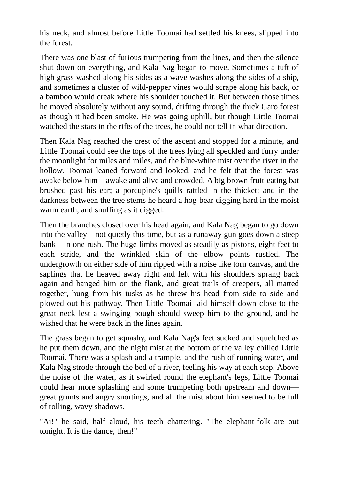his neck, and almost before Little Toomai had settled his knees, slipped into the forest.

There was one blast of furious trumpeting from the lines, and then the silence shut down on everything, and Kala Nag began to move. Sometimes a tuft of high grass washed along his sides as a wave washes along the sides of a ship, and sometimes a cluster of wild-pepper vines would scrape along his back, or a bamboo would creak where his shoulder touched it. But between those times he moved absolutely without any sound, drifting through the thick Garo forest as though it had been smoke. He was going uphill, but though Little Toomai watched the stars in the rifts of the trees, he could not tell in what direction.

Then Kala Nag reached the crest of the ascent and stopped for a minute, and Little Toomai could see the tops of the trees lying all speckled and furry under the moonlight for miles and miles, and the blue-white mist over the river in the hollow. Toomai leaned forward and looked, and he felt that the forest was awake below him—awake and alive and crowded. A big brown fruit-eating bat brushed past his ear; a porcupine's quills rattled in the thicket; and in the darkness between the tree stems he heard a hog-bear digging hard in the moist warm earth, and snuffing as it digged.

Then the branches closed over his head again, and Kala Nag began to go down into the valley—not quietly this time, but as a runaway gun goes down a steep bank—in one rush. The huge limbs moved as steadily as pistons, eight feet to each stride, and the wrinkled skin of the elbow points rustled. The undergrowth on either side of him ripped with a noise like torn canvas, and the saplings that he heaved away right and left with his shoulders sprang back again and banged him on the flank, and great trails of creepers, all matted together, hung from his tusks as he threw his head from side to side and plowed out his pathway. Then Little Toomai laid himself down close to the great neck lest a swinging bough should sweep him to the ground, and he wished that he were back in the lines again.

The grass began to get squashy, and Kala Nag's feet sucked and squelched as he put them down, and the night mist at the bottom of the valley chilled Little Toomai. There was a splash and a trample, and the rush of running water, and Kala Nag strode through the bed of a river, feeling his way at each step. Above the noise of the water, as it swirled round the elephant's legs, Little Toomai could hear more splashing and some trumpeting both upstream and down great grunts and angry snortings, and all the mist about him seemed to be full of rolling, wavy shadows.

"Ai!" he said, half aloud, his teeth chattering. "The elephant-folk are out tonight. It is the dance, then!"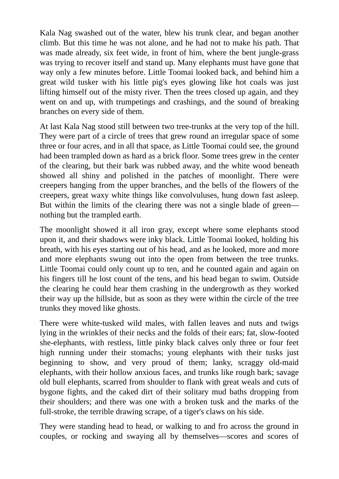Kala Nag swashed out of the water, blew his trunk clear, and began another climb. But this time he was not alone, and he had not to make his path. That was made already, six feet wide, in front of him, where the bent jungle-grass was trying to recover itself and stand up. Many elephants must have gone that way only a few minutes before. Little Toomai looked back, and behind him a great wild tusker with his little pig's eyes glowing like hot coals was just lifting himself out of the misty river. Then the trees closed up again, and they went on and up, with trumpetings and crashings, and the sound of breaking branches on every side of them.

At last Kala Nag stood still between two tree-trunks at the very top of the hill. They were part of a circle of trees that grew round an irregular space of some three or four acres, and in all that space, as Little Toomai could see, the ground had been trampled down as hard as a brick floor. Some trees grew in the center of the clearing, but their bark was rubbed away, and the white wood beneath showed all shiny and polished in the patches of moonlight. There were creepers hanging from the upper branches, and the bells of the flowers of the creepers, great waxy white things like convolvuluses, hung down fast asleep. But within the limits of the clearing there was not a single blade of green nothing but the trampled earth.

The moonlight showed it all iron gray, except where some elephants stood upon it, and their shadows were inky black. Little Toomai looked, holding his breath, with his eyes starting out of his head, and as he looked, more and more and more elephants swung out into the open from between the tree trunks. Little Toomai could only count up to ten, and he counted again and again on his fingers till he lost count of the tens, and his head began to swim. Outside the clearing he could hear them crashing in the undergrowth as they worked their way up the hillside, but as soon as they were within the circle of the tree trunks they moved like ghosts.

There were white-tusked wild males, with fallen leaves and nuts and twigs lying in the wrinkles of their necks and the folds of their ears; fat, slow-footed she-elephants, with restless, little pinky black calves only three or four feet high running under their stomachs; young elephants with their tusks just beginning to show, and very proud of them; lanky, scraggy old-maid elephants, with their hollow anxious faces, and trunks like rough bark; savage old bull elephants, scarred from shoulder to flank with great weals and cuts of bygone fights, and the caked dirt of their solitary mud baths dropping from their shoulders; and there was one with a broken tusk and the marks of the full-stroke, the terrible drawing scrape, of a tiger's claws on his side.

They were standing head to head, or walking to and fro across the ground in couples, or rocking and swaying all by themselves—scores and scores of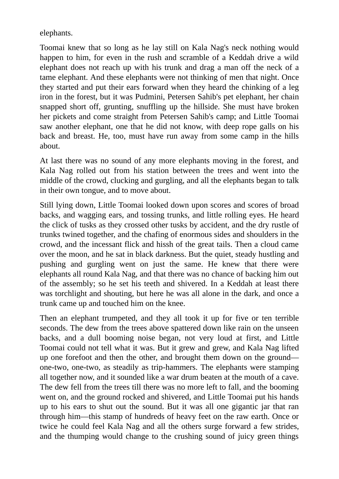elephants.

Toomai knew that so long as he lay still on Kala Nag's neck nothing would happen to him, for even in the rush and scramble of a Keddah drive a wild elephant does not reach up with his trunk and drag a man off the neck of a tame elephant. And these elephants were not thinking of men that night. Once they started and put their ears forward when they heard the chinking of a leg iron in the forest, but it was Pudmini, Petersen Sahib's pet elephant, her chain snapped short off, grunting, snuffling up the hillside. She must have broken her pickets and come straight from Petersen Sahib's camp; and Little Toomai saw another elephant, one that he did not know, with deep rope galls on his back and breast. He, too, must have run away from some camp in the hills about.

At last there was no sound of any more elephants moving in the forest, and Kala Nag rolled out from his station between the trees and went into the middle of the crowd, clucking and gurgling, and all the elephants began to talk in their own tongue, and to move about.

Still lying down, Little Toomai looked down upon scores and scores of broad backs, and wagging ears, and tossing trunks, and little rolling eyes. He heard the click of tusks as they crossed other tusks by accident, and the dry rustle of trunks twined together, and the chafing of enormous sides and shoulders in the crowd, and the incessant flick and hissh of the great tails. Then a cloud came over the moon, and he sat in black darkness. But the quiet, steady hustling and pushing and gurgling went on just the same. He knew that there were elephants all round Kala Nag, and that there was no chance of backing him out of the assembly; so he set his teeth and shivered. In a Keddah at least there was torchlight and shouting, but here he was all alone in the dark, and once a trunk came up and touched him on the knee.

Then an elephant trumpeted, and they all took it up for five or ten terrible seconds. The dew from the trees above spattered down like rain on the unseen backs, and a dull booming noise began, not very loud at first, and Little Toomai could not tell what it was. But it grew and grew, and Kala Nag lifted up one forefoot and then the other, and brought them down on the ground one-two, one-two, as steadily as trip-hammers. The elephants were stamping all together now, and it sounded like a war drum beaten at the mouth of a cave. The dew fell from the trees till there was no more left to fall, and the booming went on, and the ground rocked and shivered, and Little Toomai put his hands up to his ears to shut out the sound. But it was all one gigantic jar that ran through him—this stamp of hundreds of heavy feet on the raw earth. Once or twice he could feel Kala Nag and all the others surge forward a few strides, and the thumping would change to the crushing sound of juicy green things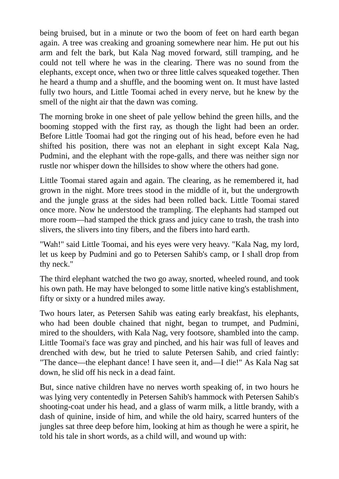being bruised, but in a minute or two the boom of feet on hard earth began again. A tree was creaking and groaning somewhere near him. He put out his arm and felt the bark, but Kala Nag moved forward, still tramping, and he could not tell where he was in the clearing. There was no sound from the elephants, except once, when two or three little calves squeaked together. Then he heard a thump and a shuffle, and the booming went on. It must have lasted fully two hours, and Little Toomai ached in every nerve, but he knew by the smell of the night air that the dawn was coming.

The morning broke in one sheet of pale yellow behind the green hills, and the booming stopped with the first ray, as though the light had been an order. Before Little Toomai had got the ringing out of his head, before even he had shifted his position, there was not an elephant in sight except Kala Nag, Pudmini, and the elephant with the rope-galls, and there was neither sign nor rustle nor whisper down the hillsides to show where the others had gone.

Little Toomai stared again and again. The clearing, as he remembered it, had grown in the night. More trees stood in the middle of it, but the undergrowth and the jungle grass at the sides had been rolled back. Little Toomai stared once more. Now he understood the trampling. The elephants had stamped out more room—had stamped the thick grass and juicy cane to trash, the trash into slivers, the slivers into tiny fibers, and the fibers into hard earth.

"Wah!" said Little Toomai, and his eyes were very heavy. "Kala Nag, my lord, let us keep by Pudmini and go to Petersen Sahib's camp, or I shall drop from thy neck."

The third elephant watched the two go away, snorted, wheeled round, and took his own path. He may have belonged to some little native king's establishment, fifty or sixty or a hundred miles away.

Two hours later, as Petersen Sahib was eating early breakfast, his elephants, who had been double chained that night, began to trumpet, and Pudmini, mired to the shoulders, with Kala Nag, very footsore, shambled into the camp. Little Toomai's face was gray and pinched, and his hair was full of leaves and drenched with dew, but he tried to salute Petersen Sahib, and cried faintly: "The dance—the elephant dance! I have seen it, and—I die!" As Kala Nag sat down, he slid off his neck in a dead faint.

But, since native children have no nerves worth speaking of, in two hours he was lying very contentedly in Petersen Sahib's hammock with Petersen Sahib's shooting-coat under his head, and a glass of warm milk, a little brandy, with a dash of quinine, inside of him, and while the old hairy, scarred hunters of the jungles sat three deep before him, looking at him as though he were a spirit, he told his tale in short words, as a child will, and wound up with: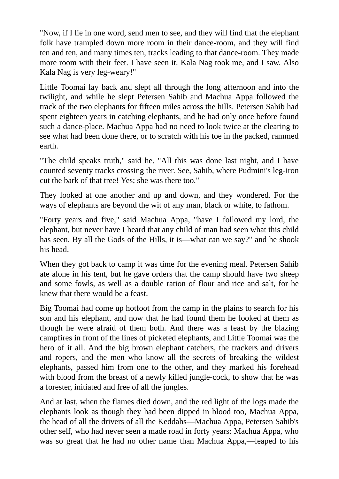"Now, if I lie in one word, send men to see, and they will find that the elephant folk have trampled down more room in their dance-room, and they will find ten and ten, and many times ten, tracks leading to that dance-room. They made more room with their feet. I have seen it. Kala Nag took me, and I saw. Also Kala Nag is very leg-weary!"

Little Toomai lay back and slept all through the long afternoon and into the twilight, and while he slept Petersen Sahib and Machua Appa followed the track of the two elephants for fifteen miles across the hills. Petersen Sahib had spent eighteen years in catching elephants, and he had only once before found such a dance-place. Machua Appa had no need to look twice at the clearing to see what had been done there, or to scratch with his toe in the packed, rammed earth.

"The child speaks truth," said he. "All this was done last night, and I have counted seventy tracks crossing the river. See, Sahib, where Pudmini's leg-iron cut the bark of that tree! Yes; she was there too."

They looked at one another and up and down, and they wondered. For the ways of elephants are beyond the wit of any man, black or white, to fathom.

"Forty years and five," said Machua Appa, "have I followed my lord, the elephant, but never have I heard that any child of man had seen what this child has seen. By all the Gods of the Hills, it is—what can we say?" and he shook his head.

When they got back to camp it was time for the evening meal. Petersen Sahib ate alone in his tent, but he gave orders that the camp should have two sheep and some fowls, as well as a double ration of flour and rice and salt, for he knew that there would be a feast.

Big Toomai had come up hotfoot from the camp in the plains to search for his son and his elephant, and now that he had found them he looked at them as though he were afraid of them both. And there was a feast by the blazing campfires in front of the lines of picketed elephants, and Little Toomai was the hero of it all. And the big brown elephant catchers, the trackers and drivers and ropers, and the men who know all the secrets of breaking the wildest elephants, passed him from one to the other, and they marked his forehead with blood from the breast of a newly killed jungle-cock, to show that he was a forester, initiated and free of all the jungles.

And at last, when the flames died down, and the red light of the logs made the elephants look as though they had been dipped in blood too, Machua Appa, the head of all the drivers of all the Keddahs—Machua Appa, Petersen Sahib's other self, who had never seen a made road in forty years: Machua Appa, who was so great that he had no other name than Machua Appa,—leaped to his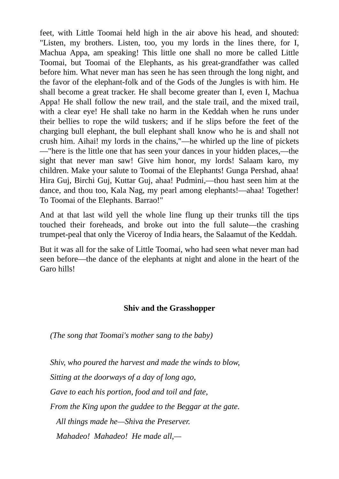feet, with Little Toomai held high in the air above his head, and shouted: "Listen, my brothers. Listen, too, you my lords in the lines there, for I, Machua Appa, am speaking! This little one shall no more be called Little Toomai, but Toomai of the Elephants, as his great-grandfather was called before him. What never man has seen he has seen through the long night, and the favor of the elephant-folk and of the Gods of the Jungles is with him. He shall become a great tracker. He shall become greater than I, even I, Machua Appa! He shall follow the new trail, and the stale trail, and the mixed trail, with a clear eye! He shall take no harm in the Keddah when he runs under their bellies to rope the wild tuskers; and if he slips before the feet of the charging bull elephant, the bull elephant shall know who he is and shall not crush him. Aihai! my lords in the chains,"—he whirled up the line of pickets —"here is the little one that has seen your dances in your hidden places,—the sight that never man saw! Give him honor, my lords! Salaam karo, my children. Make your salute to Toomai of the Elephants! Gunga Pershad, ahaa! Hira Guj, Birchi Guj, Kuttar Guj, ahaa! Pudmini,—thou hast seen him at the dance, and thou too, Kala Nag, my pearl among elephants!—ahaa! Together! To Toomai of the Elephants. Barrao!"

And at that last wild yell the whole line flung up their trunks till the tips touched their foreheads, and broke out into the full salute—the crashing trumpet-peal that only the Viceroy of India hears, the Salaamut of the Keddah.

But it was all for the sake of Little Toomai, who had seen what never man had seen before—the dance of the elephants at night and alone in the heart of the Garo hills!

## **Shiv and the Grasshopper**

*(The song that Toomai's mother sang to the baby)*

*Shiv, who poured the harvest and made the winds to blow, Sitting at the doorways of a day of long ago, Gave to each his portion, food and toil and fate, From the King upon the guddee to the Beggar at the gate. All things made he—Shiva the Preserver. Mahadeo! Mahadeo! He made all,—*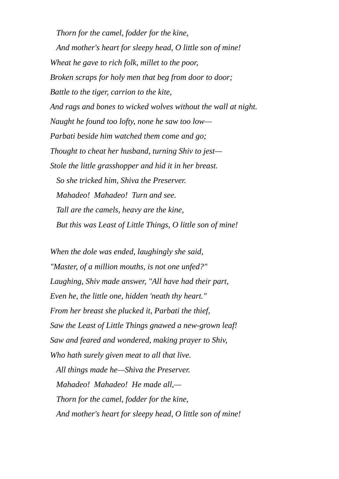*Thorn for the camel, fodder for the kine, And mother's heart for sleepy head, O little son of mine! Wheat he gave to rich folk, millet to the poor, Broken scraps for holy men that beg from door to door; Battle to the tiger, carrion to the kite, And rags and bones to wicked wolves without the wall at night. Naught he found too lofty, none he saw too low— Parbati beside him watched them come and go; Thought to cheat her husband, turning Shiv to jest— Stole the little grasshopper and hid it in her breast. So she tricked him, Shiva the Preserver. Mahadeo! Mahadeo! Turn and see. Tall are the camels, heavy are the kine, But this was Least of Little Things, O little son of mine!*

*When the dole was ended, laughingly she said, "Master, of a million mouths, is not one unfed?" Laughing, Shiv made answer, "All have had their part, Even he, the little one, hidden 'neath thy heart." From her breast she plucked it, Parbati the thief, Saw the Least of Little Things gnawed a new-grown leaf! Saw and feared and wondered, making prayer to Shiv, Who hath surely given meat to all that live. All things made he—Shiva the Preserver. Mahadeo! Mahadeo! He made all,— Thorn for the camel, fodder for the kine, And mother's heart for sleepy head, O little son of mine!*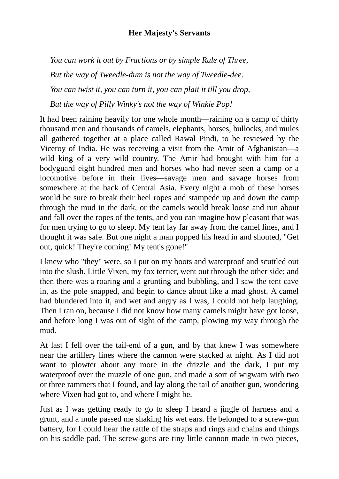## **Her Majesty's Servants**

*You can work it out by Fractions or by simple Rule of Three, But the way of Tweedle-dum is not the way of Tweedle-dee. You can twist it, you can turn it, you can plait it till you drop, But the way of Pilly Winky's not the way of Winkie Pop!*

It had been raining heavily for one whole month—raining on a camp of thirty thousand men and thousands of camels, elephants, horses, bullocks, and mules all gathered together at a place called Rawal Pindi, to be reviewed by the Viceroy of India. He was receiving a visit from the Amir of Afghanistan—a wild king of a very wild country. The Amir had brought with him for a bodyguard eight hundred men and horses who had never seen a camp or a locomotive before in their lives—savage men and savage horses from somewhere at the back of Central Asia. Every night a mob of these horses would be sure to break their heel ropes and stampede up and down the camp through the mud in the dark, or the camels would break loose and run about and fall over the ropes of the tents, and you can imagine how pleasant that was for men trying to go to sleep. My tent lay far away from the camel lines, and I thought it was safe. But one night a man popped his head in and shouted, "Get out, quick! They're coming! My tent's gone!"

I knew who "they" were, so I put on my boots and waterproof and scuttled out into the slush. Little Vixen, my fox terrier, went out through the other side; and then there was a roaring and a grunting and bubbling, and I saw the tent cave in, as the pole snapped, and begin to dance about like a mad ghost. A camel had blundered into it, and wet and angry as I was, I could not help laughing. Then I ran on, because I did not know how many camels might have got loose, and before long I was out of sight of the camp, plowing my way through the mud.

At last I fell over the tail-end of a gun, and by that knew I was somewhere near the artillery lines where the cannon were stacked at night. As I did not want to plowter about any more in the drizzle and the dark, I put my waterproof over the muzzle of one gun, and made a sort of wigwam with two or three rammers that I found, and lay along the tail of another gun, wondering where Vixen had got to, and where I might be.

Just as I was getting ready to go to sleep I heard a jingle of harness and a grunt, and a mule passed me shaking his wet ears. He belonged to a screw-gun battery, for I could hear the rattle of the straps and rings and chains and things on his saddle pad. The screw-guns are tiny little cannon made in two pieces,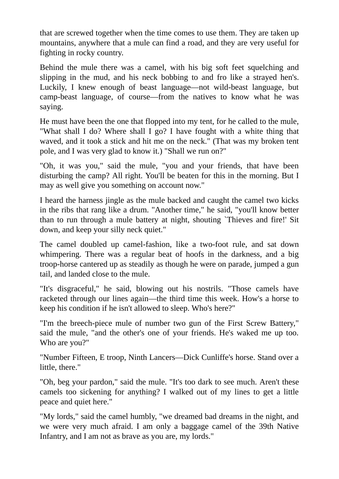that are screwed together when the time comes to use them. They are taken up mountains, anywhere that a mule can find a road, and they are very useful for fighting in rocky country.

Behind the mule there was a camel, with his big soft feet squelching and slipping in the mud, and his neck bobbing to and fro like a strayed hen's. Luckily, I knew enough of beast language—not wild-beast language, but camp-beast language, of course—from the natives to know what he was saying.

He must have been the one that flopped into my tent, for he called to the mule, "What shall I do? Where shall I go? I have fought with a white thing that waved, and it took a stick and hit me on the neck." (That was my broken tent pole, and I was very glad to know it.) "Shall we run on?"

"Oh, it was you," said the mule, "you and your friends, that have been disturbing the camp? All right. You'll be beaten for this in the morning. But I may as well give you something on account now."

I heard the harness jingle as the mule backed and caught the camel two kicks in the ribs that rang like a drum. "Another time," he said, "you'll know better than to run through a mule battery at night, shouting `Thieves and fire!' Sit down, and keep your silly neck quiet."

The camel doubled up camel-fashion, like a two-foot rule, and sat down whimpering. There was a regular beat of hoofs in the darkness, and a big troop-horse cantered up as steadily as though he were on parade, jumped a gun tail, and landed close to the mule.

"It's disgraceful," he said, blowing out his nostrils. "Those camels have racketed through our lines again—the third time this week. How's a horse to keep his condition if he isn't allowed to sleep. Who's here?"

"I'm the breech-piece mule of number two gun of the First Screw Battery," said the mule, "and the other's one of your friends. He's waked me up too. Who are you?"

"Number Fifteen, E troop, Ninth Lancers—Dick Cunliffe's horse. Stand over a little, there."

"Oh, beg your pardon," said the mule. "It's too dark to see much. Aren't these camels too sickening for anything? I walked out of my lines to get a little peace and quiet here."

"My lords," said the camel humbly, "we dreamed bad dreams in the night, and we were very much afraid. I am only a baggage camel of the 39th Native Infantry, and I am not as brave as you are, my lords."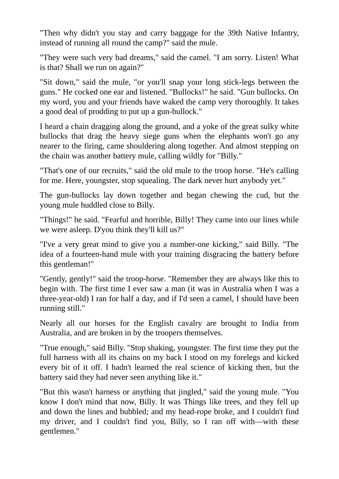"Then why didn't you stay and carry baggage for the 39th Native Infantry, instead of running all round the camp?" said the mule.

"They were such very bad dreams," said the camel. "I am sorry. Listen! What is that? Shall we run on again?"

"Sit down," said the mule, "or you'll snap your long stick-legs between the guns." He cocked one ear and listened. "Bullocks!" he said. "Gun bullocks. On my word, you and your friends have waked the camp very thoroughly. It takes a good deal of prodding to put up a gun-bullock."

I heard a chain dragging along the ground, and a yoke of the great sulky white bullocks that drag the heavy siege guns when the elephants won't go any nearer to the firing, came shouldering along together. And almost stepping on the chain was another battery mule, calling wildly for "Billy."

"That's one of our recruits," said the old mule to the troop horse. "He's calling for me. Here, youngster, stop squealing. The dark never hurt anybody yet."

The gun-bullocks lay down together and began chewing the cud, but the young mule huddled close to Billy.

"Things!" he said. "Fearful and horrible, Billy! They came into our lines while we were asleep. D'you think they'll kill us?"

"I've a very great mind to give you a number-one kicking," said Billy. "The idea of a fourteen-hand mule with your training disgracing the battery before this gentleman!"

"Gently, gently!" said the troop-horse. "Remember they are always like this to begin with. The first time I ever saw a man (it was in Australia when I was a three-year-old) I ran for half a day, and if I'd seen a camel, I should have been running still."

Nearly all our horses for the English cavalry are brought to India from Australia, and are broken in by the troopers themselves.

"True enough," said Billy. "Stop shaking, youngster. The first time they put the full harness with all its chains on my back I stood on my forelegs and kicked every bit of it off. I hadn't learned the real science of kicking then, but the battery said they had never seen anything like it."

"But this wasn't harness or anything that jingled," said the young mule. "You know I don't mind that now, Billy. It was Things like trees, and they fell up and down the lines and bubbled; and my head-rope broke, and I couldn't find my driver, and I couldn't find you, Billy, so I ran off with—with these gentlemen."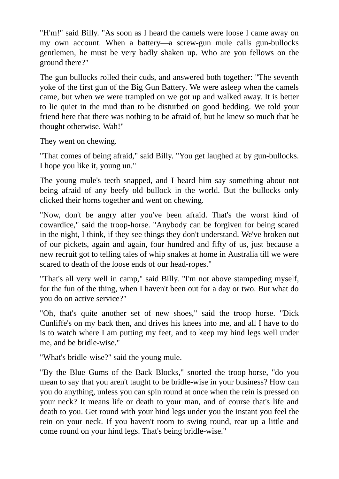"H'm!" said Billy. "As soon as I heard the camels were loose I came away on my own account. When a battery—a screw-gun mule calls gun-bullocks gentlemen, he must be very badly shaken up. Who are you fellows on the ground there?"

The gun bullocks rolled their cuds, and answered both together: "The seventh yoke of the first gun of the Big Gun Battery. We were asleep when the camels came, but when we were trampled on we got up and walked away. It is better to lie quiet in the mud than to be disturbed on good bedding. We told your friend here that there was nothing to be afraid of, but he knew so much that he thought otherwise. Wah!"

They went on chewing.

"That comes of being afraid," said Billy. "You get laughed at by gun-bullocks. I hope you like it, young un."

The young mule's teeth snapped, and I heard him say something about not being afraid of any beefy old bullock in the world. But the bullocks only clicked their horns together and went on chewing.

"Now, don't be angry after you've been afraid. That's the worst kind of cowardice," said the troop-horse. "Anybody can be forgiven for being scared in the night, I think, if they see things they don't understand. We've broken out of our pickets, again and again, four hundred and fifty of us, just because a new recruit got to telling tales of whip snakes at home in Australia till we were scared to death of the loose ends of our head-ropes."

"That's all very well in camp," said Billy. "I'm not above stampeding myself, for the fun of the thing, when I haven't been out for a day or two. But what do you do on active service?"

"Oh, that's quite another set of new shoes," said the troop horse. "Dick Cunliffe's on my back then, and drives his knees into me, and all I have to do is to watch where I am putting my feet, and to keep my hind legs well under me, and be bridle-wise."

"What's bridle-wise?" said the young mule.

"By the Blue Gums of the Back Blocks," snorted the troop-horse, "do you mean to say that you aren't taught to be bridle-wise in your business? How can you do anything, unless you can spin round at once when the rein is pressed on your neck? It means life or death to your man, and of course that's life and death to you. Get round with your hind legs under you the instant you feel the rein on your neck. If you haven't room to swing round, rear up a little and come round on your hind legs. That's being bridle-wise."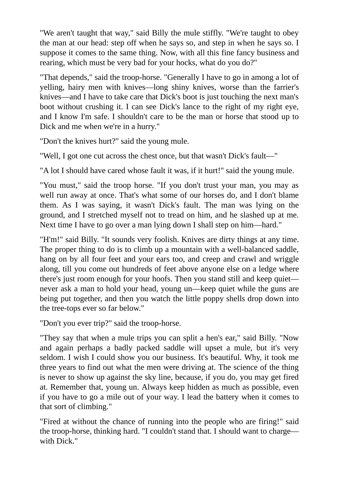"We aren't taught that way," said Billy the mule stiffly. "We're taught to obey the man at our head: step off when he says so, and step in when he says so. I suppose it comes to the same thing. Now, with all this fine fancy business and rearing, which must be very bad for your hocks, what do you do?"

"That depends," said the troop-horse. "Generally I have to go in among a lot of yelling, hairy men with knives—long shiny knives, worse than the farrier's knives—and I have to take care that Dick's boot is just touching the next man's boot without crushing it. I can see Dick's lance to the right of my right eye, and I know I'm safe. I shouldn't care to be the man or horse that stood up to Dick and me when we're in a hurry."

"Don't the knives hurt?" said the young mule.

"Well, I got one cut across the chest once, but that wasn't Dick's fault—"

"A lot I should have cared whose fault it was, if it hurt!" said the young mule.

"You must," said the troop horse. "If you don't trust your man, you may as well run away at once. That's what some of our horses do, and I don't blame them. As I was saying, it wasn't Dick's fault. The man was lying on the ground, and I stretched myself not to tread on him, and he slashed up at me. Next time I have to go over a man lying down I shall step on him—hard."

"H'm!" said Billy. "It sounds very foolish. Knives are dirty things at any time. The proper thing to do is to climb up a mountain with a well-balanced saddle, hang on by all four feet and your ears too, and creep and crawl and wriggle along, till you come out hundreds of feet above anyone else on a ledge where there's just room enough for your hoofs. Then you stand still and keep quiet never ask a man to hold your head, young un—keep quiet while the guns are being put together, and then you watch the little poppy shells drop down into the tree-tops ever so far below."

"Don't you ever trip?" said the troop-horse.

"They say that when a mule trips you can split a hen's ear," said Billy. "Now and again perhaps a badly packed saddle will upset a mule, but it's very seldom. I wish I could show you our business. It's beautiful. Why, it took me three years to find out what the men were driving at. The science of the thing is never to show up against the sky line, because, if you do, you may get fired at. Remember that, young un. Always keep hidden as much as possible, even if you have to go a mile out of your way. I lead the battery when it comes to that sort of climbing."

"Fired at without the chance of running into the people who are firing!" said the troop-horse, thinking hard. "I couldn't stand that. I should want to charge with Dick."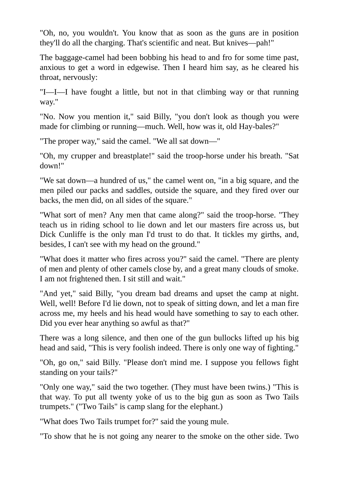"Oh, no, you wouldn't. You know that as soon as the guns are in position they'll do all the charging. That's scientific and neat. But knives—pah!"

The baggage-camel had been bobbing his head to and fro for some time past, anxious to get a word in edgewise. Then I heard him say, as he cleared his throat, nervously:

"I—I—I have fought a little, but not in that climbing way or that running way."

"No. Now you mention it," said Billy, "you don't look as though you were made for climbing or running—much. Well, how was it, old Hay-bales?"

"The proper way," said the camel. "We all sat down—"

"Oh, my crupper and breastplate!" said the troop-horse under his breath. "Sat down!"

"We sat down—a hundred of us," the camel went on, "in a big square, and the men piled our packs and saddles, outside the square, and they fired over our backs, the men did, on all sides of the square."

"What sort of men? Any men that came along?" said the troop-horse. "They teach us in riding school to lie down and let our masters fire across us, but Dick Cunliffe is the only man I'd trust to do that. It tickles my girths, and, besides, I can't see with my head on the ground."

"What does it matter who fires across you?" said the camel. "There are plenty of men and plenty of other camels close by, and a great many clouds of smoke. I am not frightened then. I sit still and wait."

"And yet," said Billy, "you dream bad dreams and upset the camp at night. Well, well! Before I'd lie down, not to speak of sitting down, and let a man fire across me, my heels and his head would have something to say to each other. Did you ever hear anything so awful as that?"

There was a long silence, and then one of the gun bullocks lifted up his big head and said, "This is very foolish indeed. There is only one way of fighting."

"Oh, go on," said Billy. "Please don't mind me. I suppose you fellows fight standing on your tails?"

"Only one way," said the two together. (They must have been twins.) "This is that way. To put all twenty yoke of us to the big gun as soon as Two Tails trumpets." ("Two Tails" is camp slang for the elephant.)

"What does Two Tails trumpet for?" said the young mule.

"To show that he is not going any nearer to the smoke on the other side. Two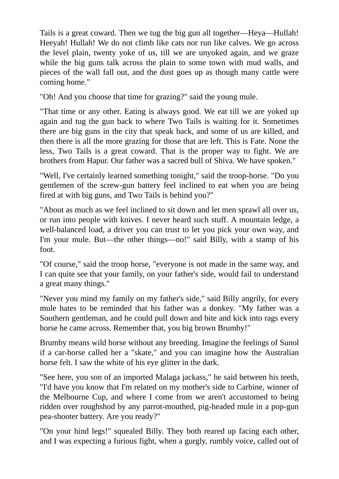Tails is a great coward. Then we tug the big gun all together—Heya—Hullah! Heeyah! Hullah! We do not climb like cats nor run like calves. We go across the level plain, twenty yoke of us, till we are unyoked again, and we graze while the big guns talk across the plain to some town with mud walls, and pieces of the wall fall out, and the dust goes up as though many cattle were coming home."

"Oh! And you choose that time for grazing?" said the young mule.

"That time or any other. Eating is always good. We eat till we are yoked up again and tug the gun back to where Two Tails is waiting for it. Sometimes there are big guns in the city that speak back, and some of us are killed, and then there is all the more grazing for those that are left. This is Fate. None the less, Two Tails is a great coward. That is the proper way to fight. We are brothers from Hapur. Our father was a sacred bull of Shiva. We have spoken."

"Well, I've certainly learned something tonight," said the troop-horse. "Do you gentlemen of the screw-gun battery feel inclined to eat when you are being fired at with big guns, and Two Tails is behind you?"

"About as much as we feel inclined to sit down and let men sprawl all over us, or run into people with knives. I never heard such stuff. A mountain ledge, a well-balanced load, a driver you can trust to let you pick your own way, and I'm your mule. But—the other things—no!" said Billy, with a stamp of his foot.

"Of course," said the troop horse, "everyone is not made in the same way, and I can quite see that your family, on your father's side, would fail to understand a great many things."

"Never you mind my family on my father's side," said Billy angrily, for every mule hates to be reminded that his father was a donkey. "My father was a Southern gentleman, and he could pull down and bite and kick into rags every horse he came across. Remember that, you big brown Brumby!"

Brumby means wild horse without any breeding. Imagine the feelings of Sunol if a car-horse called her a "skate," and you can imagine how the Australian horse felt. I saw the white of his eye glitter in the dark.

"See here, you son of an imported Malaga jackass," he said between his teeth, "I'd have you know that I'm related on my mother's side to Carbine, winner of the Melbourne Cup, and where I come from we aren't accustomed to being ridden over roughshod by any parrot-mouthed, pig-headed mule in a pop-gun pea-shooter battery. Are you ready?"

"On your hind legs!" squealed Billy. They both reared up facing each other, and I was expecting a furious fight, when a gurgly, rumbly voice, called out of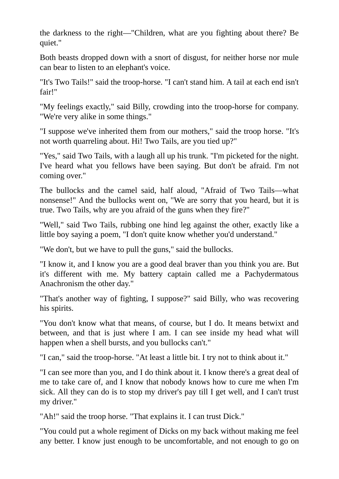the darkness to the right—"Children, what are you fighting about there? Be quiet."

Both beasts dropped down with a snort of disgust, for neither horse nor mule can bear to listen to an elephant's voice.

"It's Two Tails!" said the troop-horse. "I can't stand him. A tail at each end isn't fair!"

"My feelings exactly," said Billy, crowding into the troop-horse for company. "We're very alike in some things."

"I suppose we've inherited them from our mothers," said the troop horse. "It's not worth quarreling about. Hi! Two Tails, are you tied up?"

"Yes," said Two Tails, with a laugh all up his trunk. "I'm picketed for the night. I've heard what you fellows have been saying. But don't be afraid. I'm not coming over."

The bullocks and the camel said, half aloud, "Afraid of Two Tails—what nonsense!" And the bullocks went on, "We are sorry that you heard, but it is true. Two Tails, why are you afraid of the guns when they fire?"

"Well," said Two Tails, rubbing one hind leg against the other, exactly like a little boy saying a poem, "I don't quite know whether you'd understand."

"We don't, but we have to pull the guns," said the bullocks.

"I know it, and I know you are a good deal braver than you think you are. But it's different with me. My battery captain called me a Pachydermatous Anachronism the other day."

"That's another way of fighting, I suppose?" said Billy, who was recovering his spirits.

"You don't know what that means, of course, but I do. It means betwixt and between, and that is just where I am. I can see inside my head what will happen when a shell bursts, and you bullocks can't."

"I can," said the troop-horse. "At least a little bit. I try not to think about it."

"I can see more than you, and I do think about it. I know there's a great deal of me to take care of, and I know that nobody knows how to cure me when I'm sick. All they can do is to stop my driver's pay till I get well, and I can't trust my driver."

"Ah!" said the troop horse. "That explains it. I can trust Dick."

"You could put a whole regiment of Dicks on my back without making me feel any better. I know just enough to be uncomfortable, and not enough to go on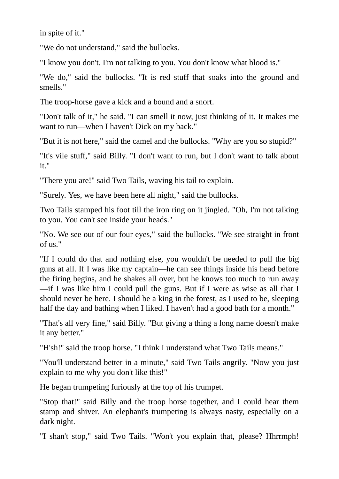in spite of it."

"We do not understand," said the bullocks.

"I know you don't. I'm not talking to you. You don't know what blood is."

"We do," said the bullocks. "It is red stuff that soaks into the ground and smells."

The troop-horse gave a kick and a bound and a snort.

"Don't talk of it," he said. "I can smell it now, just thinking of it. It makes me want to run—when I haven't Dick on my back."

"But it is not here," said the camel and the bullocks. "Why are you so stupid?"

"It's vile stuff," said Billy. "I don't want to run, but I don't want to talk about it."

"There you are!" said Two Tails, waving his tail to explain.

"Surely. Yes, we have been here all night," said the bullocks.

Two Tails stamped his foot till the iron ring on it jingled. "Oh, I'm not talking to you. You can't see inside your heads."

"No. We see out of our four eyes," said the bullocks. "We see straight in front of us."

"If I could do that and nothing else, you wouldn't be needed to pull the big guns at all. If I was like my captain—he can see things inside his head before the firing begins, and he shakes all over, but he knows too much to run away —if I was like him I could pull the guns. But if I were as wise as all that I should never be here. I should be a king in the forest, as I used to be, sleeping half the day and bathing when I liked. I haven't had a good bath for a month."

"That's all very fine," said Billy. "But giving a thing a long name doesn't make it any better."

"H'sh!" said the troop horse. "I think I understand what Two Tails means."

"You'll understand better in a minute," said Two Tails angrily. "Now you just explain to me why you don't like this!"

He began trumpeting furiously at the top of his trumpet.

"Stop that!" said Billy and the troop horse together, and I could hear them stamp and shiver. An elephant's trumpeting is always nasty, especially on a dark night.

"I shan't stop," said Two Tails. "Won't you explain that, please? Hhrrmph!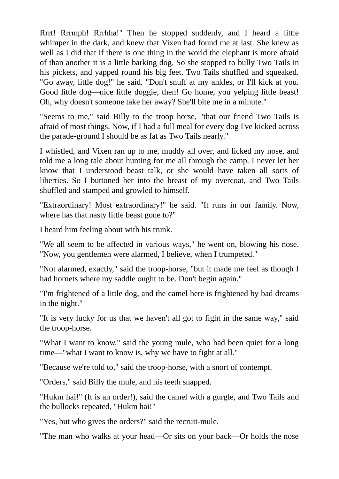Rrrt! Rrrmph! Rrrhha!" Then he stopped suddenly, and I heard a little whimper in the dark, and knew that Vixen had found me at last. She knew as well as I did that if there is one thing in the world the elephant is more afraid of than another it is a little barking dog. So she stopped to bully Two Tails in his pickets, and yapped round his big feet. Two Tails shuffled and squeaked. "Go away, little dog!" he said. "Don't snuff at my ankles, or I'll kick at you. Good little dog—nice little doggie, then! Go home, you yelping little beast! Oh, why doesn't someone take her away? She'll bite me in a minute."

"Seems to me," said Billy to the troop horse, "that our friend Two Tails is afraid of most things. Now, if I had a full meal for every dog I've kicked across the parade-ground I should be as fat as Two Tails nearly."

I whistled, and Vixen ran up to me, muddy all over, and licked my nose, and told me a long tale about hunting for me all through the camp. I never let her know that I understood beast talk, or she would have taken all sorts of liberties. So I buttoned her into the breast of my overcoat, and Two Tails shuffled and stamped and growled to himself.

"Extraordinary! Most extraordinary!" he said. "It runs in our family. Now, where has that nasty little beast gone to?"

I heard him feeling about with his trunk.

"We all seem to be affected in various ways," he went on, blowing his nose. "Now, you gentlemen were alarmed, I believe, when I trumpeted."

"Not alarmed, exactly," said the troop-horse, "but it made me feel as though I had hornets where my saddle ought to be. Don't begin again."

"I'm frightened of a little dog, and the camel here is frightened by bad dreams in the night."

"It is very lucky for us that we haven't all got to fight in the same way," said the troop-horse.

"What I want to know," said the young mule, who had been quiet for a long time—"what I want to know is, why we have to fight at all."

"Because we're told to," said the troop-horse, with a snort of contempt.

"Orders," said Billy the mule, and his teeth snapped.

"Hukm hai!" (It is an order!), said the camel with a gurgle, and Two Tails and the bullocks repeated, "Hukm hai!"

"Yes, but who gives the orders?" said the recruit-mule.

"The man who walks at your head—Or sits on your back—Or holds the nose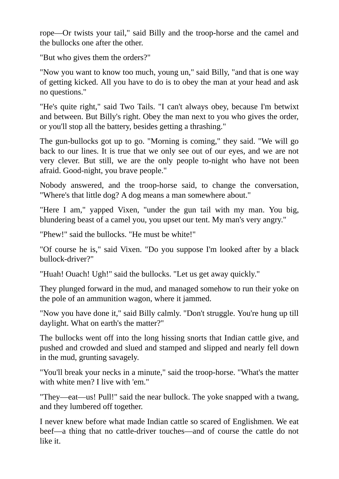rope—Or twists your tail," said Billy and the troop-horse and the camel and the bullocks one after the other.

"But who gives them the orders?"

"Now you want to know too much, young un," said Billy, "and that is one way of getting kicked. All you have to do is to obey the man at your head and ask no questions."

"He's quite right," said Two Tails. "I can't always obey, because I'm betwixt and between. But Billy's right. Obey the man next to you who gives the order, or you'll stop all the battery, besides getting a thrashing."

The gun-bullocks got up to go. "Morning is coming," they said. "We will go back to our lines. It is true that we only see out of our eyes, and we are not very clever. But still, we are the only people to-night who have not been afraid. Good-night, you brave people."

Nobody answered, and the troop-horse said, to change the conversation, "Where's that little dog? A dog means a man somewhere about."

"Here I am," yapped Vixen, "under the gun tail with my man. You big, blundering beast of a camel you, you upset our tent. My man's very angry."

"Phew!" said the bullocks. "He must be white!"

"Of course he is," said Vixen. "Do you suppose I'm looked after by a black bullock-driver?"

"Huah! Ouach! Ugh!" said the bullocks. "Let us get away quickly."

They plunged forward in the mud, and managed somehow to run their yoke on the pole of an ammunition wagon, where it jammed.

"Now you have done it," said Billy calmly. "Don't struggle. You're hung up till daylight. What on earth's the matter?"

The bullocks went off into the long hissing snorts that Indian cattle give, and pushed and crowded and slued and stamped and slipped and nearly fell down in the mud, grunting savagely.

"You'll break your necks in a minute," said the troop-horse. "What's the matter with white men? I live with 'em."

"They—eat—us! Pull!" said the near bullock. The yoke snapped with a twang, and they lumbered off together.

I never knew before what made Indian cattle so scared of Englishmen. We eat beef—a thing that no cattle-driver touches—and of course the cattle do not like it.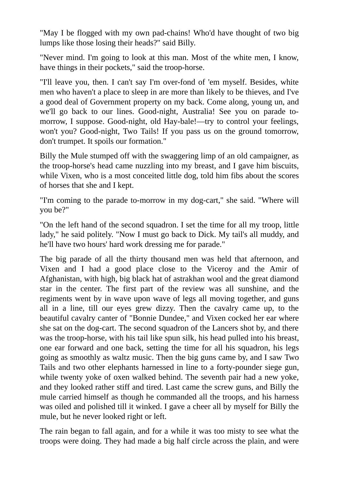"May I be flogged with my own pad-chains! Who'd have thought of two big lumps like those losing their heads?" said Billy.

"Never mind. I'm going to look at this man. Most of the white men, I know, have things in their pockets," said the troop-horse.

"I'll leave you, then. I can't say I'm over-fond of 'em myself. Besides, white men who haven't a place to sleep in are more than likely to be thieves, and I've a good deal of Government property on my back. Come along, young un, and we'll go back to our lines. Good-night, Australia! See you on parade tomorrow, I suppose. Good-night, old Hay-bale!—try to control your feelings, won't you? Good-night, Two Tails! If you pass us on the ground tomorrow, don't trumpet. It spoils our formation."

Billy the Mule stumped off with the swaggering limp of an old campaigner, as the troop-horse's head came nuzzling into my breast, and I gave him biscuits, while Vixen, who is a most conceited little dog, told him fibs about the scores of horses that she and I kept.

"I'm coming to the parade to-morrow in my dog-cart," she said. "Where will you be?"

"On the left hand of the second squadron. I set the time for all my troop, little lady," he said politely. "Now I must go back to Dick. My tail's all muddy, and he'll have two hours' hard work dressing me for parade."

The big parade of all the thirty thousand men was held that afternoon, and Vixen and I had a good place close to the Viceroy and the Amir of Afghanistan, with high, big black hat of astrakhan wool and the great diamond star in the center. The first part of the review was all sunshine, and the regiments went by in wave upon wave of legs all moving together, and guns all in a line, till our eyes grew dizzy. Then the cavalry came up, to the beautiful cavalry canter of "Bonnie Dundee," and Vixen cocked her ear where she sat on the dog-cart. The second squadron of the Lancers shot by, and there was the troop-horse, with his tail like spun silk, his head pulled into his breast, one ear forward and one back, setting the time for all his squadron, his legs going as smoothly as waltz music. Then the big guns came by, and I saw Two Tails and two other elephants harnessed in line to a forty-pounder siege gun, while twenty yoke of oxen walked behind. The seventh pair had a new yoke, and they looked rather stiff and tired. Last came the screw guns, and Billy the mule carried himself as though he commanded all the troops, and his harness was oiled and polished till it winked. I gave a cheer all by myself for Billy the mule, but he never looked right or left.

The rain began to fall again, and for a while it was too misty to see what the troops were doing. They had made a big half circle across the plain, and were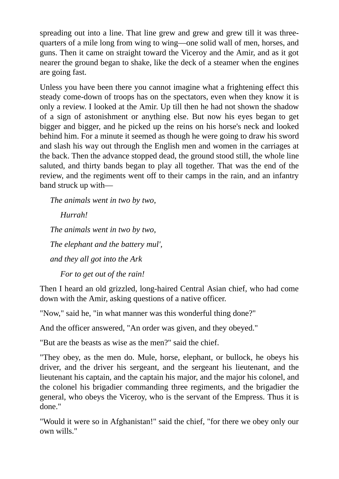spreading out into a line. That line grew and grew and grew till it was threequarters of a mile long from wing to wing—one solid wall of men, horses, and guns. Then it came on straight toward the Viceroy and the Amir, and as it got nearer the ground began to shake, like the deck of a steamer when the engines are going fast.

Unless you have been there you cannot imagine what a frightening effect this steady come-down of troops has on the spectators, even when they know it is only a review. I looked at the Amir. Up till then he had not shown the shadow of a sign of astonishment or anything else. But now his eyes began to get bigger and bigger, and he picked up the reins on his horse's neck and looked behind him. For a minute it seemed as though he were going to draw his sword and slash his way out through the English men and women in the carriages at the back. Then the advance stopped dead, the ground stood still, the whole line saluted, and thirty bands began to play all together. That was the end of the review, and the regiments went off to their camps in the rain, and an infantry band struck up with—

*The animals went in two by two, Hurrah! The animals went in two by two, The elephant and the battery mul', and they all got into the Ark For to get out of the rain!*

Then I heard an old grizzled, long-haired Central Asian chief, who had come down with the Amir, asking questions of a native officer.

"Now," said he, "in what manner was this wonderful thing done?"

And the officer answered, "An order was given, and they obeyed."

"But are the beasts as wise as the men?" said the chief.

"They obey, as the men do. Mule, horse, elephant, or bullock, he obeys his driver, and the driver his sergeant, and the sergeant his lieutenant, and the lieutenant his captain, and the captain his major, and the major his colonel, and the colonel his brigadier commanding three regiments, and the brigadier the general, who obeys the Viceroy, who is the servant of the Empress. Thus it is done."

"Would it were so in Afghanistan!" said the chief, "for there we obey only our own wills."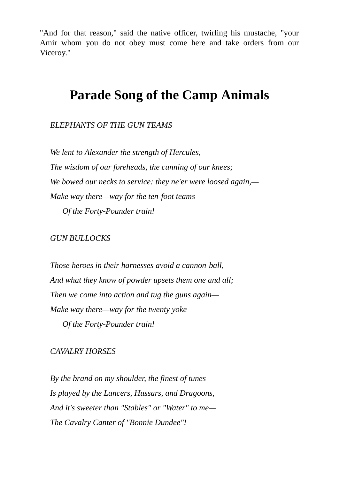"And for that reason," said the native officer, twirling his mustache, "your Amir whom you do not obey must come here and take orders from our Viceroy."

# **Parade Song of the Camp Animals**

*ELEPHANTS OF THE GUN TEAMS*

*We lent to Alexander the strength of Hercules, The wisdom of our foreheads, the cunning of our knees; We bowed our necks to service: they ne'er were loosed again,— Make way there—way for the ten-foot teams Of the Forty-Pounder train!*

*GUN BULLOCKS*

*Those heroes in their harnesses avoid a cannon-ball, And what they know of powder upsets them one and all; Then we come into action and tug the guns again— Make way there—way for the twenty yoke Of the Forty-Pounder train!*

## *CAVALRY HORSES*

*By the brand on my shoulder, the finest of tunes Is played by the Lancers, Hussars, and Dragoons, And it's sweeter than "Stables" or "Water" to me— The Cavalry Canter of "Bonnie Dundee"!*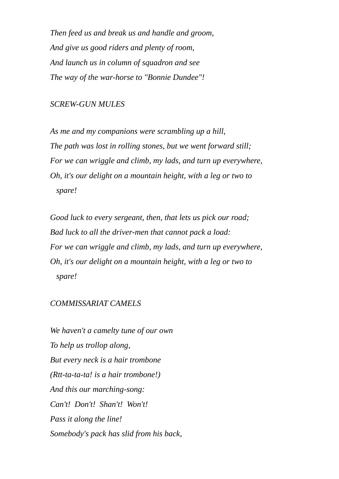*Then feed us and break us and handle and groom, And give us good riders and plenty of room, And launch us in column of squadron and see The way of the war-horse to "Bonnie Dundee"!*

## *SCREW-GUN MULES*

*As me and my companions were scrambling up a hill, The path was lost in rolling stones, but we went forward still; For we can wriggle and climb, my lads, and turn up everywhere, Oh, it's our delight on a mountain height, with a leg or two to spare!*

*Good luck to every sergeant, then, that lets us pick our road; Bad luck to all the driver-men that cannot pack a load: For we can wriggle and climb, my lads, and turn up everywhere, Oh, it's our delight on a mountain height, with a leg or two to spare!*

### *COMMISSARIAT CAMELS*

*We haven't a camelty tune of our own To help us trollop along, But every neck is a hair trombone (Rtt-ta-ta-ta! is a hair trombone!) And this our marching-song: Can't! Don't! Shan't! Won't! Pass it along the line! Somebody's pack has slid from his back,*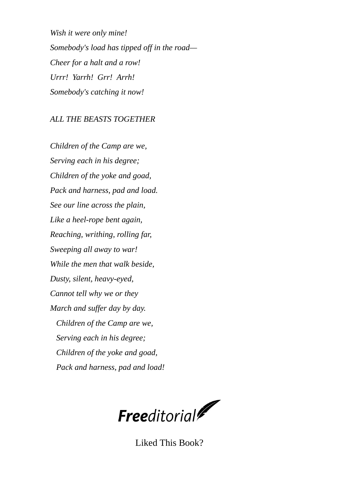*Wish it were only mine! Somebody's load has tipped off in the road— Cheer for a halt and a row! Urrr! Yarrh! Grr! Arrh! Somebody's catching it now!*

### *ALL THE BEASTS TOGETHER*

*Children of the Camp are we, Serving each in his degree; Children of the yoke and goad, Pack and harness, pad and load. See our line across the plain, Like a heel-rope bent again, Reaching, writhing, rolling far, Sweeping all away to war! While the men that walk beside, Dusty, silent, heavy-eyed, Cannot tell why we or they March and suffer day by day. Children of the Camp are we, Serving each in his degree; Children of the yoke and goad, Pack and harness, pad and load!*

Freeditorial

Liked This Book?